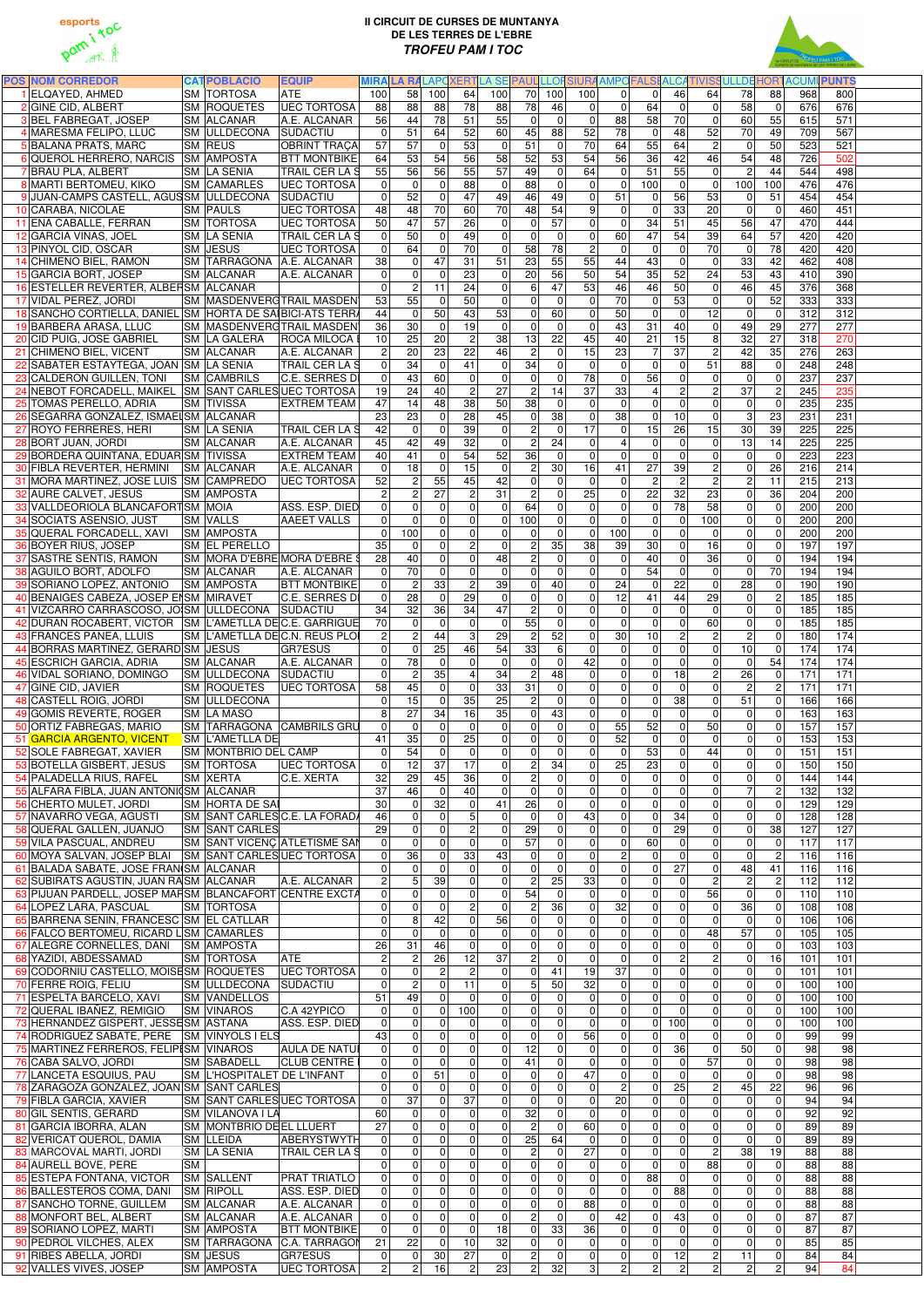



| <b>POS NOM CORREDOR</b>                                                              |           | <b>CATPOBLACIÓ</b>                        | <b>EQUIP</b>                              |                                | <b>MIRA LA RALAPOXERT</b>        |                            |                                        | LA SE                | <b>PAUL</b>                         | LLOF                             | <b>SIURA AMPOFALSE</b>     |                                                    | <b>ALCA</b>       |                               | <b>TIVISSULLDE</b>      | <b>TROH</b>                   | <b>ACUM</b>     | <b>PUNTS</b>     |  |
|--------------------------------------------------------------------------------------|-----------|-------------------------------------------|-------------------------------------------|--------------------------------|----------------------------------|----------------------------|----------------------------------------|----------------------|-------------------------------------|----------------------------------|----------------------------|----------------------------------------------------|-------------------|-------------------------------|-------------------------|-------------------------------|-----------------|------------------|--|
| ELQAYED, AHMED                                                                       |           | SM TORTOSA                                | <b>ATE</b>                                | 100                            | 58                               | 100                        | 64                                     | 100                  | 70                                  | 100                              | 100                        | $\Omega$<br> 0                                     | 46                | 64                            | 78                      | 88                            | 968             | 800              |  |
| 2 GINE CID, ALBERT                                                                   |           | SM ROQUETES                               | <b>UEC TORTOSA</b>                        | 88                             | 88                               | 88                         | 78                                     | 88                   | 78                                  | 46                               | $\Omega$                   | 64<br>$\overline{0}$                               | $\mathbf{0}$      | $\Omega$                      | 58                      | 0                             | 676             | 676              |  |
| 3BEL FABREGAT, JOSEP                                                                 |           | SM ALCANAR                                | A.E. ALCANAR                              | 56                             | 44                               | 78                         | 51                                     | 55                   | $\mathbf 0$                         | $\mathbf{0}$                     | $\mathbf{0}$               | 88<br>58                                           | 70                | $\Omega$                      | 60                      | 55                            | 615             | 571              |  |
| 4 MARESMA FELIPO, LLUC                                                               |           | SM ULLDECONA                              | <b>SUDACTIU</b>                           | $\Omega$                       | 51                               | 64                         | 52                                     | 60                   | 45                                  | 88                               | 52                         | 78<br>$\mathbf 0$                                  | 48                | 52                            | 70                      | 49                            | 709             | 567              |  |
| 5 BALAÑA PRATS, MARC                                                                 |           | SM REUS                                   | <b>OBRINT TRACA</b>                       | 57                             | 57                               | $\Omega$                   | 53                                     | 0                    | 51                                  | $\mathbf 0$                      | 70                         | 55<br>64                                           | 64                | $\overline{2}$                | $\mathbf 0$             | 50                            | 523             | 521              |  |
| 6 QUEROL HERRERO, NARCIS                                                             |           | <b>SM AMPOSTA</b>                         | <b>BTT MONTBIKE</b>                       | 64                             | 53                               | 54                         | 56                                     | 58                   | 52                                  | 53                               | 54                         | 56<br>36                                           | 42                | 46                            | $\overline{54}$         | 48                            | 726             | 502              |  |
| 7 BRAU PLA, ALBERT                                                                   |           | SM LA SENIA                               | <b>TRAIL CER LA S</b>                     | 55                             | 56                               | 56                         | 55                                     | 57                   | 49                                  | $\mathbf 0$                      | 64                         | $\Omega$<br>51                                     | 55                | $\Omega$                      | $\overline{2}$          | 44                            | 544             | 498              |  |
| 8 MARTI BERTOMEU, KIKO                                                               |           | <b>SM CAMARLES</b>                        | <b>UEC TORTOSA</b>                        | $\Omega$                       | $\overline{0}$                   | $\Omega$                   | 88                                     | $\overline{0}$       | 88                                  | $\mathbf 0$                      | $\Omega$                   | 0<br>100                                           | $\mathbf 0$       | $\Omega$                      | 100                     | 100                           | 476             | 476              |  |
| 9 JUAN-CAMPS CASTELL, AGUSSM ULLDECONA                                               |           |                                           | <b>SUDACTIU</b>                           | $\mathbf{0}$                   | 52                               | $\Omega$                   | 47                                     | 49                   | 46                                  | 49                               | $\Omega$                   | 51<br>$\overline{0}$                               | 56                | 53                            | $\mathbf{0}$            | 51                            | 454             | 454              |  |
| 10 CARABA, NICOLAE                                                                   |           | <b>SM PAULS</b>                           | <b>UEC TORTOSA</b>                        | 48                             | 48                               | 70                         | 60                                     | 70                   | 48                                  | 54                               | 9                          | $\overline{0}$<br>$\overline{0}$                   | 33                | 20                            | $\mathbf 0$             | 0                             | 460             | 451              |  |
| 11 ENA CABALLE, FERRAN                                                               |           | <b>SM TORTOSA</b>                         | <b>UEC TORTOSA</b>                        | 50                             | 47                               | 57                         | 26                                     | $\Omega$             | $\overline{0}$                      | 57                               | $\Omega$                   | 34<br>0                                            | 51                | 45                            | 56                      | 47                            | 470             | 444              |  |
| 12 GARCIA VIÑAS, JOEL                                                                |           | <b>SM LA SENIA</b>                        | <b>TRAIL CER LA S</b>                     | $\Omega$<br>$\Omega$           | 50<br>64                         | $\Omega$                   | 49<br>$\overline{70}$                  | $\Omega$             | $\mathbf 0$                         | $\overline{0}$<br>78             | $\Omega$                   | 47<br>60                                           | 54                | 39<br>70                      | 64                      | 57<br>78                      | 420             | 420              |  |
| 13 PINYOL CID, OSCAR<br>14 CHIMENO BIEL, RAMON                                       |           | SM JESUS                                  | <b>UEC TORTOSA</b>                        |                                |                                  | $\Omega$<br>47             | 31                                     | $\mathbf{0}$<br>51   | 58<br>$\overline{23}$               | 55                               | $\overline{2}$<br>55<br>44 | $\Omega$<br>$\overline{0}$<br>43                   | $\mathbf 0$       | $\Omega$                      | $\mathbf 0$<br>33       | 42                            | 420<br>462      | 420<br>408       |  |
| 15 GARCIA BORT, JOSEP                                                                |           | SM ALCANAR                                | SM TARRAGONA A.E. ALCANAR<br>A.E. ALCANAR | 38<br>$\Omega$                 | $\overline{0}$<br>$\overline{0}$ | $\Omega$                   | 23                                     | $\Omega$             | 20                                  | 56                               | 50                         | 54<br>35                                           | $\mathbf 0$<br>52 | 24                            | 53                      | 43                            | 410             | 390              |  |
| 16 ESTELLER REVERTER, ALBERSM ALCANAR                                                |           |                                           |                                           | $\mathbf{0}$                   | $\overline{2}$                   | 11                         | 24                                     | $\mathbf{0}$         | 6                                   | $\overline{47}$                  | 53                         | 46<br>$\overline{46}$                              | 50                | $\Omega$                      | 46                      | 45                            | 376             | 368              |  |
| 17 VIDAL PEREZ, JORDI                                                                |           |                                           | SM MASDENVERGTRAIL MASDEN                 | 53                             | 55                               | $\Omega$                   | 50                                     | $\Omega$             | $\overline{0}$                      | $\mathbf 0$                      | $\Omega$                   | 70<br>$\pmb{0}$                                    | 53                | $\Omega$                      | $\mathbf 0$             | 52                            | 333             | 333              |  |
| 18 SANCHO CORTIELLA, DANIEL SM HORTA DE SAIBICI-ATS TERRA                            |           |                                           |                                           | 44                             | $\overline{0}$                   | 50                         | 43                                     | 53                   | $\overline{0}$                      | 60                               | $\Omega$                   | 50<br> 0                                           | $\mathbf 0$       | 12                            | $\pmb{0}$               | 0                             | 312             | 312              |  |
| 19 BARBERA ARASA, LLUC                                                               |           |                                           | <b>SM MASDENVERGTRAIL MASDEN</b>          | 36                             | 30 <sup>°</sup>                  | $\mathbf 0$                | $\overline{19}$                        | $\Omega$             | $\overline{0}$                      | $\overline{0}$                   | $\mathbf{0}$               | 43<br>31                                           | 40                | $\Omega$                      | 49                      | 29                            | 277             | $\overline{277}$ |  |
| 20 CID PUIG, JOSE GABRIEL                                                            |           | <b>SM LA GALERA</b>                       | <b>ROCA MILOCA B</b>                      | 10                             | 25                               | 20                         | $\overline{c}$                         | 38                   | 13                                  | 22                               | 45                         | 40<br>21                                           | 15                | 8                             | 32                      | 27                            | 318             | $\overline{270}$ |  |
| 21 CHIMENO BIEL, VICENT                                                              |           | SM ALCANAR                                | A.E. ALCANAR                              | $\overline{c}$                 | 20                               | 23                         | 22                                     | 46                   | $\boldsymbol{2}$                    | $\mathbf 0$                      | 15                         | $\overline{7}$<br>23                               | 37                | $\overline{c}$                | 42                      | 35                            | 276             | 263              |  |
| 22 SABATER ESTAYTEGA, JOAN SM LA SENIA                                               |           |                                           | <b>TRAIL CER LA S</b>                     | $\mathbf 0$                    | 34                               | $\mathbf 0$                | 41                                     | $\mathbf 0$          | 34                                  | 0                                | $\mathbf{0}$               | $\mathbf 0$<br>$\Omega$                            | $\mathbf 0$       | 51                            | 88                      | 0                             | 248             | 248              |  |
| 23 CALDERON GUILLEN, TONI                                                            |           | <b>SM CAMBRILS</b>                        | C.E. SERRES DI                            | $\mathbf 0$                    | 43                               | 60                         | $\boldsymbol{0}$                       | $\mathbf 0$          | $\overline{0}$                      | $\mathbf 0$                      | 78                         | $\pmb{0}$<br>56                                    | $\mathbf 0$       | $\Omega$                      | $\mathbf 0$             | 0                             | 237             | 237              |  |
| 24 NEBOT FORCADELL, MAIKEL SM SANT CARLES UEC TORTOSA                                |           |                                           |                                           | 19                             | 24                               | 40                         | $\overline{2}$                         | 27                   | $\overline{2}$                      | 14                               | 37                         | 33<br>$\overline{4}$                               | $\overline{2}$    | $\overline{c}$                | 37                      | $\overline{c}$                | 245             | 235              |  |
| 25 TOMAS PERELLO, ADRIA                                                              |           | SM TIVISSA                                | <b>EXTREM TEAM</b>                        | 47                             | 14                               | 48                         | $\overline{38}$                        | 50                   | $\overline{38}$                     | $\mathbf 0$                      | $\mathbf 0$                | $\overline{0}$<br> 0                               | $\mathbf 0$       | $\Omega$                      | $\pmb{0}$               | 0                             | 235             | 235              |  |
| 26 SEGARRA GONZALEZ, ISMAEI SM ALCANAR                                               |           |                                           |                                           | 23                             | 23                               | $\Omega$                   | 28                                     | 45                   | $\overline{0}$                      | 38                               | $\Omega$                   | 38<br> 0                                           | 10                | $\Omega$                      | 3                       | 23                            | 231             | 231              |  |
| 27 ROYO FERRERES, HERI                                                               |           | SM LA SENIA                               | <b>TRAIL CER LA S</b>                     | 42                             | $\overline{0}$                   | $\Omega$                   | 39                                     | $\overline{0}$       | $\boldsymbol{2}$                    | $\mathbf 0$                      | 17                         | 15<br>$\mathbf 0$                                  | 26                | $\overline{15}$               | 30                      | 39                            | 225             | 225              |  |
| 28 BORT JUAN, JORDI                                                                  |           | SM ALCANAR                                | A.E. ALCANAR                              | 45                             | 42                               | 49                         | 32                                     | $\mathbf{0}$         | $\boldsymbol{2}$                    | 24                               | $\Omega$                   | 4<br>$\mathbf 0$                                   | $\mathbf{0}$      | $\Omega$                      | 13                      | 14                            | 225             | 225              |  |
| 29 BORDERA QUINTANA, EDUAR SM TIVISSA                                                |           |                                           | <b>EXTREM TEAM</b>                        | 40                             | 41                               | $\Omega$                   | 54                                     | 52                   | 36                                  | $\mathbf 0$                      | $\Omega$                   | 0<br>$\overline{0}$                                | $\mathbf{0}$      | $\Omega$                      | $\mathbf{0}$            | $\Omega$                      | 223             | 223              |  |
| 30 FIBLA REVERTER, HERMINI                                                           |           | SM ALCANAR                                | A.E. ALCANAR                              | $\mathbf 0$                    | 18                               | $\mathbf 0$                | 15                                     | $\mathbf{0}$         | $\overline{\mathbf{c}}$             | 30                               | 16                         | 41<br>27                                           | 39                | 2                             | $\mathbf 0$             | 26                            | 216             | 214              |  |
| 31 MORA MARTINEZ, JOSE LUIS SM CAMPREDO                                              |           |                                           | <b>UEC TORTOSA</b>                        | 52                             | $\overline{2}$                   | 55                         | 45                                     | 42                   | $\overline{0}$                      | $\mathbf 0$                      | $\mathbf 0$                | $\mathbf 0$<br>$\overline{c}$                      | $\overline{2}$    | $\overline{c}$                | $\overline{c}$          | 11                            | 215             | 213              |  |
| 32 AURE CALVET, JESUS                                                                |           | <b>SM AMPOSTA</b>                         |                                           |                                | $\overline{2}$                   | $\overline{27}$            | $\mathbf 2$                            | 31                   | $\overline{2}$                      | $\mathbf 0$                      | 25                         | 22<br>$\overline{0}$                               | 32                | 23                            | $\mathbf 0$             | 36                            | 204             | 200              |  |
| 33 VALLDEORIOLA BLANCAFORT SM MOIA                                                   |           |                                           | ASS. ESP. DIED                            | $\Omega$                       | $\overline{0}$                   | $\Omega$                   | $\mathbf 0$                            | $\Omega$             | 64                                  | $\mathbf 0$                      | $\Omega$                   | $\overline{0}$<br> 0                               | $\overline{78}$   | 58                            | $\mathbf 0$             | $\overline{0}$                | 200             | 200              |  |
| 34 SOCIATS ASENSIO, JUST                                                             |           | <b>SM VALLS</b>                           | <b>AAEET VALLS</b>                        | $\Omega$                       | $\overline{0}$                   | $\Omega$                   | $\mathbf 0$                            | $\Omega$             | 100                                 | $\overline{0}$                   | $\Omega$                   | $\Omega$<br> 0                                     | $\overline{0}$    | 100                           | $\mathbf 0$             | 0                             | 200             | 200              |  |
| 35 QUERAL FORCADELL, XAVI                                                            |           | <b>SM AMPOSTA</b>                         |                                           | $\Omega$                       | 100                              | $\Omega$                   | $\Omega$                               | $\Omega$             | $\overline{0}$                      | $\mathbf{0}$                     | 100<br>$\mathbf{0}$        | 0                                                  | $\Omega$          | $\Omega$                      | $\mathbf 0$             | 0                             | 200             | 200              |  |
| 36 BOYER RIUS, JOSEP                                                                 |           | <b>SM EL PERELLO</b>                      |                                           | 35                             | $\overline{0}$                   | $\mathbf{0}$               | $\overline{c}$                         | $\Omega$             | $\boldsymbol{2}$                    | 35                               | 38                         | 39<br>30                                           | $\overline{0}$    | 16                            | $\mathbf 0$             | 0                             | 197             | 197              |  |
| 37 SASTRE SENTIS, RAMON                                                              |           |                                           | SM MORA D'EBRE MORA D'EBRE \$             | 28                             | 40                               | $\Omega$                   | $\overline{0}$                         | 48                   | $\overline{2}$                      | $\mathbf 0$                      | $\Omega$                   | $\overline{0}$<br>40                               | $\Omega$          | 36                            | $\overline{0}$          | $\mathbf 0$                   | 194             | 194              |  |
| <b>38 AGUILO BORT, ADOLFO</b>                                                        |           | <b>SM ALCANAR</b>                         | A.E. ALCANAR                              |                                | 701                              | $\Omega$                   | 0                                      | $\overline{0}$       | 0                                   | 0                                |                            | 54<br>$\overline{0}$                               | 0                 | 0                             | 0                       | 70                            | 194             | 194              |  |
| 39 SORIANO LOPEZ, ANTONIO                                                            |           | <b>SM AMPOSTA</b>                         | <b>BTT MONTBIKE</b>                       |                                | $\overline{2}$                   | 33                         | $\overline{c}$                         | 39                   | 0                                   | 40                               | $\Omega$                   | 24<br> 0                                           | 22                | $\Omega$                      | 28                      | $\overline{0}$                | 190             | 190              |  |
| 40 BENAIGES CABEZA, JOSEP EI SM MIRAVET                                              |           |                                           | C.E. SERRES DI                            | $\mathbf{0}$                   | 28                               | $\Omega$                   | 29                                     | $\mathbf{0}$         | $\overline{0}$                      | $\mathbf 0$                      | $\Omega$                   | 12<br>$\overline{41}$                              | $\overline{44}$   | 29                            | $\overline{0}$          | $\sqrt{2}$                    | 185             | 185              |  |
| 41 VIZCARRO CARRASCOSO, JOISM ULLDECONA                                              |           |                                           | SUDACTIU                                  | 34                             | 32                               | $\overline{36}$            | 34                                     | 47                   | $\overline{2}$                      | $\mathbf 0$                      | $\Omega$                   | $\overline{0}$<br> 0                               | $\overline{0}$    | $\Omega$                      | $\mathbf 0$             | 0                             | 185             | 185              |  |
| 42 DURAN ROCABERT, VICTOR SM L'AMETLLA DEC.E. GARRIGUE                               |           |                                           |                                           | 70                             | $\overline{0}$                   | $\mathbf 0$                | $\mathbf 0$                            | $\mathbf 0$          | 55                                  | $\mathbf 0$                      | $\Omega$                   | 0 <br>$\overline{0}$                               | $\mathbf 0$       | 60                            | $\mathbf 0$             | 0                             | 185             | 185              |  |
| 43 FRANCES PANEA, LLUIS                                                              |           |                                           | SM L'AMETLLA DEC.N. REUS PLOI             | $\overline{2}$                 | $\overline{2}$                   | 44                         | $\ensuremath{\mathsf{3}}$              | 29                   | $\overline{2}$                      | 52                               | $\mathbf 0$                | 30 <sup>°</sup><br>10                              | $\overline{2}$    | $\overline{c}$                | $\overline{c}$          | 0                             | 180             | 174              |  |
| 44 BORRAS MARTINEZ, GERARD SM JESUS                                                  |           |                                           | <b>GR7ESUS</b>                            | $\Omega$                       | $\overline{0}$                   | $\overline{25}$            | 46                                     | 54                   | 33                                  | $6\phantom{1}$                   | $\Omega$                   | $\overline{0}$<br> 0                               | $\mathbf 0$       | $\mathbf 0$                   | 10                      | 0                             | 174             | 174              |  |
| 45 ESCRICH GARCIA, ADRIA                                                             |           | <b>SM ALCANAR</b>                         | A.E. ALCANAR                              | $\overline{0}$<br>$\mathbf{0}$ | 78                               | $\mathbf 0$<br>35          | $\mathbf 0$                            | 0                    | $\mathbf 0$                         | $\mathbf 0$<br>48                | 42<br>$\Omega$             | $\overline{0}$<br>$\overline{0}$<br>$\overline{0}$ | $\mathbf 0$<br>18 | $\Omega$                      | $\mathbf 0$             | 54                            | 174<br>171      | 174<br>171       |  |
| 46 VIDAL SORIANO, DOMINGO<br>47 GINE CID, JAVIER                                     |           | <b>SM ULLDECONA</b><br><b>SM ROQUETES</b> | SUDACTIU<br><b>UEC TORTOSA</b>            | 58                             | $\mathbf{2}$<br>45               | $\mathbf 0$                | $\overline{\mathbf{4}}$<br>$\mathbf 0$ | 34<br>33             | $\boldsymbol{2}$<br>$\overline{31}$ | $\mathbf 0$                      | $\overline{0}$             | 0 <br>$\overline{0}$<br> 0                         | $\mathbf 0$       | $\overline{c}$<br>$\mathbf 0$ | 26<br>$\overline{c}$    | 0<br>2                        | 171             | 171              |  |
| 48 CASTELL ROIG, JORDI                                                               |           | <b>SM ULLDECONA</b>                       |                                           | $\Omega$                       | 15                               | $\mathbf 0$                | 35                                     | 25                   | $\sqrt{2}$                          | $\mathbf 0$                      | 0                          | $\overline{0}$<br> 0                               | 38                | $\mathbf 0$                   | $\overline{51}$         | $\mathbf 0$                   | 166             | 166              |  |
| 49 GOMIS REVERTE, ROGER                                                              |           | <b>SM LA MASO</b>                         |                                           |                                | 27                               | 34                         | 16                                     | 35                   | 0                                   | 43                               | $\Omega$                   | $\overline{0}$<br> 0                               | $\mathbf 0$       | $\mathbf 0$                   | $\mathbf 0$             | $\mathbf 0$                   | 163             | 163              |  |
| 50 ORTIZ FABREGAS, MARIO                                                             |           |                                           | SM TARRAGONA CAMBRILS GRU                 | $\mathbf 0$                    | $\overline{0}$                   | $\Omega$                   | $\mathbf 0$                            | 0                    | 0                                   | $\mathbf 0$                      | 0                          | 55<br>52                                           | $\mathbf 0$       | 50                            | $\pmb{0}$               | $\mathbf 0$                   | 157             | 157              |  |
| 51 GARCIA ARGENTO, VICENT                                                            |           | <b>SM L'AMETLLA DE</b>                    |                                           | 41                             | 35                               | $\mathbf 0$                | $\overline{25}$                        | $\mathbf 0$          | 0                                   | $\mathbf 0$                      | $\Omega$                   | 52<br>$\overline{0}$                               | $\overline{0}$    | $\Omega$                      | $\mathbf 0$             | $\mathbf 0$                   | 153             | 153              |  |
| 52 SOLE FABREGAT, XAVIER                                                             |           | <b>SM MONTBRIO DEL CAMP</b>               |                                           | $\Omega$                       | 54                               | $\mathbf 0$                | $\mathbf 0$                            | 0                    | 0                                   | $\mathbf 0$                      | $\Omega$                   | 53<br>$\overline{0}$                               | $\mathbf 0$       | 44                            | $\mathbf 0$             | $\mathbf 0$                   | 151             | 151              |  |
| 53 BOTELLA GISBERT, JESUS                                                            |           | <b>SM TORTOSA</b>                         | <b>UEC TORTOSA</b>                        | $\mathbf{0}$                   | 12                               | $\overline{37}$            | $\overline{17}$                        | $\Omega$             | $\overline{2}$                      | 34                               | $\Omega$                   | 25<br>23                                           | $\overline{0}$    | $\Omega$                      | $\Omega$                | 0                             | 150             | 150              |  |
| 54 PALADELLA RIUS, RAFEL                                                             |           | SM XERTA                                  | C.E. XERTA                                | 32                             | 29                               | 45                         | 36                                     | $\Omega$             | $\overline{c}$                      | $\overline{0}$                   | $\Omega$                   | $\overline{0}$<br> 0                               | $\overline{0}$    | $\Omega$                      | $\mathbf 0$             | 0                             | 144             | 144              |  |
| 55 ALFARA FIBLA, JUAN ANTONICSM ALCANAR                                              |           |                                           |                                           | 37                             | 46                               | $\mathbf 0$                | 40                                     | $\overline{0}$       | $\overline{0}$                      | $\mathbf 0$                      | $\Omega$                   | $\overline{0}$<br> 0                               | $\mathbf 0$       | $\mathbf 0$                   | $\overline{7}$          | $\sqrt{2}$                    | 132             | 132              |  |
| 56 CHERTO MULET, JORDI                                                               |           | <b>SM HORTA DE SAI</b>                    |                                           | 30                             | $\overline{0}$                   | $\overline{32}$            | $\mathbf 0$                            | 41                   | 26                                  | $\mathbf 0$                      | $\mathbf 0$                | $\overline{0}$<br>$\overline{0}$                   | $\mathbf 0$       | $\mathbf 0$                   | $\mathbf 0$             | $\mathbf 0$                   | 129             | 129              |  |
| 57 NAVARRO VEGA, AGUSTI                                                              |           |                                           | SM SANT CARLES C.E. LA FORADA             | 46                             | $\overline{0}$                   | $\Omega$                   | 5                                      | $\mathbf{0}$         | $\mathbf 0$                         | $\overline{0}$                   | 43                         | $\overline{0}$<br> 0                               | 34                | 0                             | $\mathbf 0$             | $\mathbf 0$                   | 128             | 128              |  |
| 58 QUERAL GALLEN, JUANJO                                                             |           | <b>SM SANT CARLES</b>                     |                                           | 29                             | $\overline{0}$                   | $\mathbf 0$                | Ŋ.                                     | $\mathbf 0$          | $\overline{29}$                     | $\mathbf 0$                      | $\Omega$                   | $\overline{0}$<br> 0                               | 29                | 0                             | $\mathbf 0$             | 38                            | 127             | 127              |  |
| 59 VILA PASCUAL, ANDREU                                                              |           |                                           | <b>SM SANT VICENC ATLETISME SAN</b>       | $\Omega$                       | $\overline{0}$                   | $\mathbf 0$                | $\overline{0}$                         | $\Omega$             | $\overline{57}$                     | $\Omega$                         | $\Omega$                   | $\Omega$<br>60                                     | $\Omega$          | $\Omega$                      | $\mathbf 0$             | $\overline{0}$                | 117             | 117              |  |
| 60 MOYA SALVAN, JOSEP BLAI SM SANT CARLES UEC TORTOSA                                |           |                                           |                                           | $\Omega$                       | 36                               | $\Omega$                   | 33                                     | 43                   | $\overline{0}$                      | $\Omega$                         | $\Omega$                   | $\overline{2}$<br> 0                               | $\overline{0}$    | $\Omega$                      | $\mathbf 0$             | $\overline{c}$                | 116             | 116              |  |
| 61 BALADA SABATE, JOSE FRANISM ALCANAR                                               |           |                                           |                                           | $\Omega$                       | $\overline{0}$                   | $\Omega$                   | $\mathbf 0$                            | $\mathbf{0}$         | $\overline{0}$                      | $\overline{0}$                   | $\Omega$                   | $\overline{0}$<br> 0                               | 27                | $\Omega$                      | 48                      | 41                            | 116             | 116              |  |
| 62 SUBIRATS AGUSTIN, JUAN RASM ALCANAR                                               |           |                                           | A.E. ALCANAR                              |                                | 5 <sup>1</sup>                   | 39                         | $\mathbf 0$                            | $\mathbf{0}$         | $\overline{2}$                      | 25                               | 33                         | $\overline{0}$<br> 0                               | $\mathbf 0$       | $\overline{2}$                | $\overline{c}$          | 2                             | 112             | 112              |  |
| 63 PIJUAN PARDELL, JOSEP MAFSM BLANCAFORT CENTRE EXCTA                               |           |                                           |                                           | $\Omega$                       | $\overline{0}$                   | $\Omega$                   | $\overline{0}$                         | $\mathbf{0}$         | $\overline{54}$                     | $\mathbf 0$                      | $\Omega$                   | $\overline{0}$<br>$\overline{0}$                   | $\mathbf 0$       | 56                            | $\mathbf 0$             | $\mathbf 0$                   | 110             | 110              |  |
| 64 LOPEZ LARA, PASCUAL                                                               |           | <b>SM TORTOSA</b>                         |                                           |                                | $\overline{0}$                   | $\Omega$                   | $\overline{c}$                         | $\Omega$             | $\overline{2}$                      | 36                               | $\Omega$                   | 32<br>$\overline{0}$                               | $\mathbf 0$       | $\Omega$                      | 36                      | 0                             | 108             | 108              |  |
| 65 BARRENA SENIN, FRANCESC SM EL CATLLAR                                             |           |                                           |                                           | $\Omega$                       | 8 <sup>1</sup>                   | 42                         | $\mathbf 0$                            | 56                   | $\overline{0}$                      | $\mathbf{0}$                     | $\Omega$                   | $\overline{0}$<br>$\overline{0}$                   | $\mathbf{0}$      | $\Omega$                      | $\mathbf{0}$            | 0                             | 106             | 106              |  |
| 66 FALCO BERTOMEU, RICARD L SM CAMARLES                                              |           |                                           |                                           | $\Omega$                       | $\overline{0}$                   | $\mathbf 0$                | $\mathbf 0$                            | $\Omega$             | $\overline{0}$                      | $\overline{0}$                   | 0                          | $\overline{0}$<br>$\overline{0}$                   | $\mathbf 0$       | 48                            | 57                      | 0                             | 105             | 105              |  |
| 67 ALEGRE CORNELLES, DANI SM AMPOSTA                                                 |           |                                           |                                           | 26                             | $\overline{31}$                  | 46                         | $\mathbf 0$                            | $\Omega$             | 0                                   | $\mathbf 0$                      | $\Omega$                   | $\overline{0}$<br>$\overline{0}$                   | $\mathbf 0$       | $\mathbf 0$                   | $\mathbf 0$             | 0                             | 103             | 103              |  |
| 68 YAZIDI, ABDESSAMAD                                                                |           | SM TORTOSA                                | <b>ATE</b>                                |                                | $\overline{2}$                   | $\overline{26}$            | 12                                     | 37                   | $\overline{2}$                      | $\overline{0}$                   | $\Omega$                   | $\overline{0}$<br>$\overline{0}$                   | $\overline{c}$    | $\overline{c}$                | $\mathbf 0$             | 16                            | 101             | 101              |  |
| 69 CODORNIU CASTELLO, MOISESM ROQUETES                                               |           |                                           | <b>UEC TORTOSA</b>                        | $\mathbf 0$                    | $\overline{0}$                   | $\overline{2}$             | $\mathbf 2$                            | $\mathbf 0$          | $\overline{0}$                      | 41                               | 19                         | 37<br>$\overline{0}$                               | $\mathbf 0$       | $\mathbf 0$                   | $\pmb{0}$               | 0                             | 101             | 101              |  |
| 70 FERRE ROIG, FELIU                                                                 |           | <b>SM ULLDECONA</b>                       | SUDACTIU                                  | $\Omega$                       | $\mathbf{2}$                     | $\mathbf 0$                | 11                                     | 0                    | $\overline{5}$                      | 50                               | 32                         | $\overline{0}$<br>$\overline{0}$                   | $\mathbf 0$       | $\mathbf 0$                   | $\mathbf 0$             | 0                             | 100             | 100              |  |
| 71 ESPELTA BARCELO, XAVI                                                             |           | <b>SM VANDELLOS</b>                       |                                           | 51                             | 49                               | $\Omega$                   | $\mathbf 0$                            | $\Omega$             | $\overline{0}$                      | $\mathbf 0$                      | $\Omega$                   | $\overline{0}$<br> 0                               | $\mathbf 0$       | $\mathbf 0$                   | $\mathbf 0$             | 0                             | 100             | 100              |  |
| 72 QUERAL IBAÑEZ, REMIGIO                                                            |           | <b>SM VINAROS</b>                         | C.A 42YPICO                               | $\mathbf 0$                    | $\overline{0}$                   | $\Omega$                   | 100                                    | 0                    | 0                                   | $\mathbf 0$                      | $\Omega$                   | $\overline{0}$<br>$\Omega$                         | $\mathbf 0$       | $\overline{0}$                | $\mathbf 0$             | 0                             | 100             | 100              |  |
| 73 HERNANDEZ GISPERT, JESSESM ASTANA                                                 |           |                                           | ASS. ESP. DIED                            | $\mathbf 0$                    | $\overline{0}$                   | $\mathbf 0$                | $\boldsymbol{0}$<br>$\mathbf 0$        | 0                    | 0 <br>$\overline{0}$                | $\mathbf 0$                      | $\overline{0}$             | $\overline{0}$<br>$\overline{0}$                   | 100               | $\mathbf 0$<br>$\Omega$       | $\mathbf 0$             | 0                             | 100             | 100              |  |
| 74 RODRIGUEZ SABATE, PERE SM VINYOLS I ELS<br>75 MARTINEZ FERREROS, FELIPISM VINAROS |           |                                           | <b>AULA DE NATUI</b>                      | 43<br>$\overline{0}$           | $\overline{0}$<br>$\overline{0}$ | $\mathbf 0$<br>$\mathbf 0$ | $\overline{0}$                         | 0 <br>$\overline{0}$ | 12                                  | $\overline{0}$<br>$\overline{0}$ | 56<br> 0                   | $\overline{0}$<br>$\Omega$<br>$\overline{0}$       | $\mathbf 0$<br>36 |                               | $\mathbf 0$<br>50       | 0                             | 99<br>98        | 99<br>98         |  |
| 76 CABA SALVO, JORDI                                                                 |           |                                           | SM SABADELL CLUB CENTRE                   | $\overline{0}$                 | 0                                | $\overline{0}$             | $\overline{0}$                         | $\overline{0}$       | 41                                  | 0                                | 0                          | 0 <br> 0 <br> 0                                    | $\overline{0}$    | $\mathbf 0$<br>57             | $\overline{\mathbf{0}}$ | $\mathbf 0$<br>$\overline{0}$ | $\overline{98}$ | 98               |  |
| 77 LANCETA ESQUIUS, PAU                                                              |           | SM L'HOSPITALET DE L'INFANT               |                                           | $\mathbf 0$                    | $\overline{0}$                   | 51                         | $\pmb{0}$                              | 0                    | $\overline{0}$                      | $\mathbf 0$                      | 47                         | $\overline{0}$<br> 0                               | $\mathbf 0$       | $\mathbf 0$                   | $\mathbf 0$             | $\mathbf 0$                   | 98              | 98               |  |
| 78 ZARAGOZA GONZALEZ, JOAN SM SANT CARLES                                            |           |                                           |                                           | $\Omega$                       | $\overline{0}$                   | $\mathbf{0}$               | $\mathbf 0$                            | 0                    | $\overline{0}$                      | $\mathbf 0$                      | $\Omega$                   | $\overline{2}$<br> 0                               | 25                | $\overline{c}$                | 45                      | 22                            | 96              | 96               |  |
| 79 FIBLA GARCIA, XAVIER                                                              |           |                                           | SM SANT CARLES UEC TORTOSA                | $\mathbf 0$                    | 37                               | $\mathbf{0}$               | 37                                     | $\mathbf 0$          | $\overline{0}$                      | $\mathbf 0$                      | $\Omega$                   | 20<br>0                                            | $\mathbf 0$       | $\overline{0}$                | $\mathbf 0$             | 0                             | 94              | 94               |  |
| 80 GIL SENTIS, GERARD                                                                |           | SM VILANOVA I LA                          |                                           | 60                             | $\overline{0}$                   | $\mathbf 0$                | 0                                      | $\mathbf 0$          | 32                                  | $\mathbf 0$                      | 0                          | $\overline{0}$<br>$\mathbf 0$                      | $\mathbf 0$       | 0                             | $\mathbf 0$             | 0                             | 92              | 92               |  |
| 81 GARCIA IBORRA, ALAN                                                               |           | SM MONTBRIO DEEL LLUERT                   |                                           | 27                             | $\mathbf 0$                      | $\Omega$                   | $\pmb{0}$                              | $\mathbf 0$          | $\boldsymbol{2}$                    | $\mathbf 0$                      | 60                         | $\overline{0}$<br> 0                               | $\mathbf 0$       | $\mathbf 0$                   | $\mathbf 0$             | $\Omega$                      | 89              | 89               |  |
| 82 VERICAT QUEROL, DAMIA                                                             |           | <b>SM LLEIDA</b>                          | ABERYSTWYTH                               | $\mathbf 0$                    | $\mathbf 0$                      | $\Omega$                   | $\mathbf 0$                            | $\overline{0}$       | 25                                  | 64                               | $\overline{0}$             | $\overline{0}$<br> 0                               | $\mathbf 0$       | $\Omega$                      | $\mathbf 0$             | $\Omega$                      | 89              | 89               |  |
| 83 MARCOVAL MARTI, JORDI                                                             |           | <b>SM LA SENIA</b>                        | TRAIL CER LA S                            | $\overline{0}$                 | $\mathbf 0$                      | $\Omega$                   | $\mathbf 0$                            | $\overline{0}$       | $\boldsymbol{2}$                    | $\overline{0}$                   | 27                         | $\overline{0}$<br> 0                               | $\mathbf 0$       | $\overline{c}$                | $\overline{38}$         | 19                            | 88              | 88               |  |
| 84 AURELL BOVE, PERE                                                                 | <b>SM</b> |                                           |                                           | $\Omega$                       | $\mathbf 0$                      | $\mathbf{0}$               | $\mathbf 0$                            | 0                    | $\overline{0}$                      | $\overline{0}$                   | $\overline{0}$             | $\overline{0}$<br> 0                               | $\mathbf 0$       | 88                            | $\mathbf 0$             | $\Omega$                      | 88              | 88               |  |
| 85 ESTEPA FONTANA, VICTOR                                                            |           | SM SALLENT                                | <b>PRAT TRIATLO</b>                       | $\Omega$                       | $\mathbf 0$                      | $\mathbf{0}$               | $\mathbf 0$                            | $\overline{0}$       | $\overline{0}$                      | $\overline{0}$                   | $\Omega$                   | $\overline{0}$<br>88                               | $\overline{0}$    | $\Omega$                      | $\mathbf 0$             | 0                             | 88              | 88               |  |
| 86 BALLESTEROS COMA, DANI                                                            |           | <b>SM RIPOLL</b>                          | ASS. ESP. DIED                            | $\Omega$                       | $\overline{0}$                   | $\mathbf{0}$               | $\mathbf 0$                            | $\overline{0}$       | $\boldsymbol{0}$                    | $\overline{0}$                   | $\overline{0}$             | $\overline{0}$<br> 0                               | 88                | $\overline{0}$                | $\pmb{0}$               | $\Omega$                      | 88              | 88               |  |
| 87 SANCHO TORNE, GUILLEM                                                             |           | SM ALCANAR                                | A.E. ALCANAR                              | $\overline{0}$                 | $\mathbf 0$                      | $\mathbf{0}$               | $\pmb{0}$                              | $\overline{0}$       | 0                                   | $\overline{0}$                   | 88                         | $\overline{0}$<br>$\overline{0}$                   | $\mathbf 0$       | $\mathbf 0$                   | $\pmb{0}$               | 0                             | 88              | 88               |  |
| 88 MONFORT BEL, ALBERT                                                               |           | SM ALCANAR                                | A.E. ALCANAR                              | $\overline{0}$                 | $\overline{0}$                   | $\mathbf{0}$               | $\mathbf 0$                            | $\overline{0}$       | $\overline{2}$                      | $\overline{0}$                   | $\Omega$                   | 42<br> 0                                           | 43                | $\overline{0}$                | $\mathbf 0$             | 0                             | 87              | $\overline{87}$  |  |
| 89 SORIANO LOPEZ, MARTI                                                              |           | SM AMPOSTA                                | <b>BTT MONTBIKE</b>                       | $\overline{0}$                 | $\mathbf 0$                      | $\mathbf{0}$               | 0                                      | 18                   | $\overline{0}$                      | 33                               | 36                         | $\overline{0}$<br>0                                | $\mathbf 0$       | $\Omega$                      | $\mathbf 0$             | 0                             | 87              | 87               |  |
| 90 PEDROL VILCHES, ALEX                                                              |           | SM TARRAGONA                              | C.A. TARRAGON                             | 21                             | $\overline{22}$                  | $\Omega$                   | 10                                     | 32                   | $\overline{0}$                      | $\overline{0}$                   | $\Omega$                   | $\overline{0}$<br> 0                               | $\mathbf 0$       | $\mathbf 0$                   | $\mathbf 0$             | 0                             | 85              | 85               |  |
| 91 RIBES ABELLA, JORDI                                                               |           | SM JESUS                                  | <b>GR7ESUS</b>                            | $\overline{0}$                 | $\overline{0}$                   | 30                         | $\overline{27}$                        | 0                    | $\mathbf{2}$                        | $\mathbf 0$                      | 0                          | $\overline{0}$<br> 0                               | 12                | $\overline{c}$                | $\overline{11}$         | $\mathbf 0$                   | 84              | $\overline{84}$  |  |
| 92 VALLES VIVES, JOSEP                                                               |           | SM AMPOSTA                                | <b>UEC TORTOSA</b>                        |                                | $\overline{2}$<br>$\mathbf{2}$   | 16                         | $\overline{c}$                         | 23                   | 2                                   | 32                               | 3 <sup>1</sup>             | $\mathsf{2}$<br>$\overline{2}$                     | $\overline{2}$    | $\overline{2}$                | $\overline{2}$          | $\overline{c}$                | 94              | $\overline{84}$  |  |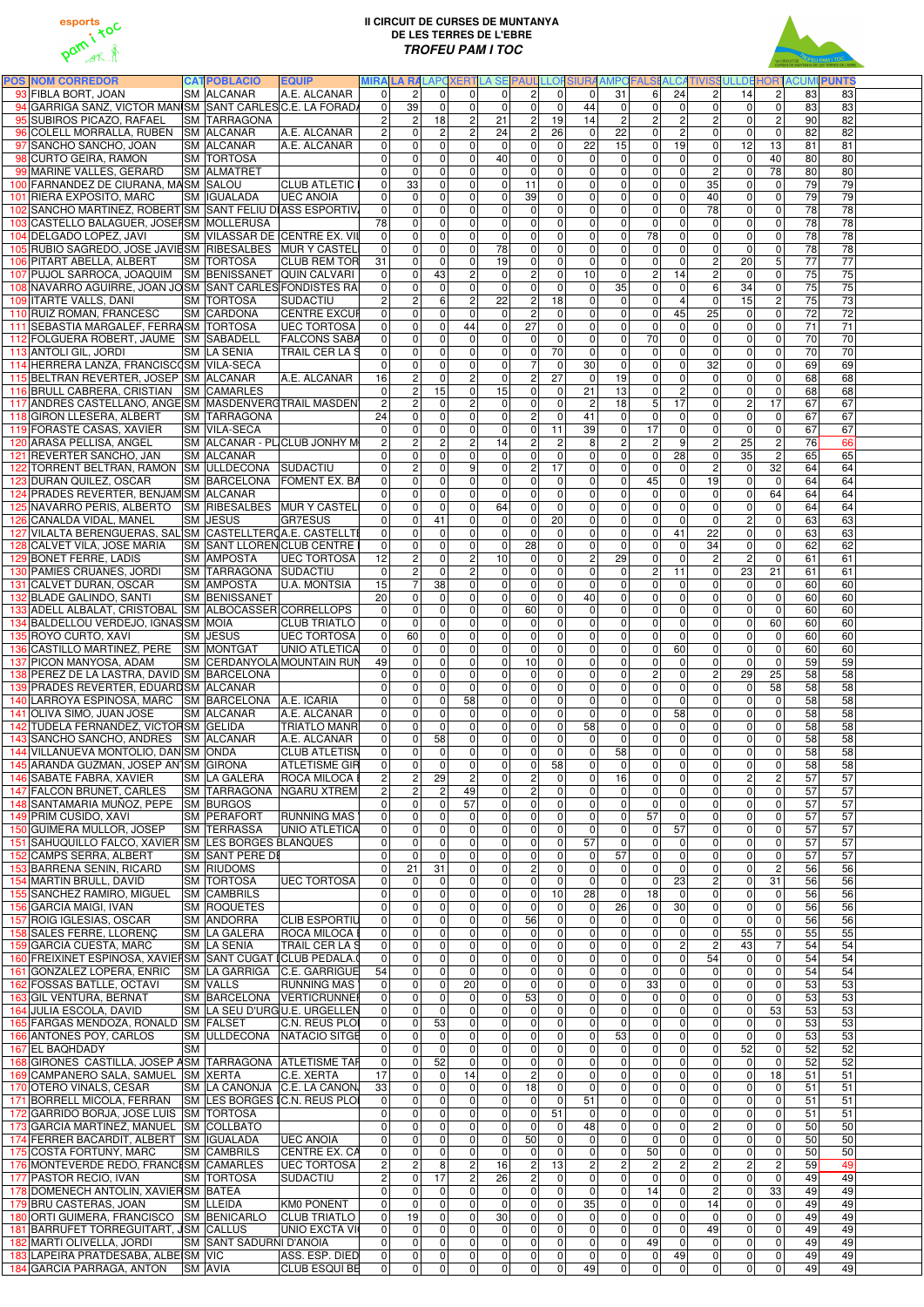



| <b>POS NOM CORREDOR</b>                                                                      | <b>CATPOBLACIÓ</b><br><b>EQUIP</b> |                       |                    |                                  |                                  |                          |                      |                                  |                            |                                  |                                               |                                | MIRA LA RALAPOXERTLA SE PAUL LLOFSIURA AMPOFALSI ALCATIVISSULLDE HORTACUMI PUNTS |                                           |                       |                       |  |
|----------------------------------------------------------------------------------------------|------------------------------------|-----------------------|--------------------|----------------------------------|----------------------------------|--------------------------|----------------------|----------------------------------|----------------------------|----------------------------------|-----------------------------------------------|--------------------------------|----------------------------------------------------------------------------------|-------------------------------------------|-----------------------|-----------------------|--|
| 93 FIBLA BORT, JOAN                                                                          | <b>SM ALCANAR</b>                  | A.E. ALCANAR          | $\Omega$           | $\overline{2}$                   | $\Omega$                         | $\Omega$                 | $\Omega$             | $\overline{2}$                   | $\Omega$                   | $\Omega$                         | 31<br>6 <sup>1</sup>                          | 24                             | $\overline{2}$<br>14                                                             | $\overline{c}$                            | 83                    | 83                    |  |
| 94 GARRIGA SANZ, VICTOR MANISM SANT CARLES C.E. LA FORADA                                    |                                    |                       | $\overline{0}$     | 39                               | $\Omega$                         | $\mathbf{0}$             | $\overline{0}$       | $\mathbf 0$                      | $\mathbf{0}$               | 44                               | $\mathbf 0$<br>$\overline{0}$                 | $\overline{0}$                 | $\overline{0}$                                                                   | $\overline{0}$<br>$\Omega$                | 83                    | 83                    |  |
| 95 SUBIROS PICAZO, RAFAEL                                                                    | <b>SM TARRAGONA</b>                |                       | $\overline{2}$     | $\sqrt{2}$                       | 18                               | $\overline{c}$           | 21                   | $\overline{2}$                   | 19                         | 14                               | 2 <br>$\overline{c}$                          | $\overline{2}$                 | $\overline{2}$                                                                   | 0 <br>$\overline{c}$                      | 90                    | 82                    |  |
| 96 COLELL MORRALLA, RUBEN SM ALCANAR                                                         |                                    | A.E. ALCANAR          | $\overline{2}$     | 0                                | $\overline{2}$                   | $\overline{c}$           | 24                   | $\overline{c}$                   | 26                         | $\Omega$                         | $\overline{22}$<br>$\Omega$                   | $\mathbf{2}$                   | 0                                                                                | $\mathbf{0}$<br>$\Omega$                  | 82                    | 82                    |  |
| 97 SANCHO SANCHO, JOAN                                                                       | <b>SM ALCANAR</b>                  | A.E. ALCANAR          | 0                  | $\pmb{0}$                        | $\mathbf{0}$                     | $\mathbf 0$              | $\overline{0}$       | $\pmb{0}$                        | $\mathbf 0$                | 22                               | 15<br>$\overline{0}$                          | 19                             | 12<br>$\overline{0}$                                                             | 13                                        | 81                    | 81                    |  |
| 98 CURTO GEIRA, RAMON                                                                        | <b>SM TORTOSA</b>                  |                       | $\mathbf{0}$       | 0                                | $\mathbf{0}$                     | $\pmb{0}$                | 40                   | $\pmb{0}$                        | 0                          | $\Omega$                         | $\mathbf 0$<br>$\overline{0}$                 | 0                              | $\overline{0}$                                                                   | $\mathbf 0$<br>40                         | 80                    | 80                    |  |
| 99 MARINE VALLES, GERARD                                                                     | <b>SM ALMATRET</b>                 |                       | $\Omega$           | 0                                | $\Omega$                         | $\mathbf 0$              | $\Omega$             | $\pmb{0}$                        | $\Omega$                   | $\Omega$                         | 0 <br> 0                                      | $\overline{0}$                 | $\overline{2}$                                                                   | 78<br>$\mathbf 0$                         | 80                    | 80                    |  |
| 100 FARNANDEZ DE CIURANA, MASM SALOU                                                         |                                    | <b>CLUB ATLETIC</b>   | 0                  | 33                               | $\Omega$                         | $\mathbf 0$              | $\overline{0}$       | 11                               | $\Omega$                   | $\Omega$                         | 0 <br>$\mathbf 0$                             | $\overline{0}$                 | 35                                                                               | $\mathbf 0$<br>$\Omega$                   | $\overline{79}$       | 79                    |  |
| 101 RIERA EXPOSITO, MARC                                                                     | <b>SM IGUALADA</b>                 | <b>UEC ANOIA</b>      | $\Omega$           | $\Omega$                         | $\Omega$                         | $\overline{0}$           | $\Omega$             | 39                               | $\Omega$                   | $\Omega$                         | $\overline{0}$<br>$\Omega$                    | $\Omega$                       | 40                                                                               | $\mathbf 0$<br>$\Omega$                   | 79                    | 79                    |  |
| 102 SANCHO MARTINEZ, ROBERT SM SANT FELIU DIASS ESPORTIV                                     |                                    |                       | $\Omega$           | $\mathbf{0}$                     | $\Omega$                         | $\overline{0}$           | $\Omega$             | $\mathbf 0$                      | $\Omega$                   | $\Omega$                         | $\overline{0}$<br>$\Omega$                    | $\overline{0}$                 | 78                                                                               | $\overline{0}$<br>$\Omega$                | 78                    | 78                    |  |
| 103 CASTELLO BALAGUER, JOSEFSM MOLLERUSA                                                     |                                    |                       | 78                 | 0                                | $\Omega$                         | $\overline{0}$           | $\overline{0}$       | $\pmb{0}$                        | $\Omega$                   | $\Omega$                         | $\overline{0}$<br>$\mathbf 0$                 | $\overline{0}$                 | $\overline{0}$                                                                   | $\mathbf 0$<br>$\Omega$                   | 78                    | 78                    |  |
| 104 DELGADO LOPEZ, JAVI                                                                      | SM VILASSAR DE (CENTRE EX. VII     |                       | $\Omega$           | 0                                | $\Omega$                         | $\Omega$                 | $\overline{0}$       | $\pmb{0}$                        | $\Omega$                   | $\Omega$                         | 78<br>$\mathbf 0$                             | 0                              | $\overline{0}$                                                                   | $\mathbf 0$<br>$\Omega$                   | 78                    | $\overline{78}$       |  |
| 105 RUBIO SAGREDO, JOSE JAVIESM RIBESALBES MUR Y CASTELI                                     |                                    |                       | $\Omega$           | $\mathbf 0$                      | $\Omega$                         | $\Omega$                 | 78                   | $\overline{\mathsf{o}}$          | $\Omega$                   | $\overline{0}$                   | $\Omega$<br>$\overline{0}$                    | $\Omega$                       | $\overline{0}$                                                                   | 0 <br>$\Omega$                            | 78                    | $\overline{78}$       |  |
| 106 PITART ABELLA, ALBERT                                                                    | <b>SM TORTOSA</b>                  | <b>CLUB REM TOR</b>   | 31                 | 0                                | $\mathbf{0}$                     | 0                        | 19                   | $\pmb{0}$                        | $\Omega$                   | $\Omega$                         | $\mathbf 0$<br>$\overline{0}$                 | 0                              | 20<br>$\overline{2}$                                                             | 5                                         | $\overline{77}$       | $\overline{77}$       |  |
| 107 PUJOL SARROCA, JOAQUIM SM BENISSANET QUIN CALVARI                                        |                                    |                       | $\overline{0}$     | $\pmb{0}$                        | 43                               | $\overline{c}$           | $\Omega$             | $\overline{2}$                   | $\mathbf 0$                | 10                               | $\overline{2}$<br>$\overline{0}$              | $\overline{14}$                | $\overline{2}$                                                                   | $\mathbf 0$<br>$\mathbf 0$                | 75                    | 75                    |  |
| 108 NAVARRO AGUIRRE, JOAN JOSM SANT CARLES FONDISTES RA                                      |                                    |                       | $\overline{0}$     | 0                                | $\Omega$                         | $\overline{0}$           | $\overline{0}$       | $\overline{0}$                   | $\mathbf 0$                | $\Omega$                         | 35<br>$\overline{0}$                          | $\mathbf 0$                    | 34<br>$\overline{6}$                                                             | $\mathbf 0$                               | 75                    | 75                    |  |
| 109 ITARTE VALLS, DANI                                                                       | <b>SM TORTOSA</b>                  | SUDACTIU              | $\mathbf{2}$       | $\overline{c}$                   | 6                                | $\mathbf 2$              | $\overline{22}$      | $\sqrt{2}$                       | 18                         | $\overline{0}$                   | 0 <br>$\overline{0}$                          | $\overline{4}$                 | 15<br>$\overline{0}$                                                             | $\sqrt{2}$                                | 75                    | 73                    |  |
| 110 RUIZ ROMAN, FRANCESC                                                                     | <b>SM CARDONA</b>                  | <b>CENTRE EXCUR</b>   | 0                  | $\overline{0}$                   | $\Omega$                         | $\mathbf 0$              | $\Omega$             | $\overline{2}$                   | $\mathbf{0}$               | $\overline{0}$                   | $\overline{0}$<br> 0                          | 45                             | 25                                                                               | $\overline{0}$<br>$\mathbf 0$             | 72                    | 72                    |  |
| 111 SEBASTIA MARGALEF, FERRASM TORTOSA                                                       |                                    | <b>UEC TORTOSA</b>    | $\overline{0}$     | 0                                | $\Omega$                         | 44                       | $\overline{0}$       | $\overline{27}$                  | $\mathbf{0}$               | $\overline{0}$                   | $\overline{0}$<br>$\mathbf 0$                 | $\mathbf 0$                    | $\overline{0}$                                                                   | 0 <br>$\overline{0}$                      | $\overline{71}$       | 71                    |  |
| 112 FOLGUERA ROBERT, JAUME SM SABADELL                                                       |                                    | <b>FALCONS SABA</b>   | 0                  | 0                                | $\Omega$                         | 0                        | $\Omega$             | $\mathbf 0$                      | $\mathbf{0}$               | $\overline{0}$                   | 70<br>$\mathbf 0$                             | $\overline{0}$                 | $\overline{0}$                                                                   | 0 <br>$\mathbf 0$                         | 70                    | 70                    |  |
| 113 ANTOLI GIL, JORDI                                                                        | <b>SM LA SENIA</b>                 | <b>TRAIL CER LA S</b> | 0                  | $\mathsf 0$                      | $\overline{0}$                   | $\mathbf 0$              | $\overline{0}$       | $\pmb{0}$                        | 70                         | $\overline{0}$                   | $\mathbf 0$<br>$\overline{0}$                 | 0                              | $\overline{0}$                                                                   | $\mathbf 0$<br>$\mathbf 0$                | 70                    | $\overline{70}$       |  |
| 114 HERRERA LANZA, FRANCISCOSM VILA-SECA                                                     |                                    |                       | $\Omega$           | 0                                | $\Omega$                         | $\mathbf 0$              | $\overline{0}$       | $\overline{7}$                   | $\mathbf 0$                | 30 <sup>°</sup>                  | $\mathbf 0$<br>$\overline{0}$                 | $\overline{0}$                 | 32                                                                               | $\mathbf 0$<br>$\mathbf 0$                | 69                    | 69                    |  |
| 115 BELTRAN REVERTER, JOSEP SM ALCANAR                                                       |                                    | A.E. ALCANAR          | 16                 | $\overline{c}$                   | $\mathbf 0$                      | $\overline{2}$           | $\overline{0}$       | $\mathbf 2$                      | $\overline{27}$            | $\overline{0}$                   | 19<br>$\overline{0}$                          | 0                              | $\overline{0}$                                                                   | $\mathbf 0$<br>$\mathbf 0$                | 68                    | 68                    |  |
| 116 BRULL CABRERA, CRISTIAN SM CAMARLES                                                      |                                    |                       | $\Omega$           | $\overline{2}$                   | $\overline{15}$                  | $\mathbf 0$              | 15                   | $\overline{\mathsf{o}}$          | $\mathbf 0$                | 21                               | 13<br>$\overline{0}$                          | $\overline{2}$                 | $\overline{0}$                                                                   | $\overline{0}$<br>0                       | 68                    | 68                    |  |
| 117 ANDRES CASTELLANO, ANGE SM MASDENVERGTRAIL MASDEN                                        |                                    |                       | $\overline{2}$     | $\overline{2}$                   | $\mathbf 0$                      | ΣJ                       | $\overline{0}$       | $\pmb{0}$                        | $\mathbf 0$                | $\overline{2}$                   | $\overline{5}$<br>18                          | $\overline{17}$                | $\overline{0}$                                                                   | $\vert$ 2<br>$\overline{17}$              | 67                    | 67                    |  |
| 118 GIRON LLESERA, ALBERT                                                                    | <b>SM TARRAGONA</b>                |                       | 24                 | $\mathbf 0$                      | $\Omega$                         | $\mathbf 0$              | $\overline{0}$       | $\overline{2}$                   | $\mathbf 0$                | 41                               | $\overline{0}$<br>$\Omega$                    | $\mathbf 0$                    | $\overline{0}$                                                                   | $\overline{0}$<br>$\mathbf 0$             | 67                    | 67                    |  |
| 119 FORASTE CASAS, XAVIER                                                                    | <b>SM VILA-SECA</b>                |                       | $\Omega$           | 0                                | $\mathbf{0}$                     | $\mathbf 0$              | $\Omega$             | $\mathbf 0$                      | 11                         | 39                               | 17<br>$\mathbf 0$                             | 0                              | $\overline{0}$                                                                   | $\mathbf 0$<br>$\mathbf 0$                | 67                    | 67                    |  |
| 120 ARASA PELLISA, ANGEL                                                                     | SM ALCANAR - PLICLUB JONHY M       |                       | $\overline{2}$     | $\overline{c}$                   | $\overline{2}$                   | $\overline{c}$           | 14                   | <sub>2</sub>                     | $\overline{c}$             | 8                                | 2 <br>$\overline{c}$                          | 9                              | $\overline{2}$<br>25                                                             | $\overline{2}$                            | 76                    | 66                    |  |
| 121 REVERTER SANCHO, JAN                                                                     | <b>SM ALCANAR</b>                  |                       | $\Omega$           | 0                                | $\Omega$                         | $\mathbf 0$              | $\Omega$             | $\mathbf 0$                      | $\Omega$                   | $\overline{0}$                   | $\overline{0}$<br>$\overline{0}$              | 28                             | 0<br>35                                                                          | $\overline{c}$                            | 65                    | 65                    |  |
| 122 TORRENT BELTRAN, RAMON SM ULLDECONA SUDACTIU                                             |                                    |                       | $\mathbf{0}$       | $\overline{c}$                   | $\Omega$                         | 9                        | $\overline{0}$       | $\boldsymbol{2}$                 | 17                         | $\overline{0}$                   | $\overline{0}$<br>$\overline{0}$              | $\Omega$                       | $\overline{c}$                                                                   | 32<br>$\mathbf{0}$                        | 64                    | 64                    |  |
| 123 DURAN QUILEZ, OSCAR                                                                      | SM BARCELONA FOMENT EX. BA         |                       | 0                  | 0                                | $\Omega$                         | $\mathbf 0$              | $\overline{0}$       | $\pmb{0}$                        | $\mathbf 0$                | $\overline{0}$                   | 45<br>$\mathbf 0$                             | 0                              | 19                                                                               | $\overline{0}$<br>$\mathbf 0$             | 64                    | 64                    |  |
| 124 PRADES REVERTER, BENJAM SM ALCANAR                                                       |                                    |                       | $\Omega$           | 0                                | $\Omega$                         | $\overline{0}$           | $\overline{0}$       | $\pmb{0}$                        | $\mathbf{0}$               | $\Omega$                         | $\mathbf 0$<br>$\overline{0}$                 | $\overline{0}$                 | $\Omega$                                                                         | $\mathbf 0$<br>64                         | 64                    | 64                    |  |
| 125 NAVARRO PERIS, ALBERTO SM RIBESALBES MURY CASTELI                                        |                                    |                       | $\Omega$           | 0                                | $\overline{0}$                   | $\mathbf 0$              | 64                   | $\mathbf 0$                      | $\mathbf{0}$               | $\overline{0}$                   | $\overline{0}$<br>$\mathbf 0$                 | $\Omega$                       | $\overline{0}$                                                                   | $\mathbf 0$<br>$\Omega$                   | 64                    | 64                    |  |
| 126 CANALDA VIDAL, MANEL                                                                     | <b>SM JESUS</b>                    | <b>GR7ESUS</b>        | $\Omega$           | 0                                | 41                               | $\mathbf 0$              | $\Omega$             | $\mathbf 0$                      | 20                         | $\Omega$                         | $\Omega$<br>$\overline{0}$                    | $\mathbf{0}$                   | $\overline{0}$                                                                   | $\overline{2}$<br>$\Omega$                | 63                    | 63                    |  |
| 127 VILALTA BERENGUERAS, SAL SM CASTELLTER CA.E. CASTELLTE                                   |                                    |                       | $\Omega$           | $\mathbf{0}$                     | $\Omega$                         | $\Omega$                 | $\Omega$             | $\Omega$                         | $\mathbf{0}$               | $\Omega$                         | $\overline{0}$<br>$\Omega$                    | 41                             | 22                                                                               | $\mathbf{0}$<br>$\Omega$                  | 63                    | 63                    |  |
| 128 CALVET VILA, JOSE MARIA                                                                  | SM SANT LLOREN CLUB CENTRE         |                       | $\Omega$           | $\mathbf 0$                      | $\Omega$                         | $\Omega$                 | $\Omega$             | 28                               | 0                          | $\Omega$                         | $\Omega$<br>$\overline{0}$                    | $\overline{0}$                 | 34                                                                               | $\mathbf 0$<br>$\Omega$                   | 62                    | 62                    |  |
| 129 BONET FERRE, LADIS                                                                       | <b>SM AMPOSTA</b>                  | <b>UEC TORTOSA</b>    | 12                 | $\overline{2}$                   | $\Omega$                         | $\overline{2}$           | 10 <sup>1</sup>      | 0                                | $\Omega$                   | 2 <sub>l</sub>                   | 29<br>$\overline{0}$                          | $\Omega$                       | $\overline{2}$                                                                   | $\overline{2}$<br>$\overline{0}$          | 61                    | 61                    |  |
| 130 PAMIES CRUAÑES, JORDI                                                                    | SM TARRAGONA SUDACTIU              |                       | 0                  | 2                                | 0                                | 2                        | $\overline{0}$       |                                  | 0                          | 0                                | $\mathsf{2}$<br>$\overline{0}$                | 11                             | 0<br>23                                                                          | 21                                        | 61                    | 61                    |  |
| 131 CALVET DURAN, OSCAR                                                                      | <b>SM AMPOSTA</b>                  | U.A. MONTSIA          | 15                 | $\overline{7}$                   | 38                               | $\overline{\mathsf{o}}$  | $\Omega$             | $\pmb{0}$                        | $\Omega$                   | $\overline{0}$                   | 0 <br>$\overline{0}$                          | $\overline{0}$                 | $\Omega$                                                                         | $\overline{0}$<br>$\mathbf 0$             | 60                    | 60                    |  |
| 132 BLADE GALINDO, SANTI                                                                     | <b>SM BENISSANET</b>               |                       | 20                 | $\mathbf 0$                      | $\Omega$                         | $\mathbf 0$              | $\Omega$             | $\overline{\mathsf{o}}$          | $\mathbf 0$                | 40                               | $\overline{0}$<br>$\overline{0}$              | $\overline{0}$                 | $\overline{0}$                                                                   | 0 <br>$\mathbf 0$                         | 60                    | 60                    |  |
| 133 ADELL ALBALAT, CRISTOBAL SM ALBOCASSER CORRELLOPS                                        |                                    |                       | 0                  | $\pmb{0}$                        | $\Omega$                         | $\mathbf 0$              | $\overline{0}$       | 60                               | $\overline{0}$             | $\overline{0}$                   | $\overline{0}$<br> 0                          | $\overline{0}$                 | $\overline{0}$                                                                   | $\mathbf 0$<br>$\mathbf 0$                | 60                    | $\overline{60}$       |  |
| 134 BALDELLOU VERDEJO, IGNASSM MOIA                                                          |                                    | <b>CLUB TRIATLÓ</b>   | 0                  | 0                                | $\mathbf{0}$                     | $\mathbf 0$              | $\overline{0}$       | $\pmb{0}$                        | 0                          | $\overline{0}$                   | 0 <br> 0                                      | $\mathbf 0$                    | $\overline{0}$                                                                   | $\mathbf 0$<br>60                         | 60                    | 60                    |  |
| 135 ROYO CURTO, XAVI                                                                         | <b>SM JESUS</b>                    | <b>UEC TORTOSA</b>    | 0                  | 60                               | $\Omega$                         | $\mathbf 0$              | $\overline{0}$       | $\pmb{0}$                        | $\overline{0}$             | $\overline{0}$                   | $\overline{0}$<br> 0                          | $\overline{0}$                 | $\overline{0}$                                                                   | $\mathbf 0$<br>$\overline{0}$             | 60                    | $\overline{60}$       |  |
| 136 CASTILLO MARTINEZ, PERE SM MONTGAT                                                       |                                    | <b>UNIO ATLETICA</b>  | 0                  | $\mathbf 0$                      | $\Omega$                         | $\mathbf 0$              | $\overline{0}$       | $\pmb{0}$                        | 0                          | $\overline{0}$                   | 0 <br> 0                                      | 60                             | $\overline{0}$                                                                   | 0 <br>$\mathbf 0$                         | 60                    | $\overline{60}$       |  |
| 137 PICON MANYOSA, ADAM                                                                      | <b>SM CERDANYOLA MOUNTAIN RUN</b>  |                       | 49                 | $\overline{0}$                   | 0                                | $\mathbf 0$              | $\overline{0}$       | 10                               | $\mathbf 0$                | $\overline{0}$                   | $\overline{0}$<br> 0                          | $\overline{0}$                 | $\overline{0}$                                                                   | 0 <br>$\mathbf 0$                         | 59                    | 59                    |  |
| 138 PEREZ DE LA LASTRA, DAVID SM BARCELONA                                                   |                                    |                       | $\overline{0}$     | 0                                | $\overline{0}$                   | 0                        | $\overline{0}$       | $\pmb{0}$                        | $\overline{0}$             | $\overline{0}$                   | $\mathbf{2}$<br> 0                            | $\overline{0}$                 | $\overline{2}$<br>29                                                             | 25                                        | $\overline{58}$       | $\overline{58}$       |  |
| 139 PRADES REVERTER, EDUARDSM ALCANAR<br>140 LARROYA ESPINOSA, MARC SM BARCELONA A.E. ICARIA |                                    |                       | $\overline{0}$     | 0                                | $\mathbf{0}$                     | $\mathbf 0$<br>58        | $\overline{0}$       | $\mathbf 0$<br>$\pmb{0}$         | $\mathbf 0$                | $\overline{0}$<br>$\overline{0}$ | 0 <br> 0 <br>$\overline{0}$                   | 0                              | $\overline{0}$<br>$\overline{0}$                                                 | $\mathbf 0$<br>58<br>$\mathbf 0$          | 58<br>$\overline{58}$ | $\overline{58}$<br>58 |  |
| 141 OLIVA SIMO, JUAN JOSE                                                                    | <b>SM ALCANAR</b>                  | A.E. ALCANAR          | $\mathbf{0}$<br> 0 | $\pmb{0}$<br>0                   | $\overline{0}$<br>$\overline{0}$ | $\mathbf 0$              | $\overline{0}$<br> 0 | $\overline{0}$                   | $\mathbf 0$<br>0           | $\overline{0}$                   | 0 <br> 0 <br>$\overline{0}$                   | $\mathbf 0$<br>$\overline{58}$ | $\overline{0}$                                                                   | $\mathbf 0$<br>$\mathbf 0$<br>$\mathbf 0$ | 58                    | 58                    |  |
| 142 TUDELA FERNANDEZ, VICTORSM GELIDA                                                        |                                    | <b>TRIATLO MANR</b>   | 0                  | $\pmb{0}$                        | $\overline{0}$                   | $\pmb{0}$                | 0                    | $\overline{0}$                   | $\mathbf 0$                | 58                               | 0 <br>$\overline{0}$                          | $\mathbf{0}$                   | $\overline{0}$                                                                   | $\pmb{0}$<br>$\mathbf 0$                  | 58                    | 58                    |  |
| 143 SANCHO SANCHO, ANDRES SM ALCANAR                                                         |                                    | A.E. ALCANAR          | 0                  | $\mathbf 0$                      | 58                               | $\mathbf 0$              | $\overline{0}$       | $\overline{\mathsf{o}}$          | $\mathbf 0$                | $\Omega$                         | $\mathbf 0$<br>$\overline{0}$                 | $\mathbf 0$                    | $\overline{0}$                                                                   | $\mathbf 0$<br>$\overline{0}$             | 58                    | 58                    |  |
| 144 VILLANUEVA MONTOLIO, DAN SM ONDA                                                         |                                    | <b>CLUB ATLETISN</b>  | 0                  | $\pmb{0}$                        | $\overline{0}$                   | $\pmb{0}$                | $\overline{0}$       | $\pmb{0}$                        | $\mathbf{0}$               | $\Omega$                         | 58<br>$\overline{0}$                          | 0                              | $\overline{0}$                                                                   | 0 <br>$\mathbf 0$                         | 58                    | 58                    |  |
| 145 ARANDA GUZMAN, JOSEP AN SM GIRONA                                                        |                                    | <b>ATLETISME GIR</b>  | 0                  | $\mathbf 0$                      | $\overline{0}$                   | $\mathbf 0$              | $\overline{0}$       | $\mathbf 0$                      | 58                         | $\Omega$                         | $\overline{0}$<br>$\mathbf 0$                 | 0                              | $\overline{0}$                                                                   | $\mathbf 0$<br>$\overline{0}$             | 58                    | 58                    |  |
| 146 SABATE FABRA, XAVIER                                                                     | <b>SM LA GALERA</b>                | <b>ROCA MILOCA B</b>  | $\overline{2}$     | $\sqrt{2}$                       | 29                               | $\overline{c}$           | $\overline{0}$       | $\boldsymbol{2}$                 | $\mathbf 0$                | $\Omega$                         | 16<br>$\overline{0}$                          | $\overline{0}$                 | $\overline{0}$                                                                   | $\overline{c}$<br>$\overline{2}$          | 57                    | 57                    |  |
| 147 FALCON BRUNET, CARLES                                                                    | <b>SM TARRAGONA</b>                | NGARU XTREM           | $\overline{2}$     | $\overline{2}$                   | $\overline{2}$                   | 49                       | $\overline{0}$       | $\overline{2}$                   | $\mathbf 0$                | $\overline{0}$                   | $\overline{0}$<br> 0                          | $\overline{0}$                 | $\overline{0}$                                                                   | $\mathbf 0$<br>$\mathbf 0$                | 57                    | $\overline{57}$       |  |
| 148 SANTAMARIA MUÑOZ, PEPE SM BURGOS                                                         |                                    |                       | $\Omega$           | $\mathbf 0$                      | $\Omega$                         | 57                       | $\overline{0}$       | $\overline{\mathsf{o}}$          | $\mathbf 0$                | $\overline{0}$                   | $\overline{0}$<br>$\mathbf 0$                 | 0                              | $\overline{0}$                                                                   | $\mathbf 0$<br>$\mathbf 0$                | 57                    | 57                    |  |
| 149 PRIM CUSIDO, XAVI                                                                        | <b>SM PERAFORT</b>                 | <b>RUNNING MAS</b>    | 0                  | $\overline{0}$                   | $\Omega$                         | $\mathbf 0$              | $\overline{0}$       | $\overline{0}$                   | $\Omega$                   | $\overline{0}$                   | 57<br> 0                                      | $\overline{0}$                 | $\overline{0}$                                                                   | 0 <br>$\mathbf 0$                         | $\overline{57}$       | 57                    |  |
| 150 GUIMERA MULLOR, JOSEP                                                                    | <b>SM TERRASSA</b>                 | <b>UNIO ATLETICA</b>  | 0                  | $\mathbf 0$                      | $\Omega$                         | $\mathbf 0$              | $\overline{0}$       | $\overline{\mathsf{o}}$          | $\mathbf{0}$               | $\Omega$                         | $\mathbf 0$<br>$\overline{0}$                 | 57                             | $\overline{0}$                                                                   | 0 <br>$\mathbf 0$                         | $\overline{57}$       | 57                    |  |
| 151 SAHUQUILLO FALCO, XAVIER SM LES BORGES BLANQUES                                          |                                    |                       | $\Omega$           | 0                                | $\Omega$                         | $\mathbf 0$              | $\overline{0}$       | $\overline{0}$                   | $\mathbf 0$                | 57                               | $\Omega$<br>$\overline{0}$                    | $\overline{0}$                 | $\overline{0}$                                                                   | $\mathbf 0$<br>$\Omega$                   | $\overline{57}$       | 57                    |  |
| 152 CAMPS SERRA, ALBERT                                                                      | <b>SM SANT PERE DE</b>             |                       | $\Omega$           | $\mathbf{0}$                     | $\mathbf{0}$                     | $\overline{0}$           | $\Omega$             | $\mathbf 0$                      | $\Omega$                   | $\Omega$                         | 57<br>$\overline{0}$                          | $\Omega$                       | $\overline{0}$                                                                   | $\mathbf{0}$<br>$\Omega$                  | 57                    | 57                    |  |
| 153 BARRENA SENIN, RICARD                                                                    | <b>SM RIUDOMS</b>                  |                       | $\Omega$           | $\overline{21}$                  | 31                               | $\mathbf 0$              | $\overline{0}$       | $\overline{2}$                   | $\Omega$                   | $\Omega$                         | $\overline{0}$<br> 0                          | $\overline{0}$                 | $\overline{0}$                                                                   | $\overline{c}$<br>$\mathbf 0$             | 56                    | 56                    |  |
| 154 MARTIN BRULL, DAVID                                                                      | <b>SM TORTOSA</b>                  | <b>UEC TORTOSA</b>    | $\Omega$           | $\Omega$                         | $\Omega$                         | $\mathbf 0$              | $\overline{0}$       | $\pmb{0}$                        | $\mathbf 0$                | $\Omega$                         | $\mathbf 0$<br>$\overline{0}$                 | 23                             | $\overline{2}$                                                                   | $\mathbf 0$<br>31                         | 56                    | 56                    |  |
| 155 SANCHEZ RAMIRO, MIGUEL                                                                   | <b>SM CAMBRILS</b>                 |                       | $\Omega$           | 0                                | $\mathbf{0}$                     | $\mathbf 0$              | $\overline{0}$       | $\mathbf 0$                      | 10                         | 28                               | 18<br>$\Omega$                                | $\mathbf 0$                    | $\overline{0}$                                                                   | $\mathbf 0$<br>$\overline{0}$             | 56                    | 56                    |  |
| 156 GARCIA MAIGI, IVAN                                                                       | <b>SM ROQUETES</b>                 |                       | $\Omega$           | 0                                | $\mathbf{0}$                     | $\mathbf 0$              | $\Omega$             | $\mathbf 0$                      | $\mathbf{0}$               | $\Omega$                         | 26<br>$\overline{0}$                          | 30                             | $\overline{0}$                                                                   | $\mathbf 0$<br>$\Omega$                   | 56                    | 56                    |  |
| 157 ROIG IGLESIAS, OSCAR                                                                     | <b>SM ANDORRA</b>                  | <b>CLIB ESPORTIU</b>  | 0                  | 0                                | $\Omega$                         | $\mathbf 0$              | $\Omega$             | 56                               | $\Omega$                   | $\Omega$                         | 0 <br>$\overline{0}$                          | $\mathbf 0$                    | $\overline{0}$                                                                   | $\mathbf 0$<br>$\mathbf 0$                | 56                    | 56                    |  |
| 158 SALES FERRE, LLORENC                                                                     | <b>SM LA GALERA</b>                | <b>ROCA MILOCA E</b>  | $\overline{0}$     | 0                                | $\Omega$                         | $\mathbf 0$              | $\overline{0}$       | $\pmb{0}$                        | $\Omega$                   | $\Omega$                         | 0 <br>$\overline{0}$                          | 0                              | 55<br>$\overline{0}$                                                             | $\mathbf 0$                               | 55                    | 55                    |  |
| 159 GARCIA CUESTA, MARC                                                                      | <b>SM LA SENIA</b>                 | <b>TRAIL CER LA S</b> | $\overline{0}$     | $\pmb{0}$                        | $\mathbf{0}$                     | $\mathbf 0$              | $\overline{0}$       | $\pmb{0}$                        | 0                          | $\overline{0}$                   | 0 <br> 0                                      | $\overline{c}$                 | 43<br>$\overline{c}$                                                             |                                           | 54                    | 54                    |  |
| 160 FREIXINET ESPINOSA, XAVIEI SM SANT CUGAT I CLUB PEDALA.                                  |                                    |                       | 0                  | $\overline{0}$                   | $\Omega$                         | $\mathbf 0$              | $\overline{0}$       | $\boldsymbol{0}$                 | $\overline{0}$             | $\overline{0}$                   | $\overline{0}$<br> 0                          | $\overline{0}$                 | 54                                                                               | 0 <br>$\mathbf 0$                         | 54                    | 54                    |  |
| 161 GONZALEZ LOPERA, ENRIC SM LA GARRIGA C.E. GARRIGUE                                       |                                    |                       | 54                 | $\pmb{0}$                        | $\Omega$                         | $\mathbf 0$              | $\overline{0}$       | $\overline{\mathsf{o}}$          | $\mathbf 0$                | $\overline{0}$                   | 0 <br>$\overline{0}$                          | $\overline{0}$                 | $\overline{0}$                                                                   | $\overline{0}$<br>$\mathbf 0$             | $\overline{54}$       | 54                    |  |
| 162 FOSSAS BATLLE, OCTAVI                                                                    | <b>SM VALLS</b>                    | <b>RUNNING MAS</b>    | 0                  | $\overline{0}$                   | $\overline{0}$                   | 20                       | $\overline{0}$       | $\pmb{0}$                        | $\Omega$                   | $\overline{0}$                   | 33<br> 0                                      | $\overline{0}$                 | $\overline{0}$                                                                   | 0 <br>$\mathbf 0$                         | 53                    | 53                    |  |
| 163 GIL VENTURA, BERNAT                                                                      | SM BARCELONA VERTICRUNNER          |                       | 0                  | 0                                | $\overline{0}$                   | $\mathbf 0$              | $\overline{0}$       | 53                               | $\mathbf 0$                | $\overline{0}$                   | $\mathbf 0$<br>$\overline{0}$                 | $\overline{0}$                 | $\overline{0}$                                                                   | $\mathbf 0$<br>0                          | 53                    | 53                    |  |
| 164 JULIA ESCOLA, DAVID                                                                      | SM LA SEU D'URGU.E. URGELLEN       |                       | 0                  | 0                                | $\overline{0}$<br>53             | $\mathbf 0$              | $\overline{0}$       | $\pmb{0}$                        | $\mathbf 0$                | $\overline{0}$                   | $\mathbf 0$<br>$\overline{0}$                 | $\overline{0}$                 | $\overline{0}$                                                                   | $\mathbf 0$<br>53<br>$\mathbf 0$          | 53<br>53              | 53<br>53              |  |
| 165 FARGAS MENDOZA, RONALD SM FALSET                                                         |                                    | C.N. REUS PLOI        | 0                  | $\pmb{0}$                        |                                  | $\pmb{0}$<br>$\mathbf 0$ | $\overline{0}$       | $\pmb{0}$                        | $\mathbf 0$                | $\overline{0}$                   | $\mathbf 0$<br>$\overline{0}$                 | $\overline{0}$                 | $\overline{0}$<br>$\overline{0}$                                                 | $\mathbf 0$                               |                       |                       |  |
| 166 ANTONES POY, CARLOS<br>167 EL BAQHDADY<br><b>SM</b>                                      | SM ULLDECONA NATACIO SITGE         |                       | $\Omega$<br> 0     | $\overline{0}$<br>$\overline{0}$ | $\overline{0}$<br> 0             | $\mathsf{O}\xspace$      | 0 <br> 0             | $\overline{0}$<br>$\overline{0}$ | $\mathbf 0$<br>$\mathbf 0$ | $\overline{0}$<br>$\overline{0}$ | 53<br>$\overline{0}$<br> 0 <br>$\overline{0}$ | $\overline{0}$<br> 0           | 52<br>$\overline{0}$                                                             | $\mathbf 0$<br>$\Omega$<br>$\mathbf 0$    | 53<br>52              | 53<br>52              |  |
| 168 GIRONES CASTILLA, JOSEP ASM TARRAGONA ATLETISME TAR                                      |                                    |                       | 0                  | 0                                | 52                               | $\overline{0}$           | $\overline{0}$       | $\overline{0}$                   | $\overline{0}$             | $\overline{0}$                   | $\overline{0}$<br>$\overline{0}$              | 0                              | 0                                                                                | 0 <br>$\overline{0}$                      | 52                    | 52                    |  |
| 169 CAMPANERO SALA, SAMUEL SM XERTA                                                          |                                    | C.E. XERTA            | 17                 | $\overline{0}$                   | 0                                | 14                       | $\overline{0}$       | $\overline{c}$                   | $\boldsymbol{0}$           | $\overline{0}$                   | $\mathbf 0$<br>$\overline{0}$                 | $\pmb{0}$                      | $\overline{0}$                                                                   | $\mathbf 0$<br>18                         | 51                    | 51                    |  |
| 170 OTERO VIÑALS, CESAR                                                                      | SM LA CANONJA C.E. LA CANON        |                       | 33                 | $\pmb{0}$                        | $\mathbf 0$                      | $\mathbf 0$              | $\overline{0}$       | 18                               | $\mathbf 0$                | $\mathbf 0$                      | $\mathbf 0$<br>$\overline{0}$                 | $\overline{0}$                 | $\overline{0}$                                                                   | $\mathbf 0$<br>$\mathbf 0$                | 51                    | 51                    |  |
| 171 BORRELL MICOLA, FERRAN                                                                   | SM LES BORGES IC.N. REUS PLOI      |                       | 0                  | 0                                | $\mathbf 0$                      | 0                        | $\mathbf 0$          | $\mathbf 0$                      | $\Omega$                   | 51                               | $\mathbf 0$<br>0                              | $\pmb{0}$                      | $\overline{0}$                                                                   | $\mathbf 0$<br>$\overline{0}$             | 51                    | 51                    |  |
| 172 GARRIDO BORJA, JOSE LUIS SM TORTOSA                                                      |                                    |                       | $\overline{0}$     | $\pmb{0}$                        | $\mathbf 0$                      | $\pmb{0}$                | $\overline{0}$       | $\pmb{0}$                        | 51                         | $\mathbf 0$                      | $\mathbf 0$<br>0                              | $\overline{0}$                 | $\overline{0}$                                                                   | $\mathbf 0$<br>$\mathbf 0$                | 51                    | 51                    |  |
| 173 GARCIA MARTINEZ, MANUEL SM COLLBATO                                                      |                                    |                       | $\overline{0}$     | 0                                | $\mathbf 0$                      | $\pmb{0}$                | $\overline{0}$       | $\mathbf 0$                      | $\mathbf 0$                | 48                               | $\mathbf 0$<br>$\overline{0}$                 | $\overline{0}$                 | $\overline{2}$                                                                   | $\mathbf 0$<br>$\mathbf 0$                | 50                    | 50                    |  |
| 174 FERRER BACARDIT, ALBERT SM IGUALADA                                                      |                                    | <b>UEC ANOIA</b>      | 0                  | $\pmb{0}$                        | $\overline{0}$                   | $\mathbf 0$              | $\overline{0}$       | 50                               | $\mathbf 0$                | $\overline{0}$                   | $\mathbf 0$<br>$\overline{0}$                 | $\overline{0}$                 | $\overline{0}$                                                                   | $\mathbf 0$<br>$\mathbf 0$                | 50                    | 50                    |  |
| 175 COSTA FORTUNY, MARC                                                                      | <b>SM CAMBRILS</b>                 | <b>CENTRE EX. CA</b>  | 0                  | 0                                | $\overline{0}$                   | 0                        | $\mathbf 0$          | $\pmb{0}$                        | 0                          | $\mathbf 0$                      | 50<br>$\mathbf 0$                             | $\overline{0}$                 | $\overline{0}$                                                                   | $\mathbf 0$<br>$\mathbf 0$                | 50                    | 50                    |  |
| 176 MONTEVERDE REDO, FRANCISM CAMARLES                                                       |                                    | <b>UEC TORTOSA</b>    | 2 <sub>1</sub>     | $\overline{c}$                   | 8                                | $\overline{c}$           | 16                   | $\overline{c}$                   | 13                         | $\overline{2}$                   | $\overline{c}$<br>$\overline{2}$              | $\overline{2}$                 | $\overline{2}$                                                                   | $\overline{c}$<br>$\overline{c}$          | 59                    | 49                    |  |
| 177 PASTOR RECIO, IVAN                                                                       | <b>SM TORTOSA</b>                  | SUDACTIU              | $\overline{2}$     | 0                                | 17                               | $\sqrt{2}$               | 26                   | $\overline{c}$                   | $\mathbf 0$                | $\overline{0}$                   | $\overline{0}$<br>$\overline{0}$              | $\overline{0}$                 | $\overline{0}$                                                                   | $\mathbf 0$<br>$\overline{0}$             | 49                    | 49                    |  |
| 178 DOMENECH ANTOLIN, XAVIERSM BATEA                                                         |                                    |                       | $\overline{0}$     | 0                                | $\overline{0}$                   | $\mathbf 0$              | $\Omega$             | $\pmb{0}$                        | 0                          | $\overline{0}$                   | $\mathbf 0$<br>14                             | $\mathbf 0$                    | $\overline{c}$                                                                   | 33<br>$\pmb{0}$                           | 49                    | 49                    |  |
| 179 BRU CASTERAS, JOAN                                                                       | <b>SM LLEIDA</b>                   | <b>KM0 PONENT</b>     | $\overline{0}$     | $\mathbf 0$                      | $\mathbf 0$                      | $\pmb{0}$                | $\overline{0}$       | $\pmb{0}$                        | 0                          | 35                               | $\mathbf 0$<br>0                              | $\overline{0}$                 | 14                                                                               | $\mathbf 0$<br>$\overline{0}$             | 49                    | 49                    |  |
| 180 ORTI GUIMERA, FRANCISCO SM BENICARLO                                                     |                                    | <b>CLUB TRIATLO</b>   | 0                  | 19                               | 0                                | $\mathbf 0$              | 30 <sup>°</sup>      | $\pmb{0}$                        | 0                          | $\overline{0}$                   | $\mathbf 0$<br>0                              | 0                              | $\mathbf 0$                                                                      | $\mathbf 0$<br>$\overline{0}$             | 49                    | 49                    |  |
| 181 BARRUFET TORREGUITART, JSM CALLUS                                                        |                                    | UNIO EXCTA VI         | $\overline{0}$     | $\mathbf 0$                      | $\overline{0}$                   | $\pmb{0}$                | $\Omega$             | $\pmb{0}$                        | 0                          | $\overline{0}$                   | $\mathbf 0$<br>$\overline{0}$                 | 0                              | 49                                                                               | $\pmb{0}$<br>$\overline{0}$               | 49                    | 49                    |  |
| 182 MARTI OLIVELLA, JORDI                                                                    | <b>SM SANT SADURNI D'ANOIA</b>     |                       | $\overline{0}$     | $\pmb{0}$                        | $\mathbf{0}$                     | $\pmb{0}$                | $\overline{0}$       | $\pmb{0}$                        | 0                          | $\overline{0}$                   | 49<br>$\overline{0}$                          | $\mathbf 0$                    | $\overline{0}$                                                                   | $\mathbf 0$<br>$\overline{0}$             | 49                    | 49                    |  |
| 183 LAPEIRA PRATDESABA, ALBEISM VIC                                                          |                                    | ASS. ESP. DIED        | 0                  | $\mathbf 0$                      | $\overline{0}$                   | $\mathbf 0$              | $\overline{0}$       | $\pmb{0}$                        | 0                          | $\overline{0}$                   | 0 <br>$\overline{0}$                          | 49                             | $\overline{0}$                                                                   | 0 <br>0                                   | 49                    | 49                    |  |
| 184 GARCIA PARRAGA, ANTON                                                                    | SM AVIA                            | CLUB ESQUÍ BE         | 0                  | 0                                | $\mathbf 0$                      | $\mathbf 0$              | $\mathbf 0$          | $\pmb{0}$                        | $\Omega$                   | 49                               | $\mathbf 0$<br>$\overline{0}$                 | $\mathbf 0$                    | $\overline{0}$                                                                   | $\mathbf 0$<br>$\overline{0}$             | 49                    | 49                    |  |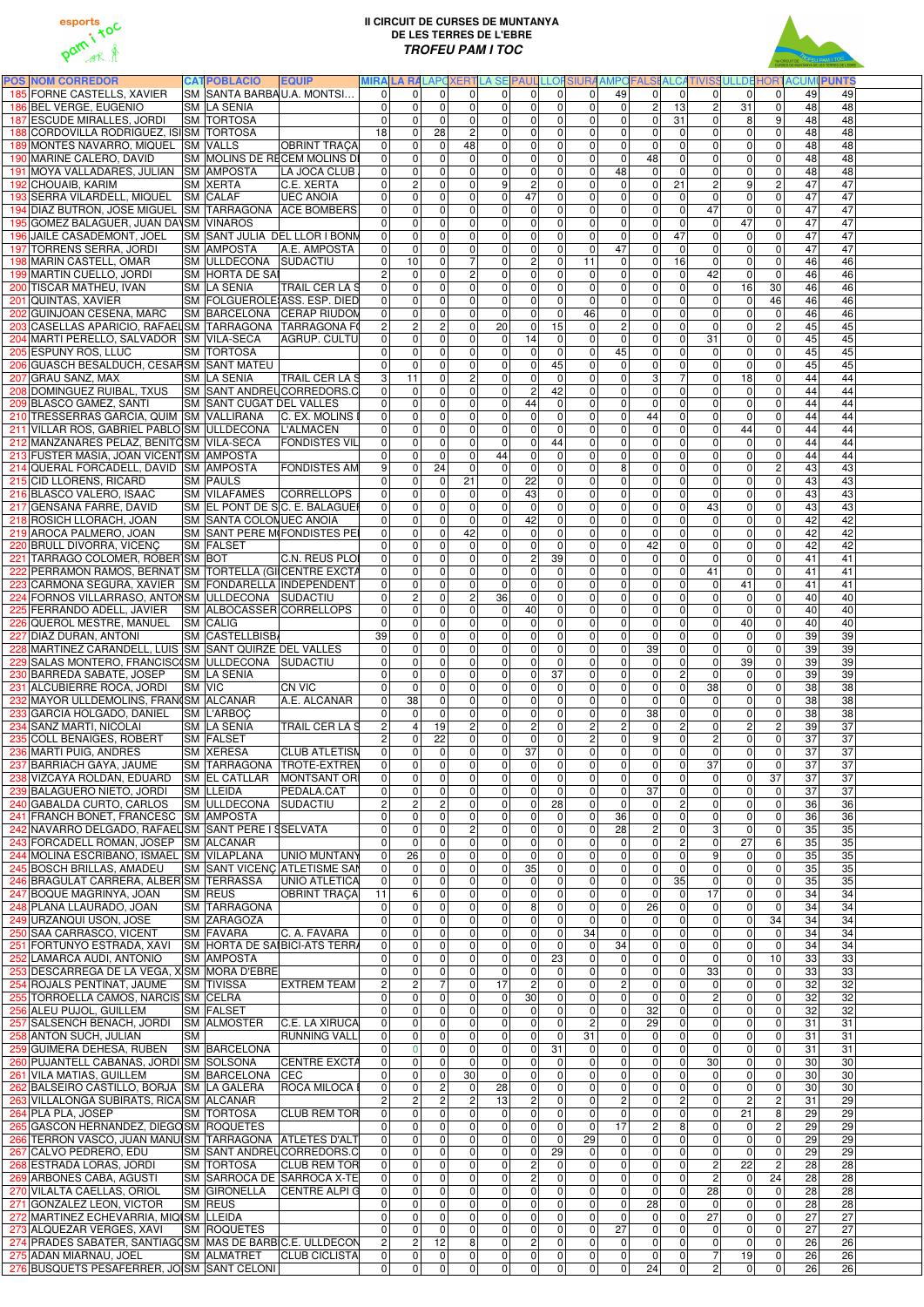



| <b>POS NOM CORREDOR</b>                                                |           | <b>CATPOBLACIÓ</b><br><b>EQUIP</b>                                                                     |                                  |                                                               |                                    |                                  |                                   |                                  |                                  |                                  |                                  | MIRALA RALAPOXERTLA SE PAUL LLOFSIURA AMPOFALSI ALCATIVISSULLDE HORTACUMI PUNTS |                                                              |                                      |                       |                                    |
|------------------------------------------------------------------------|-----------|--------------------------------------------------------------------------------------------------------|----------------------------------|---------------------------------------------------------------|------------------------------------|----------------------------------|-----------------------------------|----------------------------------|----------------------------------|----------------------------------|----------------------------------|---------------------------------------------------------------------------------|--------------------------------------------------------------|--------------------------------------|-----------------------|------------------------------------|
| 185 FORNE CASTELLS, XAVIER                                             |           | SM SANTA BARBAU.A. MONTSI                                                                              | $\Omega$                         | $\Omega$<br>$\Omega$                                          | $\Omega$                           | $\Omega$                         | $\Omega$                          | $\Omega$                         | $\Omega$                         | 49                               | $\Omega$                         | $\Omega$                                                                        | $\Omega$<br>$\Omega$                                         | $\Omega$                             | 49                    | 49                                 |
| 186 BEL VERGE, EUGENIO                                                 |           | <b>SM LA SENIA</b>                                                                                     | $\Omega$                         | $\Omega$<br>$\Omega$                                          | $\overline{0}$                     | $\Omega$                         | 0                                 | $\overline{0}$                   | $\overline{0}$                   | $\overline{0}$                   | $\mathbf{2}$                     | 13                                                                              | $\overline{c}$<br>31                                         | $\overline{0}$                       | 48                    | 48                                 |
| 187 ESCUDE MIRALLES, JORDI                                             |           | <b>SM TORTOSA</b>                                                                                      | $\overline{0}$                   | $\Omega$<br>$\mathbf{0}$                                      | $\overline{0}$                     | 0                                | 0                                 | $\overline{0}$                   | $\mathbf 0$                      | $\overline{0}$                   | $\overline{0}$                   | 31                                                                              | $\overline{0}$<br>8                                          | 9                                    | 48                    | 48                                 |
| 188 CORDOVILLA RODRIGUEZ, ISISM TORTOSA                                |           |                                                                                                        | 18                               | 28<br>$\Omega$                                                | $\overline{2}$                     | $\Omega$                         | $\mathbf 0$                       | $\overline{0}$                   | $\overline{0}$                   | $\overline{0}$                   | $\overline{0}$                   | $\mathbf 0$                                                                     | $\overline{0}$<br>$\Omega$                                   | 0                                    | 48                    | 48                                 |
| 189 MONTES NAVARRO, MIQUEL SM VALLS<br>190 MARINE CALERO, DAVID        |           | <b>OBRINT TRACA</b><br>SM MOLINS DE RECEM MOLINS DI                                                    | 0 <br> 0                         | 0<br>$\Omega$<br>0<br>$\Omega$                                | 48<br>$\overline{0}$               | 0 <br>$\overline{0}$             | $\overline{0}$<br>$\overline{0}$  | $\overline{0}$<br>$\overline{0}$ | $\overline{0}$<br>$\overline{0}$ | $\overline{0}$<br>$\overline{0}$ | $\mathbf 0$<br>48                | $\Omega$<br>$\mathbf{0}$                                                        | $\overline{0}$<br>$\overline{0}$<br>$\pmb{0}$<br>$\mathbf 0$ | 0<br>$\mathbf 0$                     | 48<br>48              | 48<br>48                           |
| 191 MOYA VALLADARES, JULIAN SM AMPOSTA                                 |           | LA JOCA CLUB                                                                                           | 0                                | $\mathbf 0$<br>$\overline{0}$                                 | $\overline{0}$                     | $\Omega$                         | $\overline{0}$                    | $\overline{0}$                   | $\overline{0}$                   | 48                               | $\overline{0}$                   | $\mathbf{0}$                                                                    | 0 <br> 0                                                     | $\mathbf 0$                          | 48                    | 48                                 |
| 192 CHOUAIB, KARIM                                                     |           | <b>SM XERTA</b><br>C.E. XERTA                                                                          | $\overline{0}$                   | $\overline{c}$<br>$\Omega$                                    | $\overline{0}$                     | 9                                | $\overline{2}$                    | $\overline{0}$                   | $\overline{0}$                   | $\overline{0}$                   | 0                                | 21                                                                              | $\overline{c}$<br>9                                          | $\overline{2}$                       | 47                    | 47                                 |
| 193 SERRA VILARDELL, MIQUEL                                            |           | <b>SM CALAF</b><br><b>UEC ANOIA</b>                                                                    | 0                                | 0<br>$\Omega$                                                 | $\overline{0}$                     | $\Omega$                         | $\overline{47}$                   | $\overline{0}$                   | $\overline{0}$                   | $\Omega$                         | $\overline{0}$                   | $\mathbf{0}$                                                                    | $\mathbf 0$<br>$\Omega$                                      | $\overline{0}$                       | 47                    | 47                                 |
|                                                                        |           | 194 DIAZ BUTRON, JOSE MIGUEL SM TARRAGONA ACE BOMBERS                                                  | $\Omega$                         | 0<br>$\Omega$                                                 | $\overline{0}$                     | $\Omega$                         | 0                                 | $\Omega$                         | $\overline{0}$                   | $\overline{0}$                   | $\overline{0}$                   | $\Omega$                                                                        | 47<br>$\mathbf{0}$                                           | $\mathbf 0$                          | 47                    | 47                                 |
| 195 GOMEZ BALAGUER, JUAN DA\SM VINAROS                                 |           |                                                                                                        | $\Omega$                         | 0<br>$\Omega$                                                 | $\overline{0}$                     | 0                                | 0                                 | $\overline{0}$                   | $\overline{0}$                   | $\overline{0}$                   | $\overline{0}$                   | $\mathbf 0$                                                                     | 47<br>$\Omega$                                               | $\Omega$                             | 47                    | 47                                 |
| 196 JAILE CASADEMONT, JOEL                                             |           | SM SANT JULIA DEL LLOR I BONM                                                                          | $\Omega$                         | $\mathbf 0$<br>$\Omega$                                       | $\overline{0}$                     | $\overline{0}$                   | 0                                 | $\overline{0}$                   | $\mathbf 0$                      | $\overline{0}$                   | $\overline{0}$                   | $\overline{47}$                                                                 | $\mathbf 0$<br>$\Omega$                                      | $\overline{0}$                       | 47                    | 47                                 |
| 197 TORRENS SERRA, JORDI                                               |           | <b>SM AMPOSTA</b><br>A.E. AMPOSTA                                                                      | $\Omega$                         | $\mathbf 0$<br>$\mathbf{0}$                                   | $\overline{0}$                     | $\overline{0}$                   | $\overline{0}$                    | $\overline{0}$                   | $\overline{0}$                   | 47                               | $\overline{0}$                   | $\mathbf{0}$                                                                    | $\overline{0}$<br>$\overline{0}$                             | $\overline{0}$                       | 47                    | $\overline{47}$                    |
| 198 MARIN CASTELL, OMAR                                                |           | SM ULLDECONA SUDACTIU                                                                                  | $\Omega$                         | 10<br>$\overline{0}$                                          | $\overline{7}$                     | 0                                | $\overline{2}$                    | $\overline{0}$                   | 11                               | $\overline{0}$                   | $\boldsymbol{0}$                 | 16                                                                              | $\mathbf 0$<br>$\mathbf 0$                                   | $\mathbf 0$                          | 46                    | 46                                 |
| 199 MARTIN CUELLO, JORDI                                               |           | <b>SM HORTA DE SAI</b>                                                                                 | $\overline{2}$                   | $\mathbf 0$<br>$\Omega$                                       | $\overline{2}$                     | $\overline{0}$                   | $\overline{0}$                    | $\overline{0}$                   | $\mathbf 0$                      | $\overline{0}$                   | $\overline{0}$                   | $\mathbf 0$                                                                     | $\overline{42}$<br>$\mathbf{0}$                              | $\mathbf 0$                          | 46                    | 46                                 |
| 200 TISCAR MATHEU, IVAN                                                |           | <b>SM LA SENIA</b><br><b>TRAIL CER LA S</b>                                                            | 0                                | $\mathbf 0$<br>$\mathbf{0}$                                   | $\overline{0}$                     | 0                                | $\overline{0}$                    | $\overline{0}$                   | $\overline{0}$                   | $\overline{0}$                   | $\overline{0}$                   | $\mathbf 0$                                                                     | $\overline{16}$<br>$\mathbf 0$                               | 30                                   | 46                    | 46                                 |
| 201 QUINTAS, XAVIER                                                    |           | SM FOLGUEROLE ASS. ESP. DIED                                                                           | 0                                | 0<br>$\mathbf{0}$                                             | $\overline{0}$                     | 0                                | $\overline{0}$                    | $\overline{0}$                   | $\overline{0}$                   | $\overline{0}$                   | 0                                | $\mathbf 0$                                                                     | 0 <br>$\overline{0}$                                         | 46                                   | 46                    | 46                                 |
| 202 GUINJOAN CESENA, MARC                                              |           | SM BARCELONA CERAP RIUDOM<br>203 CASELLAS APARICIO, RAFAELSM TARRAGONA TARRAGONA FO                    | 0                                | 0<br>$\mathbf 0$<br>$\overline{\mathbf{c}}$<br>$\overline{2}$ | $\overline{0}$<br>$\overline{0}$   | 0 <br>20                         | $\overline{0}$<br> 0              | $\overline{0}$<br>15             | 46<br>$\mathbf 0$                | $\overline{0}$<br>$\overline{2}$ | $\overline{0}$<br>$\overline{0}$ | $\mathbf 0$                                                                     | $\overline{0}$<br>$\overline{0}$                             | $\pmb{0}$<br>$\overline{c}$          | 46<br>45              | 46<br>45                           |
| 204 MARTI PERELLO, SALVADOR SM VILA-SECA                               |           | AGRUP. CULTU                                                                                           | $\overline{2}$<br>$\Omega$       | 0<br>$\mathbf{0}$                                             | $\overline{0}$                     | 0                                | $\overline{14}$                   | $\overline{0}$                   | $\overline{0}$                   | 0                                | $\overline{0}$                   | $\mathbf 0$<br>$\mathbf 0$                                                      | $\mathbf 0$<br> 0 <br>31<br> 0                               | $\mathbf 0$                          | 45                    | 45                                 |
| 205 ESPUNY ROS, LLUC                                                   |           | <b>SM TORTOSA</b>                                                                                      | $\Omega$                         | 0<br>$\overline{0}$                                           | $\overline{0}$                     | $\Omega$                         | $\overline{0}$                    | $\overline{0}$                   | $\mathbf 0$                      | 45                               | $\overline{0}$                   | $\mathbf 0$                                                                     | $\mathbf 0$<br> 0                                            | $\mathbf 0$                          | 45                    | 45                                 |
| 206 GUASCH BESALDUCH, CESAFSM SANT MATEU                               |           |                                                                                                        | $\Omega$                         | 0<br>$\overline{0}$                                           | $\overline{0}$                     | $\overline{0}$                   | $\overline{0}$                    | 45                               | $\overline{0}$                   | $\overline{0}$                   | $\overline{0}$                   | $\mathbf 0$                                                                     | $\mathbf 0$<br>$\mathbf 0$                                   | $\mathbf 0$                          | 45                    | 45                                 |
| 207 GRAU SANZ, MAX                                                     |           | <b>SM LA SENIA</b><br><b>TRAIL CER LA S</b>                                                            | $\mathbf 3$                      | 11<br>$\overline{0}$                                          | $\overline{2}$                     | 0                                | $\overline{0}$                    | $\overline{0}$                   | $\overline{0}$                   | $\overline{0}$                   | $\overline{3}$                   | $\overline{7}$                                                                  | 18<br>$\mathbf 0$                                            | $\pmb{0}$                            | 44                    | 44                                 |
|                                                                        |           | 208 DOMINGUEZ RUIBAL, TXUS SM SANT ANDREUCORREDORS.C                                                   | $\overline{0}$                   | $\mathbf 0$<br>$\mathbf{0}$                                   | $\overline{0}$                     | $\overline{0}$                   | $2 \vert$                         | 42                               | $\overline{0}$                   | $\overline{0}$                   | $\overline{0}$                   | $\mathbf 0$                                                                     | $\mathbf 0$<br>$\mathbf 0$                                   | $\mathbf 0$                          | 44                    | 44                                 |
| 209 BLASCO GAMEZ, SANTI                                                |           | <b>SM SANT CUGAT DEL VALLES</b>                                                                        | 0                                | 0<br>$\overline{0}$                                           | $\overline{0}$                     | 0                                | 44                                | $\overline{0}$                   | $\overline{0}$                   | $\overline{0}$                   | $\overline{0}$                   | $\mathbf 0$                                                                     | $\overline{0}$<br>$\mathbf 0$                                | $\mathbf 0$                          | 44                    | 44                                 |
| 210 TRESSERRAS GARCIA, QUIM SM VALLIRANA                               |           | C. EX. MOLINS                                                                                          | $\Omega$                         | 0<br>$\mathbf 0$                                              | $\overline{0}$                     | $\overline{0}$                   | $\overline{0}$                    | $\overline{0}$                   | $\overline{0}$                   | $\overline{0}$                   | 44                               | $\overline{0}$                                                                  | $\overline{0}$<br>$\mathbf 0$                                | $\mathbf 0$                          | 44                    | 44                                 |
| 211 VILLAR ROS, GABRIEL PABLO SM ULLDECONA L'ALMACEN                   |           |                                                                                                        | $\overline{0}$                   | 0<br>$\overline{0}$                                           | $\overline{0}$                     | $\Omega$                         | 0                                 | $\overline{0}$                   | $\overline{0}$                   | $\overline{0}$                   | $\mathbf 0$                      | $\Omega$                                                                        | 44<br>$\mathbf 0$                                            | $\mathbf 0$                          | 44                    | 44                                 |
| 212 MANZANARES PELAZ, BENITOSM VILA-SECA                               |           | <b>FONDISTES VIL</b>                                                                                   | 0                                | 0<br>$\mathbf{0}$                                             | $\overline{0}$                     | $\Omega$                         | 0                                 | 44                               | $\overline{0}$                   | $\overline{0}$                   | $\overline{0}$                   | $\Omega$                                                                        | 0 <br>$\mathbf{0}$                                           | $\mathbf 0$                          | 44                    | 44                                 |
| 213 FUSTER MASIA, JOAN VICENTSM AMPOSTA                                |           |                                                                                                        | $\Omega$                         | 0<br>$\Omega$                                                 | $\mathbf 0$                        | 44                               | $\mathbf 0$                       | $\overline{0}$                   | $\overline{0}$                   | $\overline{0}$                   | $\overline{0}$                   | $\Omega$                                                                        | $\overline{0}$<br>$\Omega$                                   | 0                                    | 44                    | 44                                 |
| 214 QUERAL FORCADELL, DAVID SM AMPOSTA                                 |           | <b>FONDISTES AM</b><br><b>SM PAULS</b>                                                                 | 9<br>$\Omega$                    | 24<br>0<br>0<br>$\mathbf{0}$                                  | $\mathbf 0$<br>21                  | $\Omega$<br>$\Omega$             | $\mathbf 0$<br>22                 | $\overline{0}$<br>$\overline{0}$ | $\overline{0}$<br>$\overline{0}$ | 8 <sup>1</sup><br>$\overline{0}$ | $\overline{0}$<br>$\overline{0}$ | $\Omega$<br>$\Omega$                                                            | $\overline{0}$<br>$\overline{0}$                             | $\sqrt{2}$<br>$\mathbf 0$            | 43<br>43              | 43<br>43                           |
| 215 CID LLORENS, RICARD<br>216 BLASCO VALERO, ISAAC                    |           | <b>SM VILAFAMES</b><br><b>CORRELLOPS</b>                                                               | 0                                | 0<br>$\Omega$                                                 | $\overline{0}$                     | $\Omega$                         | 43                                | $\overline{0}$                   | $\overline{0}$                   | $\overline{0}$                   | 0                                | $\Omega$                                                                        | $\mathbf 0$<br>$\mathbf 0$<br>$\mathbf 0$<br> 0              | $\mathbf 0$                          | 43                    | 43                                 |
| 217 GENSANA FARRE, DAVID                                               |           | SM EL PONT DE SC. E. BALAGUER                                                                          | $\Omega$                         | 0<br>$\Omega$                                                 | $\overline{0}$                     | $\Omega$                         | $\mathbf 0$                       | $\overline{0}$                   | $\overline{0}$                   | $\overline{0}$                   | $\overline{0}$                   | $\Omega$                                                                        | 43<br>$\Omega$                                               | $\mathbf 0$                          | 43                    | 43                                 |
| 218 ROSICH LLORACH, JOAN                                               |           | <b>SM SANTA COLONUEC ANOIA</b>                                                                         | $\Omega$                         | $\Omega$<br>$\Omega$                                          | $\overline{0}$                     | $\Omega$                         | 42                                | $\overline{0}$                   | $\mathbf 0$                      | $\overline{0}$                   | $\overline{0}$                   | $\Omega$                                                                        | $\mathbf 0$<br>$\Omega$                                      | $\Omega$                             | 42                    | 42                                 |
| 219 AROCA PALMERO, JOAN                                                |           | <b>SM SANT PERE MIFONDISTES PEI</b>                                                                    | $\Omega$                         | $\Omega$<br>$\Omega$                                          | 42                                 | $\Omega$                         | 0                                 | $\Omega$                         | $\Omega$                         | $\Omega$                         | $\overline{0}$                   | $\Omega$                                                                        | $\Omega$<br>$\Omega$                                         | $\Omega$                             | 42                    | 42                                 |
| 220 BRULL DIVORRA, VICENC                                              |           | <b>SM FALSET</b>                                                                                       | $\Omega$                         | 0<br>$\Omega$                                                 | $\overline{0}$                     | $\Omega$                         | 0                                 | $\Omega$                         | $\overline{0}$                   | $\overline{0}$                   | 42                               | $\overline{0}$                                                                  | 0 <br>$\Omega$                                               | $\mathbf 0$                          | 42                    | 42                                 |
| 221 TARRAGO COLOMER, ROBER SM BOT                                      |           | C.N. REUS PLOI                                                                                         | $\Omega$                         | $\overline{0}$<br>$\Omega$                                    | $\overline{0}$                     | $\overline{0}$                   | 2 <sup>1</sup>                    | 39                               | $\overline{0}$                   | $\overline{0}$                   | $\overline{0}$                   | $\Omega$                                                                        | $\Omega$<br>$\Omega$                                         | $\overline{0}$                       | 41                    | 41                                 |
|                                                                        |           | 222 PERRAMON RAMOS, BERNAT SM TORTELLA (GI CENTRE EXCTA                                                |                                  | 0                                                             | $\overline{0}$                     |                                  | 01                                | $\overline{0}$                   | 0                                | $\overline{0}$                   | 0                                | 0                                                                               | 41<br>01                                                     | 0                                    | 41                    | 41                                 |
| 223 CARMONA SEGURA, XAVIER SM FONDARELLA INDEPENDENT                   |           |                                                                                                        | $\Omega$                         | $\mathbf 0$<br>$\mathbf{0}$                                   | $\overline{0}$                     | 0                                | $\overline{0}$                    | $\overline{0}$                   | $\overline{0}$                   | $\overline{0}$                   | $\overline{0}$                   | $\mathbf 0$                                                                     | 41<br>$\mathbf 0$                                            | $\mathbf 0$                          | 41                    | $\overline{41}$                    |
| 224 FORNOS VILLARRASO, ANTONSM ULLDECONA SUDACTIU                      |           |                                                                                                        | $\Omega$                         | $\mathbf 2$<br>$\mathbf{0}$                                   | $\overline{2}$<br>$\overline{0}$   | 36                               | 0                                 | $\overline{0}$                   | $\overline{0}$                   | $\overline{0}$                   | $\overline{0}$                   | $\mathbf 0$                                                                     | $\overline{0}$<br>$\Omega$                                   | $\mathbf 0$                          | 40                    | 40                                 |
| 225 FERRANDO ADELL, JAVIER<br>226 QUEROL MESTRE, MANUEL                |           | SM ALBOCASSER CORRELLOPS<br><b>SM CALIG</b>                                                            | 0 <br> 0                         | $\pmb{0}$<br>$\mathbf 0$<br>0<br>$\mathbf{0}$                 | $\overline{0}$                     | $\overline{0}$<br>$\overline{0}$ | 40<br> 0                          | $\overline{0}$<br>$\overline{0}$ | $\overline{0}$<br>$\overline{0}$ | $\overline{0}$<br>$\overline{0}$ | 0 <br>$\overline{0}$             | $\mathbf 0$<br>$\mathbf 0$                                                      | 0 <br> 0 <br> 0 <br>40                                       | $\mathbf 0$<br>$\pmb{0}$             | 40<br>40              | $\overline{40}$<br>40              |
| 227 DIAZ DURAN, ANTONI                                                 |           | <b>SM CASTELLBISB</b>                                                                                  | 39                               | $\mathbf 0$<br>$\mathbf 0$                                    | $\overline{0}$                     | $\Omega$                         | $\boldsymbol{0}$                  | $\overline{0}$                   | $\overline{0}$                   | $\overline{0}$                   | $\overline{0}$                   | $\mathbf 0$                                                                     | 0 <br> 0                                                     | $\pmb{0}$                            | 39                    | 39                                 |
| 228 MARTINEZ CARANDELL, LUIS SM SANT QUIRZE DEL VALLES                 |           |                                                                                                        | $\mathbf 0$                      | 0<br>$\mathbf{0}$                                             | $\overline{0}$                     | $\overline{0}$                   | $\boldsymbol{0}$                  | $\overline{0}$                   | $\overline{0}$                   | 0                                | 39                               | $\mathbf 0$                                                                     | 0 <br> 0                                                     | $\pmb{0}$                            | 39                    | 39                                 |
| 229 SALAS MONTERO, FRANCISC (SM ULLDECONA SUDACTIU                     |           |                                                                                                        | 0                                | 0<br>$\overline{0}$                                           | $\overline{0}$                     | $\overline{0}$                   | $\overline{0}$                    | $\overline{0}$                   | $\overline{0}$                   | $\overline{0}$                   | $\overline{0}$                   | $\mathbf 0$                                                                     | 0 <br>39                                                     | $\mathbf 0$                          | 39                    | 39                                 |
| 230 BARREDA SABATE, JOSEP                                              |           | <b>SM LA SENIA</b>                                                                                     | $\Omega$                         | 0<br>$\overline{0}$                                           | $\overline{0}$                     | 0                                | $\boldsymbol{0}$                  | $\overline{37}$                  | $\overline{0}$                   | $\overline{0}$                   | $\boldsymbol{0}$                 | $\overline{c}$                                                                  | $\mathbf 0$<br> 0                                            | $\pmb{0}$                            | 39                    | 39                                 |
| 231 ALCUBIERRE ROCA, JORDI                                             |           | <b>CN VIC</b><br><b>SM VIC</b>                                                                         | $\mathbf{0}$                     | 0<br>$\overline{0}$                                           | $\overline{0}$                     | 0                                | $\overline{0}$                    | $\overline{0}$                   | $\overline{0}$                   | $\overline{0}$                   | $\overline{0}$                   | $\mathbf 0$                                                                     | အ<br> 0                                                      | $\pmb{0}$                            | 38                    | $\overline{38}$                    |
| 232 MAYOR ULLDEMOLINS, FRAN(SM ALCANAR                                 |           | A.E. ALCANAR                                                                                           | $\mathbf 0$                      | $\overline{38}$<br>$\mathbf 0$                                | $\overline{0}$                     | $\overline{0}$                   | $\boldsymbol{0}$                  | $\overline{0}$                   | $\overline{0}$                   | $\overline{0}$                   | $\overline{0}$                   | $\mathbf 0$                                                                     | $\pmb{0}$<br> 0                                              | $\pmb{0}$                            | 38                    | $\overline{38}$                    |
| 233 GARCIA HOLGADO, DANIEL SM L'ARBOC                                  |           |                                                                                                        | $\Omega$                         | 0<br>$\mathbf 0$                                              | $\overline{0}$                     | $\overline{0}$                   | $\overline{0}$                    | $\overline{0}$                   | $\overline{0}$                   | 0                                | 38                               | $\mathbf 0$                                                                     | 0 <br>$\overline{0}$                                         | $\mathbf 0$                          | 38                    | $\overline{38}$                    |
| 234 SANZ MARTI, NICOLAI<br>235 COLL BENAIGES, ROBERT                   |           | SM LA SENIA<br><b>TRAIL CER LA S</b>                                                                   | $\overline{2}$<br>$\overline{2}$ | 19<br>$\overline{4}$<br>$\mathbf 0$<br>22                     | $\overline{2}$<br>$\overline{0}$   | $\overline{0}$<br> 0             | $\overline{2}$<br>$\overline{0}$  | 0 <br>$\overline{0}$             | $\overline{2}$<br>$\overline{2}$ | $\overline{2}$<br>$\overline{0}$ | 0 <br> 9                         | $\overline{c}$<br>$\mathbf{0}$                                                  | $\vert$ 2<br> 0 <br>$\overline{2}$<br> 0                     | $\overline{c}$<br>$\overline{0}$     | 39<br>$\overline{37}$ | $\overline{37}$<br>$\overline{37}$ |
| 236 MARTI PUIG, ANDRES                                                 |           | <b>SM FALSET</b><br><b>SM XERESA</b><br><b>CLUB ATLETISM</b>                                           | 0                                | 0<br>$\mathbf 0$                                              | $\overline{0}$                     | $\overline{0}$                   | 37                                | $\overline{0}$                   | $\overline{0}$                   | $\overline{0}$                   | 0                                | $\mathbf 0$                                                                     | $\mathbf 0$<br> 0                                            | $\mathbf 0$                          | 37                    | 37                                 |
| 237 BARRIACH GAYA, JAUME                                               |           | SM TARRAGONA TROTE-EXTREN                                                                              | 0                                | 0<br>$\mathbf{0}$                                             | $\overline{0}$                     | $\overline{0}$                   | 0                                 | $\overline{0}$                   | $\overline{0}$                   | $\overline{0}$                   | $\overline{0}$                   | $\mathbf 0$                                                                     | 37<br>$\mathbf 0$                                            | $\mathbf 0$                          | 37                    | 37                                 |
| 238 VIZCAYA ROLDÁN, EDUARD                                             |           | SM EL CATLLAR   MONTSANT ORI                                                                           | 0                                | 0<br>$\overline{0}$                                           | $\overline{0}$                     | 0                                | 0                                 | $\overline{0}$                   | $\overline{0}$                   | $\overline{0}$                   | $\mathbf 0$                      | $\Omega$                                                                        | $\mathbf 0$<br>$\overline{0}$                                | $\overline{37}$                      | 37                    | 37                                 |
| 239 BALAGUERO NIETO, JORDI                                             |           | <b>SM LLEIDA</b><br>PEDALA.CAT                                                                         | $\overline{0}$                   | 0<br>$\overline{0}$                                           | $\overline{0}$                     | 0                                | 0                                 | $\overline{0}$                   | $\overline{0}$                   | $\overline{0}$                   | $\overline{37}$                  | $\mathbf 0$                                                                     | 0 <br>$\overline{0}$                                         | $\pmb{0}$                            | 37                    | 37                                 |
| 240 GABALDA CURTO, CARLOS                                              |           | SM ULLDECONA SUDACTIU                                                                                  | $\overline{c}$                   | $\overline{2}$<br>$\overline{2}$                              | $\overline{0}$                     | 0                                | 0                                 | 28                               | $\overline{0}$                   | $\overline{0}$                   | $\overline{0}$                   | $\overline{2}$                                                                  | $\overline{0}$<br> 0                                         | $\pmb{0}$                            | 36                    | 36                                 |
| 241 FRANCH BONET, FRANCESC SM AMPOSTA                                  |           |                                                                                                        | $\mathbf 0$                      | 0<br>$\mathbf 0$                                              | $\overline{0}$                     | 0                                | $\overline{0}$                    | $\Omega$                         | $\overline{0}$                   | 36                               | 0                                | $\mathbf 0$                                                                     | 0 <br> 0                                                     | $\pmb{0}$                            | 36                    | 36                                 |
| 242 NAVARRO DELGADO, RAFAEL SM SANT PERE I SSELVATA                    |           |                                                                                                        | 0                                | 0<br>$\mathbf 0$                                              | $\overline{2}$                     | 0                                | $\overline{0}$                    | $\overline{0}$                   | $\overline{0}$                   | 28                               | $\overline{2}$                   | $\Omega$                                                                        | ω<br> 0                                                      | $\mathbf 0$                          | 35                    | 35                                 |
| 243 FORCADELL ROMAN, JOSEP SM ALCANAR                                  |           |                                                                                                        | $\Omega$                         | $\mathbf 0$<br>$\Omega$                                       | $\overline{0}$                     | $\overline{0}$                   | 0                                 | $\overline{0}$                   | $\mathbf 0$                      | $\Omega$                         | 0                                | $\overline{2}$                                                                  | $\overline{27}$<br> 0                                        | $6 \,$                               | 35                    | 35                                 |
| 244 MOLINA ESCRIBANO, ISMAEL SM VILAPLANA<br>245 BOSCH BRILLAS, AMADEU |           | UNIO MUNTANY<br><b>SM SANT VICENC ATLETISME SAN</b>                                                    | 0 <br>$\overline{0}$             | $\overline{26}$<br>$\Omega$<br>$\Omega$<br>$\Omega$           | $\overline{0}$<br>$\overline{0}$   | $\Omega$<br> 0                   | 0 <br>35                          | $\overline{0}$<br>$\overline{0}$ | $\overline{0}$<br>$\mathbf 0$    | $\Omega$<br>$\overline{0}$       | $\overline{0}$<br> 0             | $\Omega$<br>$\overline{0}$                                                      | 9 <sup>1</sup><br>$\Omega$<br> 0 <br> 0                      | $\mathbf 0$<br>$\mathbf 0$           | 35<br>35              | 35<br>35                           |
| 246 BRAGULAT CARRERA, ALBER SM TERRASSA                                |           | UNIO ATLETICA                                                                                          | 0                                | 0<br>$\Omega$                                                 | $\overline{0}$                     | 0                                | $\overline{0}$                    | $\overline{0}$                   | $\mathbf 0$                      | $\overline{0}$                   | $\overline{0}$                   | 35                                                                              | $\mathbf 0$<br>$\mathbf 0$                                   | $\mathbf 0$                          | 35                    | 35                                 |
| 247 BOQUE MAGRINYA, JOAN                                               |           | <b>SM REUS</b><br><b>OBRINT TRAÇA</b>                                                                  | 11                               | $\,6\,$<br>$\Omega$                                           | $\overline{0}$                     | 0                                | $\boldsymbol{0}$                  | $\overline{0}$                   | $\overline{0}$                   | $\overline{0}$                   | $\overline{0}$                   | $\mathbf 0$                                                                     | $\overline{17}$<br>$\mathbf 0$                               | $\mathbf 0$                          | 34                    | 34                                 |
| 248 PLANA LLAURADO, JOAN                                               |           | <b>SM TARRAGONA</b>                                                                                    | $\Omega$                         | 0<br>$\overline{0}$                                           | $\overline{0}$                     | 0                                | $\overline{8}$                    | $\overline{0}$                   | $\overline{0}$                   | $\overline{0}$                   | $\overline{26}$                  | $\Omega$                                                                        | $\mathbf 0$<br>$\mathbf 0$                                   | $\mathbf 0$                          | 34                    | 34                                 |
| 249 URZANQUI USON, JOSE                                                |           | <b>SM ZARAGOZA</b>                                                                                     | $\Omega$                         | 0<br>$\Omega$                                                 | $\overline{0}$                     | $\overline{0}$                   | $\overline{0}$                    | $\overline{0}$                   | $\overline{0}$                   | $\overline{0}$                   | $\mathbf 0$                      | $\Omega$                                                                        | 0 <br>$\mathbf 0$                                            | $\overline{34}$                      | 34                    | 34                                 |
| 250 SAA CARRASCO, VICENT                                               |           | C. A. FAVARA<br><b>SM FAVARA</b>                                                                       | 0                                | 0<br>$\overline{0}$                                           | $\overline{0}$                     | 0                                | $\overline{0}$                    | $\overline{0}$                   | 34                               | $\overline{0}$                   | $\overline{0}$                   | $\Omega$                                                                        | 0 <br>$\overline{0}$                                         | 0                                    | 34                    | 34                                 |
|                                                                        |           | 251 FORTUNYO ESTRADA, XAVI SM HORTA DE SAIBICI-ATS TERRA                                               | 0                                | 0<br>$\mathbf 0$                                              | $\overline{0}$                     | $\Omega$                         | 0                                 | $\overline{0}$                   | $\mathbf 0$                      | 34                               | $\overline{0}$                   | $\mathbf 0$                                                                     | 0 <br>$\overline{0}$                                         | 0                                    | 34                    | 34                                 |
| 252 LAMARCA AUDI, ANTONIO                                              |           | <b>SM AMPOSTA</b>                                                                                      | $\Omega$                         | 0<br>$\overline{0}$                                           | $\overline{0}$                     | 0                                | $\overline{0}$                    | 23                               | $\mathbf 0$                      | 0                                | 0                                | $\mathbf 0$                                                                     | $\mathbf 0$<br>$\mathbf 0$                                   | 10                                   | 33                    | 33                                 |
| 253 DESCARREGA DE LA VEGA, X SM MORA D'EBRE                            |           |                                                                                                        | $\overline{0}$                   | $\pmb{0}$<br>$\mathbf 0$                                      | $\overline{0}$                     | 0                                | $\overline{0}$                    | $\overline{0}$                   | $\overline{0}$                   | $\overline{0}$                   | $\overline{0}$                   | $\mathbf 0$                                                                     | 33<br>$\mathbf 0$                                            | $\pmb{0}$                            | 33                    | 33                                 |
| 254 ROJALS PENTINAT, JAUME                                             |           | <b>SM TIVISSA</b><br><b>EXTREM TEAM</b>                                                                | $\overline{2}$<br>$\Omega$       | $\overline{\mathbf{c}}$<br>$\overline{7}$<br>0<br>$\Omega$    | $\overline{0}$<br>$\overline{0}$   | 17                               | $\overline{2}$<br>30 <sub>o</sub> | $\overline{0}$                   | $\overline{0}$<br>$\overline{0}$ | $\overline{2}$<br>$\overline{0}$ | 0 <br>$\overline{0}$             | $\mathbf 0$                                                                     | 0 <br> 0 <br>$\overline{c}$                                  | $\mathbf 0$<br>$\pmb{0}$             | 32<br>32              | 32<br>$\overline{32}$              |
| 255 TORROELLA CAMOS, NARCIS SM CELRA<br>256 ALEU PUJOL, GUILLEM        |           | <b>SM FALSET</b>                                                                                       | $\mathbf 0$                      | 0<br>$\overline{0}$                                           | $\overline{0}$                     | $\overline{0}$<br>$\overline{0}$ | $\overline{0}$                    | $\overline{0}$<br>$\overline{0}$ | $\overline{0}$                   | $\overline{0}$                   | 32                               | $\mathbf 0$<br>$\mathbf 0$                                                      | 0 <br> 0 <br>$\overline{0}$                                  | $\pmb{0}$                            | 32                    | 32                                 |
| 257 SALSENCH BENACH, JORDI                                             |           | <b>SM ALMOSTER</b><br>C.E. LA XIRUCA                                                                   | 0                                | $\pmb{0}$<br>$\overline{0}$                                   | $\overline{0}$                     | $\overline{0}$                   | $\boldsymbol{0}$                  | $\overline{0}$                   | $\overline{2}$                   | $\overline{0}$                   | 29                               | $\mathbf 0$                                                                     | 0 <br> 0                                                     | $\pmb{0}$                            | 31                    | 31                                 |
| 258 ANTON SUCH, JULIAN                                                 | <b>SM</b> | <b>RUNNING VALL</b>                                                                                    | 0                                | $\mathbf 0$<br>$\mathbf 0$                                    | $\overline{0}$                     | $\overline{0}$                   | $\overline{0}$                    | $\overline{0}$                   | $\overline{31}$                  | $\overline{0}$                   | $\overline{0}$                   | $\mathbf 0$                                                                     | $\overline{0}$<br>$\overline{0}$                             | $\mathbf 0$                          | 31                    | 31                                 |
| 259 GUIMERA DEHESA, RUBEN                                              |           | <b>SM BARCELONA</b>                                                                                    | 0                                | $\mathbf 0$<br>$\overline{0}$                                 | $\overline{0}$                     | 0                                | $\overline{0}$                    | 31                               | $\overline{0}$                   | $\overline{0}$                   | 0                                | $\mathbf 0$                                                                     | 0 <br> 0                                                     | $\boldsymbol{0}$                     | 31                    | 31                                 |
| 260 PUJANTELL CABANAS, JORDI SM SOLSONA                                |           | CENTRE EXCTA                                                                                           | $\overline{0}$                   | $\overline{\mathsf{o}}$<br> 0                                 | 0                                  | 0                                | $\overline{0}$                    | $\overline{\bullet}$             | 0                                | 0                                | 0                                | $\overline{0}$                                                                  | 30 <sup>1</sup><br> 0                                        | $\overline{0}$                       | 30                    | 30                                 |
| 261 VILA MATIAS, GUILLEM                                               |           | <b>SM BARCELONA</b><br> CEC                                                                            | $\mathbf 0$                      | $\pmb{0}$<br>$\mathbf 0$                                      | 30 <sup>°</sup>                    | 0                                | $\overline{0}$                    | $\overline{0}$                   | $\boldsymbol{0}$                 | $\overline{0}$                   | $\boldsymbol{0}$                 | $\mathbf 0$                                                                     | $\mathbf 0$<br>$\mathbf 0$                                   | $\pmb{0}$                            | 30                    | 30                                 |
| 262 BALSEIRO CASTILLO, BORJA SM LA GALERA                              |           | <b>ROCA MILOCA</b>                                                                                     | 0                                | 0<br>$\overline{c}$                                           | $\overline{0}$                     | 28                               | 0                                 | $\overline{0}$                   | $\overline{0}$                   | $\overline{0}$                   | $\overline{0}$                   | $\mathbf 0$                                                                     | $\mathbf 0$<br>$\mathbf 0$                                   | $\mathbf 0$                          | 30                    | 30                                 |
| 263 VILLALONGA SUBIRATS, RICA SM ALCANAR                               |           |                                                                                                        |                                  | $\overline{\mathbf{c}}$<br>2                                  | $\sqrt{2}$                         | 13                               | $\overline{2}$                    | $\boldsymbol{0}$                 | $\overline{0}$                   | $\overline{\mathbf{c}}$          | $\overline{0}$                   | $\overline{c}$                                                                  | $\overline{c}$<br>0                                          | $\overline{\mathbf{c}}$              | 31                    | 29                                 |
| 264 PLA PLA, JOSEP<br>265 GASCON HERNANDEZ, DIEGOSM ROQUETES           |           | <b>SM TORTOSA</b><br><b>CLUB REM TOR</b>                                                               | 0 <br>$\Omega$                   | 0<br>$\overline{0}$<br>0<br>$\Omega$                          | $\overline{0}$<br>$\overline{0}$   | 0                                | $\overline{0}$                    | 0 <br>$\overline{0}$             | $\boldsymbol{0}$<br>$\mathbf 0$  | $\overline{0}$<br>17             | $\boldsymbol{0}$                 | $\mathbf 0$<br>8                                                                | 21<br>$\mathbf 0$                                            | 8                                    | 29                    | 29<br>29                           |
| 266 TERRON VASCO, JUAN MANU SM TARRAGONA ATLETES D'ALT                 |           |                                                                                                        | 0                                | 0<br>$\Omega$                                                 | $\overline{0}$                     | 0 <br> 0                         | $\overline{0}$<br> 0              | $\overline{0}$                   | 29                               | $\overline{0}$                   | $\overline{2}$<br>$\overline{0}$ | $\mathbf 0$                                                                     | $\mathbf 0$<br>$\mathbf 0$<br> 0 <br>$\mathbf 0$             | $\overline{\mathbf{c}}$<br>$\pmb{0}$ | 29<br>29              | 29                                 |
| 267 CALVO PEDRERO, EDU                                                 |           | <b>SM SANT ANDREUCORREDORS.C</b>                                                                       | 0                                | 0<br>$\overline{0}$                                           | $\overline{0}$                     | 0                                | 0                                 | 29                               | $\overline{0}$                   | $\overline{0}$                   | $\boldsymbol{0}$                 | $\mathbf 0$                                                                     | $\mathbf 0$<br>$\mathbf 0$                                   | $\mathbf 0$                          | 29                    | 29                                 |
| 268 ESTRADA LORAS, JORDI                                               |           | <b>SM TORTOSA</b><br><b>CLUB REM TOR</b>                                                               | 0                                | 0<br>$\overline{0}$                                           | $\overline{0}$                     | 0                                | $\overline{2}$                    | $\overline{0}$                   | $\overline{0}$                   | $\overline{0}$                   | $\boldsymbol{0}$                 | $\mathbf 0$                                                                     | $\overline{c}$<br>22                                         | $\overline{c}$                       | 28                    | 28                                 |
| 269 ARBONES CABA, AGUSTI                                               |           | SM SARROCA DE SARROCA X-TE                                                                             | 0                                | 0<br>$\Omega$                                                 | $\overline{0}$                     | 0                                | $\overline{2}$                    | $\overline{0}$                   | $\mathbf 0$                      | $\overline{0}$                   | $\overline{0}$                   | $\overline{0}$                                                                  | $\overline{2}$<br>$\overline{0}$                             | 24                                   | 28                    | 28                                 |
| 270 VILALTA CAELLAS, ORIOL                                             |           | <b>SM GIRONELLA</b><br>CENTRE ALPI G                                                                   | $\Omega$                         | 0<br>$\Omega$                                                 | $\overline{0}$                     | $\overline{0}$                   | 0                                 | $\overline{0}$                   | $\overline{0}$                   | $\overline{0}$                   | $\overline{0}$                   | $\mathbf 0$                                                                     | 28<br>$\mathbf 0$                                            | $\overline{0}$                       | 28                    | 28                                 |
| 271 GONZALEZ LEON, VICTOR                                              |           | <b>SM REUS</b>                                                                                         | $\Omega$                         | $\pmb{0}$<br>$\Omega$                                         | $\overline{0}$                     | $\overline{0}$                   | $\overline{0}$                    | $\overline{0}$                   | $\overline{0}$                   | $\mathbf 0$                      | $\overline{28}$                  | $\overline{0}$                                                                  | $\mathbf 0$<br>$\overline{0}$                                | $\pmb{0}$                            | 28                    | 28                                 |
| 272 MARTINEZ ECHEVARRIA, MIQISM LLEIDA                                 |           |                                                                                                        | $\Omega$                         | 0<br>0                                                        | $\overline{0}$                     | $\overline{0}$                   | $\overline{0}$                    | $\overline{0}$                   | $\overline{0}$                   | $\overline{0}$                   | $\boldsymbol{0}$                 | $\overline{0}$                                                                  | 27<br>$\mathbf 0$                                            | $\mathbf 0$                          | 27                    | $\overline{27}$                    |
| 273 ALQUEZAR VERGES, XAVI                                              |           | <b>SM ROQUETES</b>                                                                                     | $\Omega$                         | 0<br>$\overline{0}$                                           | $\overline{0}$                     | $\mathbf 0$                      | $\overline{0}$                    | $\overline{0}$                   | $\overline{0}$                   | $\overline{27}$                  | $\boldsymbol{0}$                 | $\overline{0}$                                                                  | $\mathbf 0$<br>$\mathbf 0$                                   | $\mathbf 0$                          | 27                    | $\overline{27}$                    |
| 275 ADAN MIARNAU, JOEL                                                 |           | 274 PRADES SABATER, SANTIAGOSM MAS DE BARBIC.E. ULLDECON<br><b>SM ALMATRET</b><br><b>CLUB CICLISTA</b> | $\overline{c}$<br> 0             | $\sqrt{2}$<br>12<br>$\pmb{0}$<br>$\mathbf 0$                  | $\boldsymbol{8}$<br>$\overline{0}$ | $\overline{0}$<br> 0             | $\mathbf{2}$<br>$\boldsymbol{0}$  | $\overline{0}$<br>$\overline{0}$ | $\overline{0}$<br>$\overline{0}$ | $\overline{0}$<br>$\overline{0}$ | $\boldsymbol{0}$<br>$\mathbf 0$  | $\overline{0}$<br>$\mathbf 0$                                                   | $\mathbf 0$<br>$\overline{0}$<br>$\boldsymbol{7}$<br>19      | $\mathbf 0$<br>$\mathbf 0$           | 26<br>$\overline{26}$ | 26<br>$\overline{26}$              |
| 276 BUSQUETS PESAFERRER, JO SM SANT CELONI                             |           |                                                                                                        | 0                                | 0<br>$\Omega$                                                 | $\overline{0}$                     | $\overline{0}$                   | 0                                 | $\overline{0}$                   | $\overline{0}$                   | $\mathbf 0$                      | 24                               | $\Omega$                                                                        | $\overline{2}$<br>$\overline{0}$                             | $\overline{0}$                       | 26                    | 26                                 |
|                                                                        |           |                                                                                                        |                                  |                                                               |                                    |                                  |                                   |                                  |                                  |                                  |                                  |                                                                                 |                                                              |                                      |                       |                                    |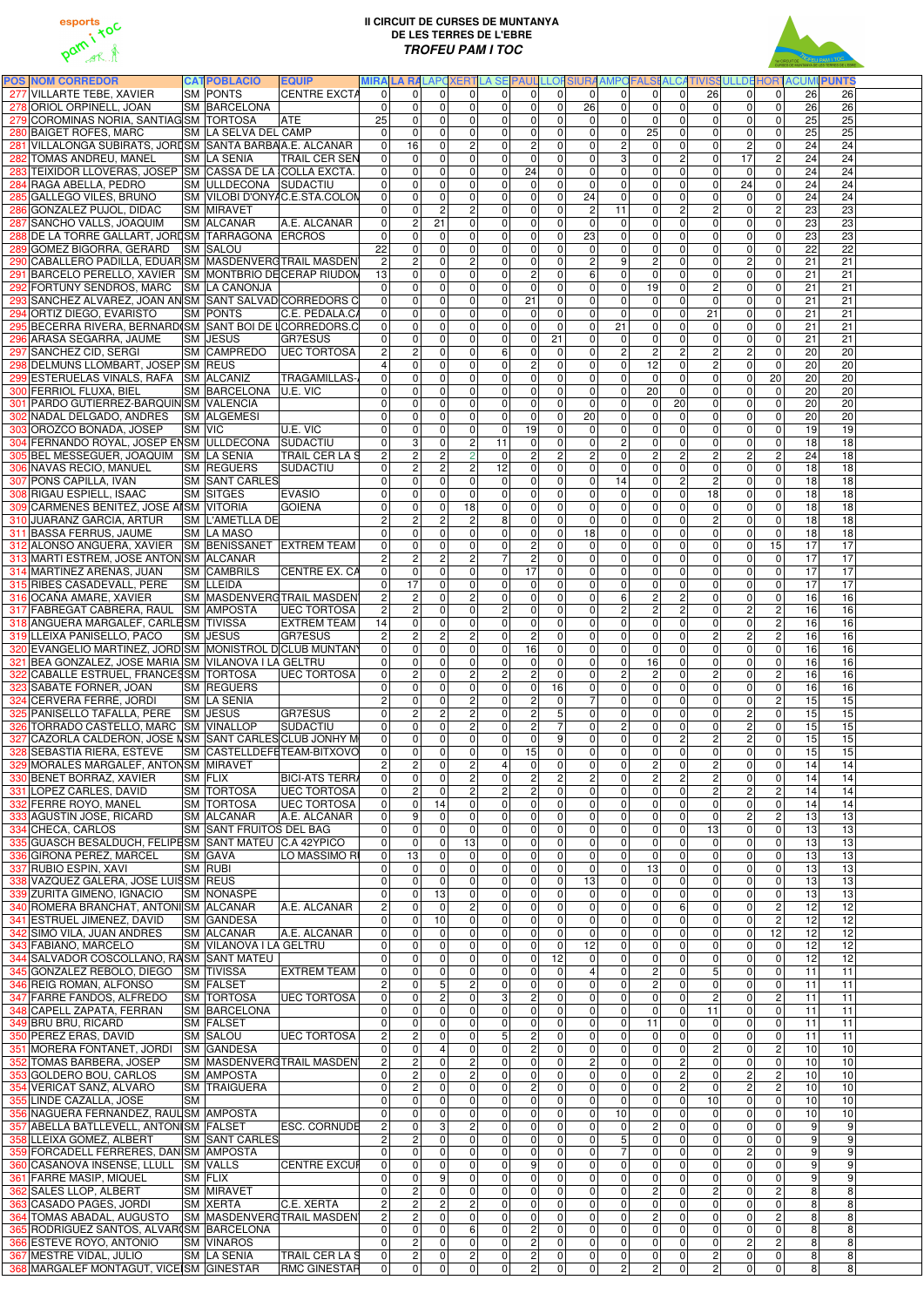



| <b>POS NOM CORREDOR</b><br>277 VILLARTE TEBE, XAVIER                                               | <b>CATPOBLACIÓ</b><br><b>SM PONTS</b>  | <b>EQUIP</b><br><b>CENTRE EXCTA</b>      |                                  | $\Omega$                        | $\Omega$             | $\Omega$                         |                 | $\Omega$                                      |                                                                | $\Omega$                         | $\Omega$              | $\Omega$                                                                   | $\Omega$                         |                                  | $\Omega$                          |                                    | MIRA LA RALAPOXERTLA SE PAUL LLOFSIURA AMPOFALSI ALCATIVISSULLDE HORTACUMI PUNTS<br>$\Omega$ | 26                                 |
|----------------------------------------------------------------------------------------------------|----------------------------------------|------------------------------------------|----------------------------------|---------------------------------|----------------------|----------------------------------|-----------------|-----------------------------------------------|----------------------------------------------------------------|----------------------------------|-----------------------|----------------------------------------------------------------------------|----------------------------------|----------------------------------|-----------------------------------|------------------------------------|----------------------------------------------------------------------------------------------|------------------------------------|
| 278 ORIOL ORPINELL, JOAN                                                                           | <b>SM BARCELONA</b>                    |                                          | $\Omega$<br>$\mathbf 0$          | 0                               | $\Omega$             | 0                                |                 | $\Omega$                                      | $\overline{0}$<br>$\overline{0}$<br>$\mathbf 0$                | 26                               |                       | 0 <br>$\mathbf 0$<br>$\mathbf 0$                                           | $\overline{0}$                   | 26<br>$\overline{0}$             | $\overline{0}$                    | $\mathbf 0$                        | 26<br>26                                                                                     | 26                                 |
| 279 COROMINAS NORIA, SANTIAG SM TORTOSA                                                            |                                        | <b>ATE</b>                               | 25                               | $\mathbf 0$                     | $\Omega$             | $\mathbf 0$                      |                 | 0                                             | $\overline{0}$<br>$\overline{0}$                               |                                  | 0                     | $\mathbf 0$<br>$\mathbf 0$                                                 | $\overline{0}$                   | $\overline{0}$                   | $\overline{0}$                    | $\mathbf 0$                        | 25                                                                                           | $\overline{25}$                    |
| 280 BAIGET ROFES, MARC                                                                             | <b>SM LA SELVA DEL CAMP</b>            |                                          | $\Omega$                         | $\mathbf 0$                     | $\Omega$             | $\Omega$                         |                 | $\Omega$                                      | $\mathbf 0$<br>0                                               |                                  | 0                     | $\overline{25}$<br>$\mathbf 0$                                             | $\mathbf 0$                      | $\overline{0}$                   | $\overline{0}$                    | $\mathbf 0$                        | 25                                                                                           | 25                                 |
| 281 VILLALONGA SUBIRATS, JORISM SANTA BARBAA.E. ALCANAR                                            |                                        |                                          | $\mathbf 0$                      | 16                              | $\Omega$             | $\mathbf{2}$                     |                 | 0                                             | $\overline{2}$<br>0                                            |                                  | 0                     | $\overline{2}$<br>$\pmb{0}$                                                | $\mathbf{0}$                     | $\overline{0}$                   | $\overline{2}$                    | $\mathbf 0$                        | 24                                                                                           | 24                                 |
| 282 TOMAS ANDREU, MANEL<br>283 TEIXIDOR LLOVERAS, JOSEP SM CASSA DE LA COLLA EXCTA.                | <b>SM LA SENIA</b>                     | <b>TRAIL CER SEN</b>                     | $\mathbf 0$<br>$\mathbf 0$       | $\mathbf 0$<br>$\mathbf 0$      | $\Omega$<br>$\Omega$ | 0 <br> 0                         |                 | $\overline{0}$<br>$\overline{24}$<br>$\Omega$ | $\overline{0}$<br>$\mathbf 0$<br>$\Omega$                      |                                  | $\overline{0}$<br> 0  | $\overline{3}$<br>$\pmb{0}$<br>$\overline{0}$<br>$\mathbf 0$               | $\overline{2}$<br>$\mathbf{0}$   | $\overline{0}$<br>$\overline{0}$ | $\overline{17}$<br>$\overline{0}$ | $\overline{c}$                     | 24<br>0<br>24                                                                                | 24<br>24                           |
| 284 RAGA ABELLA, PEDRO                                                                             | SM ULLDECONA SUDACTIU                  |                                          | $\Omega$                         | $\pmb{0}$                       | $\Omega$             | 0                                |                 | $\Omega$                                      | $\overline{0}$<br>$\Omega$                                     |                                  | 0                     | $\mathbf 0$<br>$\overline{0}$                                              | $\overline{0}$                   | $\overline{0}$                   | 24                                |                                    | 0<br>24                                                                                      | 24                                 |
| 285 GALLEGO VILES, BRUNO                                                                           |                                        | SM VILOBI D'ONYAC.E.STA.COLON            | $\mathbf 0$                      | $\mathbf 0$                     | $\Omega$             | $\mathbf 0$                      |                 | $\overline{0}$                                | $\overline{0}$<br>$\Omega$                                     | 24                               |                       | $\mathbf 0$<br>$\mathbf 0$                                                 | $\overline{0}$                   | $\overline{0}$                   | $\Omega$                          | 0                                  | 24                                                                                           | 24                                 |
| 286 GONZALEZ PUJOL, DIDAC                                                                          | <b>SM MIRAVET</b>                      |                                          | $\Omega$                         | $\mathbf 0$                     | $\overline{2}$       | 2 <sup>1</sup>                   |                 | $\Omega$                                      | $\overline{0}$<br>$\Omega$                                     |                                  | $\overline{c}$<br>11  | $\mathbf 0$                                                                | 2 <sup>1</sup>                   | $\overline{2}$                   | $\Omega$                          |                                    | $\overline{c}$<br>23                                                                         | 23                                 |
| 287 SANCHO VALLS, JOAQUIM<br>288 DE LA TORRE GALLART, JORDSM TARRAGONA ERCROS                      | <b>SM ALCANAR</b>                      | A.E. ALCANAR                             | $\mathbf 0$<br>$\mathbf 0$       | $\boldsymbol{2}$<br>$\mathbf 0$ | 21<br>$\Omega$       | 0 <br> 0                         |                 | 0 <br> 0                                      | $\overline{0}$<br>$\Omega$<br>$\overline{0}$<br>$\mathbf 0$    | 23                               | $\mathbf 0$           | $\pmb{0}$<br>$\mathbf 0$<br>$\overline{0}$<br>$\overline{0}$               | $\mathbf{0}$<br>$\overline{0}$   | $\overline{0}$<br>$\overline{0}$ | $\overline{0}$<br>$\overline{0}$  |                                    | 0<br>23<br>0<br>23                                                                           | $\overline{23}$<br>23              |
| 289 GOMEZ BIGORRA, GERARD SM SALOU                                                                 |                                        |                                          | $\overline{22}$                  | $\overline{0}$                  | $\Omega$             | $\mathbf 0$                      |                 | $\overline{0}$                                | $\overline{0}$<br>$\overline{0}$                               |                                  | 0                     | $\overline{0}$<br>$\mathbf 0$                                              | $\overline{0}$                   | $\overline{0}$                   | $\overline{0}$                    | 0                                  | 22                                                                                           | $\overline{22}$                    |
| 290 CABALLERO PADILLA, EDUAR SM MASDENVERGTRAIL MASDEN                                             |                                        |                                          | $\overline{2}$                   | $\overline{2}$                  | $\Omega$             | $\overline{2}$                   |                 | $\overline{0}$                                | $\overline{0}$<br>$\overline{0}$                               |                                  | $\overline{2}$        | $\overline{2}$<br>9                                                        | $\overline{0}$                   | $\overline{0}$                   | $\overline{2}$                    |                                    | 0<br>21                                                                                      | $\overline{21}$                    |
| 291 BARCELO PERELLO, XAVIER SM MONTBRIO DECERAP RIUDON                                             |                                        |                                          | 13                               | $\mathbf 0$                     | $\Omega$             | $\mathbf 0$                      |                 | $\overline{0}$                                | $\overline{2}$<br>$\overline{0}$                               |                                  | $\overline{6}$        | $\overline{0}$<br>$\mathbf 0$                                              | $\overline{0}$                   | $\overline{0}$                   | $\overline{0}$                    | $\mathbf 0$                        | 21                                                                                           | 21                                 |
| 292 FORTUNY SENDROS, MARC SM LA CANONJA<br>293 SANCHEZ ALVAREZ, JOAN AN SM SANT SALVAD CORREDORS C |                                        |                                          | $\Omega$<br>$\overline{0}$       | $\overline{0}$<br>$\mathbf 0$   | $\Omega$<br>$\Omega$ | $\overline{0}$<br>$\overline{0}$ |                 | $\overline{0}$<br>$\overline{21}$<br> 0       | $\overline{0}$<br>$\overline{0}$<br>$\overline{0}$             |                                  | $\overline{0}$<br> 0  | 19<br>$\mathbf 0$<br>$\pmb{0}$<br>$\overline{0}$                           | $\overline{0}$<br>$\Omega$       | $\overline{2}$<br>$\overline{0}$ | $\Omega$<br>$\overline{0}$        |                                    | $\overline{0}$<br>$\overline{21}$<br>21                                                      | $\overline{21}$<br>21              |
| 294 ORTIZ DIEGO, EVARISTO                                                                          | <b>SM PONTS</b>                        | C.E. PEDALA.CA                           | $\overline{0}$                   | $\pmb{0}$                       | $\Omega$             | $\mathbf 0$                      |                 | $\overline{0}$                                | $\overline{0}$<br>$\mathbf 0$                                  |                                  | $\overline{0}$        | $\overline{\mathsf{o}}$<br>$\mathbf 0$                                     | $\overline{0}$                   | $\overline{21}$                  | $\overline{0}$                    | 0<br>$\mathsf 0$                   | 21                                                                                           | 21                                 |
| 295 BECERRA RIVERA, BERNARD SM SANT BOI DE LCORREDORS.C                                            |                                        |                                          | $\overline{0}$                   | $\mathbf 0$                     | $\Omega$             | $\mathbf 0$                      |                 | $\overline{0}$                                | $\overline{0}$<br>$\mathbf 0$                                  |                                  | 21<br> 0              | $\overline{\mathsf{o}}$                                                    | $\overline{0}$                   | $\overline{0}$                   | $\overline{0}$                    | $\pmb{0}$                          | 21                                                                                           | 21                                 |
| 296 ARASA SEGARRA, JAUME                                                                           | <b>SM JESUS</b>                        | <b>GR7ESUS</b>                           | 0                                | $\pmb{0}$                       | $\Omega$             | 0                                |                 | $\overline{0}$                                | $\overline{0}$<br>21                                           |                                  | 0                     | $\boldsymbol{0}$<br>$\mathbf 0$                                            | $\overline{0}$                   | $\overline{0}$                   | $\overline{0}$                    |                                    | 0<br>21                                                                                      | $\overline{21}$                    |
| 297 SANCHEZ CID, SERGI                                                                             | <b>SM CAMPREDO</b>                     | <b>UEC TORTOSA</b>                       | $\overline{c}$                   | $\boldsymbol{2}$<br>$\mathbf 0$ | $\Omega$             | $\mathbf 0$                      |                 | 6 <sup>1</sup><br> 0                          | $\overline{0}$<br>$\overline{0}$<br>$\overline{2}$             |                                  | 0 <br> 0              | ΣJ<br>$\overline{2}$<br>$\overline{\mathsf{o}}$<br>12                      | 2 <sup>1</sup><br>$\overline{0}$ | $\overline{2}$<br>$\overline{2}$ | $\overline{2}$<br>$\Omega$        | $\mathbf 0$<br>$\mathbf 0$         | 20<br>20                                                                                     | $\overline{20}$<br>$\overline{20}$ |
| 298 DELMUNS LLOMBART, JOSEP SM REUS<br>299 ESTERUELAS VIÑALS, RAFA SM ALCAÑIZ                      |                                        | <b>TRAGAMILLAS-</b>                      | $\mathbf 0$                      | $\mathbf 0$                     | $\Omega$<br>$\Omega$ | 0 <br>$\mathbf 0$                |                 | $\Omega$                                      | $\mathbf 0$<br>$\overline{0}$<br>$\mathbf 0$                   |                                  | 0                     | $\mathbf 0$<br>$\pmb{0}$                                                   | $\mathbf{0}$                     | $\overline{0}$                   | $\overline{0}$                    | 20                                 | 20                                                                                           | 20                                 |
| 300 FERRIOL FLUXA, BIEL                                                                            | SM BARCELONA U.E. VIC                  |                                          | $\boldsymbol{0}$                 | $\mathbf 0$                     | $\Omega$             | $\mathbf 0$                      |                 | 0                                             | $\overline{0}$<br>$\mathbf 0$                                  |                                  | 0                     | $\pmb{0}$<br>20                                                            | $\overline{0}$                   | $\overline{0}$                   | $\overline{0}$                    | $\pmb{0}$                          | 20                                                                                           | 20                                 |
| 301 PARDO GUTIERREZ-BARQUIN SM VALENCIA                                                            |                                        |                                          | $\pmb{0}$                        | $\pmb{0}$                       | $\Omega$             | $\mathbf 0$                      |                 | 0                                             | $\overline{0}$<br>$\Omega$                                     |                                  | 0                     | $\mathbf 0$<br>$\overline{0}$                                              | 20                               | $\overline{0}$                   | $\overline{0}$                    | $\mathbf 0$                        | 20                                                                                           | 20                                 |
| 302 NADAL DELGADO, ANDRES SM ALGEMESI                                                              |                                        | $\overline{U.E.}$ VIC                    | $\mathbf 0$                      | $\mathbf 0$                     | $\Omega$             | $\mathbf 0$                      |                 | $\overline{0}$                                | $\overline{0}$<br>$\mathbf 0$                                  | 20                               |                       | $\pmb{0}$<br>$\mathbf 0$                                                   | $\overline{0}$                   | $\overline{0}$                   | $\overline{0}$                    | $\mathbf 0$                        | 20                                                                                           | 20                                 |
| 303 OROZCO BONADA, JOSEP<br>304 FERNANDO ROYAL, JOSEP ENSM ULLDECONA SUDACTIU                      | <b>SM VIC</b>                          |                                          | 0<br>$\mathbf 0$                 | $\mathbf 0$<br>$\overline{3}$   | $\Omega$<br>$\Omega$ | $\mathbf 0$<br>$\overline{c}$    | $\overline{11}$ | $\overline{19}$<br> 0                         | $\Omega$<br>$\overline{0}$<br>$\mathbf 0$                      |                                  | 0 <br> 0              | $\pmb{0}$<br>$\mathbf 0$<br><sub>N</sub><br>$\overline{\mathsf{o}}$        | $\overline{0}$<br>$\overline{0}$ | $\overline{0}$<br>$\overline{0}$ | $\overline{0}$<br>$\overline{0}$  | $\mathbf 0$<br>$\mathbf 0$         | 19<br>18                                                                                     | 19<br>18                           |
| 305 BEL MESSEGUER, JOAQUIM SM LA SENIA                                                             |                                        | <b>TRAIL CER LA S</b>                    | $\overline{c}$                   | $\boldsymbol{2}$                | $\overline{2}$       | $\overline{2}$                   |                 | 0                                             | $\overline{2}$<br>$\overline{c}$                               |                                  | $\overline{2}$        | $\overline{c}$<br>$\pmb{0}$                                                | $\overline{2}$                   | $\overline{2}$                   | $\overline{2}$                    | $\mathbf 2$                        | 24                                                                                           | 18                                 |
| 306 NAVAS RECIO, MANUEL                                                                            | <b>SM REGUERS</b>                      | SUDACTIU                                 | $\mathbf 0$                      | $\overline{2}$                  | $\overline{2}$       | $\overline{c}$                   | 12              |                                               | $\overline{0}$<br>0                                            |                                  | 0                     | $\overline{\mathsf{o}}$<br>$\pmb{0}$                                       | $\overline{0}$                   | $\overline{0}$                   | $\overline{0}$                    | $\mathbf 0$                        | 18                                                                                           | 18                                 |
| 307 PONS CAPILLA, IVAN<br>308 RIGAU ESPIELL, ISAAC                                                 | <b>SM SANT CARLES</b>                  | <b>EVASIO</b>                            | $\overline{0}$<br>$\mathbf 0$    | $\mathbf 0$<br>$\mathbf 0$      | $\Omega$<br>$\Omega$ | $\mathbf 0$                      |                 | 0 <br>$\Omega$                                | $\overline{0}$<br>$\Omega$<br>$\mathbf 0$<br>$\Omega$          |                                  | $\overline{14}$<br> 0 | $\pmb{0}$<br>$\overline{\mathsf{o}}$<br>$\Omega$                           | $\overline{2}$<br>$\overline{0}$ | $\overline{2}$<br>18             | $\overline{0}$                    | $\mathbf 0$                        | 18<br>0<br>18                                                                                | 18<br>18                           |
| 309 CARMENES BENITEZ, JOSE AISM VITORIA                                                            | <b>SM SITGES</b>                       | <b>GOIENA</b>                            | $\overline{\mathsf{o}}$          | $\mathbf 0$                     | $\Omega$             | 0 <br>18                         |                 | $\Omega$                                      | $\overline{0}$<br>$\Omega$                                     |                                  | 0 <br>$\overline{0}$  | O<br>$\overline{0}$                                                        | $\overline{0}$                   | $\overline{0}$                   | $\mathbf 0$<br>$\overline{0}$     |                                    | 0<br>18                                                                                      | 18                                 |
| 310 JUARANZ GARCIA, ARTUR                                                                          | <b>SM L'AMETLLA DE</b>                 |                                          | $\overline{2}$                   | $\overline{c}$                  | $\overline{2}$       | $\overline{c}$                   |                 | 8 <sup>1</sup>                                | $\overline{0}$<br>$\Omega$                                     |                                  | 0                     | $\overline{0}$<br> 0                                                       | $\overline{0}$                   | $\overline{2}$                   | $\overline{0}$                    |                                    | $\Omega$<br>18                                                                               | 18                                 |
| 311 BASSA FERRUS, JAUME                                                                            | <b>SM LA MASO</b>                      |                                          | $\Omega$                         | $\mathbf 0$                     | $\Omega$             | $\Omega$                         |                 | $\Omega$                                      | $\mathbf 0$<br>$\Omega$                                        | 18                               |                       | $\mathbf 0$<br>$\Omega$                                                    | $\overline{0}$                   | $\overline{0}$                   | $\Omega$                          | $\Omega$                           | 18                                                                                           | 18                                 |
| 312 ALONSO ANGUERA, XAVIER SM BENISSANET EXTREM TEAM<br>313 MARTI ESTREM, JOSE ANTON SM ALCANAR    |                                        |                                          | $\Omega$<br>$\overline{c}$       | $\mathbf 0$<br><sub>2</sub>     | $\Omega$<br>2        | 0 <br>2 <sup>1</sup>             |                 | $\Omega$<br>$\overline{7}$                    | $\overline{2}$<br>$\Omega$<br>$\overline{2}$<br>$\overline{0}$ |                                  | 0 <br>$\overline{0}$  | $\pmb{0}$<br>$\mathbf 0$<br>$\overline{0}$<br>$\mathbf 0$                  | $\mathbf{0}$<br>$\overline{0}$   | $\overline{0}$<br>$\overline{0}$ | $\overline{0}$<br>$\Omega$        | 15                                 | 17<br>$\overline{0}$<br>17                                                                   | 17<br>17                           |
| 314 MARTINEZ ARENAS, JUAN                                                                          | ISM ICAMBRILS                          | CENTRE EX. CA                            | 0                                | 0                               |                      | $\overline{0}$                   |                 | $\overline{0}$<br>$\overline{17}$             | 0                                                              |                                  | 0                     | 0<br>0                                                                     | 0                                | 0                                | $\overline{0}$                    |                                    | 17<br>0                                                                                      | 17                                 |
| 315 RIBES CASADEVALL, PERE                                                                         | <b>SM LLEIDA</b>                       |                                          | 0                                | $\overline{17}$                 | $\Omega$             | $\mathbf 0$                      |                 | $\Omega$                                      | $\mathbf 0$                                                    | $\Omega$                         | 0                     | O<br>$\Omega$                                                              | $\overline{0}$                   | $\overline{0}$                   | $\Omega$                          |                                    | 0<br>17                                                                                      | 17                                 |
| 316 OCAÑA AMARE, XAVIER                                                                            |                                        | SM MASDENVERGTRAIL MASDEN                | $\overline{c}$                   | $\boldsymbol{2}$                | $\Omega$             | $\overline{2}$                   |                 | $\overline{0}$                                | $\overline{0}$<br>$\overline{0}$                               |                                  | 0                     | $\overline{2}$<br>$6\phantom{a}$                                           | $\overline{2}$                   | $\overline{0}$                   | $\Omega$                          | $\mathbf 0$                        | 16                                                                                           | $\overline{16}$                    |
| 317 FABREGAT CABRERA, RAUL SM AMPOSTA<br>318 ANGUERA MARGALEF, CARLESM TIVISSA                     |                                        | <b>UEC TORTOSA</b><br><b>EXTREM TEAM</b> | $\overline{2}$<br>14             | $\overline{2}$<br>$\mathbf 0$   | $\Omega$<br>$\Omega$ | $\mathbf 0$<br>$\mathbf 0$       |                 | $\overline{2}$<br>$\overline{0}$              | $\overline{0}$<br>$\mathbf 0$<br>$\overline{0}$<br>$\mathbf 0$ |                                  | 0 <br>$\overline{0}$  | $\overline{c}$<br>$\overline{c}$<br>$\overline{0}$<br>$\mathbf 0$          | $\overline{2}$<br>$\mathbf{0}$   | $\overline{0}$<br> 0             | $\overline{2}$<br> 0              | $\overline{2}$<br>$\boldsymbol{2}$ | 16<br>16                                                                                     | 16<br>16                           |
| 319 LLEIXA PANISELLO, PACO                                                                         | <b>SM JESUS</b>                        | GR7ESUS                                  |                                  | $\overline{c}$                  | $\overline{2}$       | $\mathbf{2}$                     |                 | $\Omega$                                      | $\overline{2}$<br>$\Omega$                                     |                                  | 0                     | $\overline{\mathsf{o}}$<br>$\mathbf 0$                                     | $\overline{0}$                   | $\overline{2}$                   | $\overline{2}$                    | $\overline{c}$                     | 16                                                                                           | $\overline{16}$                    |
| 320 EVANGELIO MARTINEZ, JORD SM MONISTROL DCLUB MUNTANY                                            |                                        |                                          | $\overline{0}$                   | $\mathbf 0$                     | $\Omega$             | $\mathbf 0$                      |                 | 16<br>$\Omega$                                | $\mathbf 0$                                                    |                                  | 0                     | $\overline{\mathsf{o}}$<br>$\mathbf 0$                                     | $\overline{0}$                   | $\overline{0}$                   | 0                                 | $\pmb{0}$                          | 16                                                                                           | $\overline{16}$                    |
| 321 BEA GONZALEZ, JOSE MARIA SM VILANOVA I LA GELTRU                                               |                                        |                                          | $\overline{0}$                   | $\mathbf 0$                     | $\Omega$             | $\mathbf 0$                      |                 | $\Omega$                                      | $\overline{0}$<br>$\Omega$                                     |                                  | 0                     | 16<br>$\mathbf 0$                                                          | $\overline{0}$                   | 0                                | $\overline{0}$                    | $\mathbf 0$                        | 16                                                                                           | 16                                 |
| 322 CABALLE ESTRUEL, FRANCESSM TORTOSA<br>323 SABATE FORNER, JOAN                                  | <b>SM REGUERS</b>                      | <b>UEC TORTOSA</b>                       | $\overline{0}$<br>$\overline{0}$ | $\boldsymbol{2}$<br>$\mathbf 0$ | $\Omega$<br>$\Omega$ | $\mathbf{2}$<br>$\Omega$         |                 | $\vert$ 2<br>$\overline{0}$                   | $\overline{2}$<br>$\overline{0}$<br>$\overline{0}$<br>16       |                                  | 0 <br> 0              | $\overline{2}$<br>$\overline{c}$<br>$\overline{\mathsf{o}}$<br>$\mathbf 0$ | $\overline{0}$<br>$\overline{0}$ | $\overline{2}$<br>$\overline{0}$ | $\overline{0}$<br>$\overline{0}$  | $\mathbf 0$                        | $\overline{c}$<br>16<br>16                                                                   | 16<br>$\overline{16}$              |
| 324 CERVERA FERRÉ, JORDI                                                                           | <b>SM LA SENIA</b>                     |                                          | $\overline{2}$                   | $\mathbf 0$                     | $\Omega$             | $\overline{c}$                   |                 | $\Omega$                                      | $\overline{2}$<br>$\overline{0}$                               |                                  | $\overline{7}$        | $\overline{0}$<br>$\mathbf 0$                                              | $\overline{0}$                   | $\overline{0}$                   | $\overline{0}$                    | $\overline{2}$                     | 15                                                                                           | 15                                 |
| 325 PANISELLO TAFALLA, PERE SM JESUS                                                               |                                        | GR7ESUS                                  | 0                                | $\boldsymbol{2}$                | $\overline{2}$       | $\mathbf{2}$                     |                 | $\overline{0}$                                | $\overline{2}$                                                 | 5                                | $\overline{0}$        | $\pmb{0}$<br>$\pmb{0}$                                                     | $\mathbf{0}$                     | $\overline{0}$                   | $\overline{2}$                    |                                    | 0<br>15                                                                                      | 15                                 |
| 326 TORRADO CASTELLO, MARC SM VINALLOP                                                             |                                        | SUDACTIU                                 | $\mathbf 0$                      | $\mathbf 0$                     | $\Omega$             | $\overline{c}$                   |                 | $\overline{0}$                                | $\overline{2}$                                                 |                                  | $\overline{0}$        | $\overline{2}$<br>$\overline{\mathsf{o}}$                                  | $\mathbf{0}$                     | $\overline{0}$                   | $2 \vert$                         | $\pmb{0}$                          | 15                                                                                           | 15                                 |
| 327 CAZORLA CALDERON, JOSE NSM SANT CARLES CLUB JONHY M<br>328 SEBASTIA RIERA, ESTEVE              |                                        | <b>SM CASTELLDEFETEAM-BITXOVO</b>        | $\mathbf 0$<br>$\overline{0}$    | $\mathbf 0$<br>$\mathbf 0$      | $\Omega$<br>$\Omega$ | $\mathbf 0$<br>$\mathbf 0$       |                 | $\Omega$<br>15<br> 0                          | $\mathbf 0$<br>9<br>$\Omega$                                   |                                  | 0 <br> 0              | $\overline{0}$<br>$\mathbf 0$<br>$\overline{\mathsf{o}}$<br>$\mathbf 0$    | 2 <sup>1</sup><br>$\Omega$       | $\overline{2}$<br>$\overline{0}$ | $\overline{2}$<br>$\Omega$        | $\mathbf 0$<br>$\mathbf 0$         | 15<br>15                                                                                     | 15<br>15                           |
| 329 MORALES MARGALEF, ANTONSM MIRAVET                                                              |                                        |                                          | $\overline{c}$                   | $\overline{c}$                  | $\Omega$             | $\overline{2}$                   |                 | $\overline{4}$                                | $\overline{0}$<br>$\Omega$                                     |                                  | 0                     | <sub>2</sub><br>$\mathbf 0$                                                | $\overline{0}$                   | $\overline{2}$                   | $\overline{0}$                    | $\mathbf 0$                        | 14                                                                                           | 14                                 |
| 330 BENET BORRAZ, XAVIER                                                                           | <b>SM FLIX</b>                         | <b>BICI-ATS TERR</b>                     | $\overline{0}$                   | $\mathbf 0$                     | $\Omega$             | $\mathbf{2}$                     |                 | $\mathbf 0$                                   | $\overline{2}$<br>$\overline{c}$                               |                                  | $\overline{2}$        | $\overline{2}$<br>$\mathbf 0$                                              | $\overline{2}$                   | $\overline{2}$                   | $\overline{0}$                    | $\mathbf 0$                        | 14                                                                                           | 14                                 |
| 331 LOPEZ CARLES, DAVID<br>332 FERRE ROYO, MANEL                                                   | <b>SM TORTOSA</b><br><b>SM TORTOSA</b> | <b>UEC TORTOSA</b><br><b>UEC TORTOSA</b> | $\mathbf 0$<br>$\mathbf 0$       | $\overline{c}$<br>$\pmb{0}$     | $\Omega$<br>14       | $\mathbf{2}$<br> 0               |                 | $\overline{c}$<br> 0                          | $\overline{2}$<br>$\Omega$<br>$\overline{0}$<br>$\Omega$       |                                  | 0 <br> 0              | $\overline{\mathsf{o}}$<br>$\mathbf 0$<br>$\overline{0}$<br>$\mathbf 0$    | $\mathbf{0}$<br>$\overline{0}$   | $\overline{2}$<br>$\overline{0}$ | $\overline{2}$<br>$\overline{0}$  | $\sqrt{2}$<br>$\mathbf 0$          | 14<br>14                                                                                     | 14<br>14                           |
| 333 AGUSTIN JOSE, RICARD                                                                           | <b>SM ALCANAR</b>                      | A.E. ALCANAR                             | $\Omega$                         | 9                               | $\Omega$             | 0                                |                 | $\Omega$                                      | $\mathbf 0$                                                    | $\Omega$                         | 0                     | $\overline{0}$<br>$\overline{0}$                                           | $\overline{0}$                   | $\overline{0}$                   | $\overline{2}$                    |                                    | $\overline{c}$<br>13                                                                         | 13                                 |
| 334 CHECA, CARLOS                                                                                  | <b>SM SANT FRUITOS DEL BAG</b>         |                                          | $\Omega$                         | $\mathbf 0$                     | $\Omega$             | 0                                |                 | $\Omega$                                      | $\mathbf 0$                                                    | $\Omega$                         | 0                     | $\overline{0}$<br>$\overline{0}$                                           | $\Omega$                         | 13                               | $\overline{0}$                    |                                    | 0<br>13                                                                                      | 13                                 |
| 335 GUASCH BESALDUCH, FELIPESM SANT MATEU C.A 42YPICO                                              |                                        |                                          | $\mathbf 0$                      | $\mathbf 0$                     | $\Omega$             | 13                               |                 | $\Omega$                                      | $\mathbf 0$<br>$\Omega$                                        |                                  | 0                     | $\mathbf 0$<br>$\overline{0}$                                              | $\Omega$                         | $\overline{0}$                   | $\Omega$                          | $\Omega$                           | 13                                                                                           | 13                                 |
| 336 GIRONA PEREZ, MARCEL<br>337 RUBIO ESPIN, XAVI                                                  | <b>SM GAVA</b><br><b>SM RUBI</b>       | LO MASSIMO RI                            | $\overline{0}$<br>0              | 13<br>$\mathbf 0$               | $\Omega$<br>$\Omega$ | $\overline{0}$<br>$\mathbf 0$    |                 | $\Omega$<br>$\Omega$                          | $\mathbf 0$<br>$\Omega$<br>$\overline{0}$<br>$\mathbf{0}$      |                                  | 0 <br> 0              | $\mathbf 0$<br>$\overline{0}$<br>$\frac{1}{3}$<br>$\mathbf 0$              | $\Omega$<br>$\mathbf{0}$         | $\overline{0}$<br>$\overline{0}$ | $\Omega$<br>$\overline{0}$        |                                    | $\Omega$<br>13<br>0<br>13                                                                    | 13<br>13                           |
| 338 VAZQUEZ GALERA, JOSE LUISSM REUS                                                               |                                        |                                          | 0                                | $\mathbf 0$                     | $\Omega$             | $\mathbf 0$                      |                 | $\overline{0}$                                | $\overline{0}$<br>$\Omega$                                     | $\overline{13}$                  |                       | $\mathbf 0$<br>$\pmb{0}$                                                   | $\overline{0}$                   | $\overline{0}$                   | $\overline{0}$                    |                                    | 13<br>$\Omega$                                                                               | 13                                 |
| 339 ZURITA GIMENO, IGNACIO                                                                         | <b>SM NONASPE</b>                      |                                          | 0                                | $\Omega$                        | 13                   | $\mathbf 0$                      |                 | $\overline{0}$                                | $\overline{0}$<br>$\Omega$                                     |                                  | 0                     | $\overline{\mathsf{o}}$<br>$\mathbf 0$                                     | $\overline{0}$                   | $\overline{0}$                   | $\Omega$                          | $\Omega$                           | 13                                                                                           | 13                                 |
| 340 ROMERA BRANCHAT, ANTONISM ALCANAR                                                              |                                        | A.E. ALCANAR                             | $\overline{c}$<br>0              | $\mathbf 0$                     | $\Omega$<br>10       | $\overline{c}$                   |                 | $\overline{0}$<br>$\overline{0}$              | $\overline{0}$<br>$\Omega$<br>$\overline{0}$                   | $\Omega$                         | 0 <br> 0              | $\overline{0}$<br>$\mathbf 0$<br>$\mathbf 0$<br>$\mathbf 0$                | 6<br>$\overline{0}$              | $\overline{0}$<br>$\overline{0}$ | $\Omega$<br>$\Omega$              | $\overline{c}$<br>$\overline{c}$   | 12<br>12                                                                                     | 12<br>$\overline{12}$              |
| 341 ESTRUEL JIMENEZ, DAVID<br>342 SIMÓ VILA, JUAN ANDRES                                           | <b>SM GANDESA</b><br><b>SM ALCANAR</b> | A.E. ALCANAR                             | $\mathbf 0$                      | 0<br>$\mathbf 0$                | $\Omega$             | $\mathbf 0$<br>$\Omega$          |                 | $\overline{0}$                                | $\overline{0}$<br>$\Omega$                                     |                                  | 0                     | $\overline{0}$<br>$\mathbf 0$                                              | $\overline{0}$                   | $\overline{0}$                   | $\overline{0}$                    | 12                                 | 12                                                                                           | 12                                 |
| 343 FABIANO, MARCELO                                                                               | <b>SM VILANOVA I LA GELTRU</b>         |                                          | 0                                | $\mathbf 0$                     | $\Omega$             | $\overline{0}$                   |                 | $\Omega$                                      | $\mathbf 0$<br>$\mathbf{0}$                                    | 12                               |                       | $\pmb{0}$<br>$\overline{0}$                                                | $\Omega$                         | $\overline{0}$                   | $\overline{0}$                    | $\mathbf 0$                        | $\overline{12}$                                                                              | 12                                 |
| 344 SALVADOR COSCOLLANO, RASM SANT MATEU                                                           |                                        |                                          | 0                                | $\mathbf 0$                     | $\Omega$             | $\mathbf 0$                      |                 | $\Omega$                                      | $\mathbf 0$<br>12                                              |                                  | 0                     | $\pmb{0}$<br>$\mathbf 0$                                                   | $\Omega$                         | $\overline{0}$                   | $\overline{0}$                    | $\pmb{0}$                          | $\overline{12}$                                                                              | 12                                 |
| 345 GONZALEZ REBOLO, DIEGO SM TIVISSA<br>346 REIG ROMAN, ALFONSO                                   | <b>SM FALSET</b>                       | <b>EXTREM TEAM</b>                       | $\mathbf 0$<br>$\overline{c}$    | $\mathbf 0$<br>0                | $\Omega$<br>5        | $\mathbf 0$<br>$\mathbf{2}$      |                 | $\Omega$<br>$\Omega$                          | $\overline{0}$<br>$\mathbf 0$<br>$\mathbf 0$<br>$\Omega$       |                                  | $\overline{4}$<br> 0  | $\overline{2}$<br>$\mathbf 0$<br>$\overline{c}$<br>$\mathbf 0$             | $\overline{0}$<br>$\overline{0}$ | $\overline{5}$<br>$\overline{0}$ | $\overline{0}$<br>$\overline{0}$  | $\pmb{0}$<br>$\pmb{0}$             | $\overline{11}$<br>11                                                                        | $\overline{11}$<br>11              |
| 347 FARRE FANDOS, ALFREDO                                                                          | <b>SM TORTOSA</b>                      | <b>UEC TORTOSA</b>                       | $\mathbf 0$                      | $\mathbf 0$                     | $\overline{2}$       | $\Omega$                         |                 | 3 <sup>1</sup>                                | $\overline{2}$<br>$\Omega$                                     |                                  | $\overline{0}$        | $\overline{\mathsf{o}}$<br>$\mathbf 0$                                     | $\overline{0}$                   | $\overline{c}$                   | $\overline{0}$                    |                                    | $\overline{c}$<br>11                                                                         | $\overline{11}$                    |
| 348 CAPELL ZAPATA, FERRAN                                                                          | <b>SM BARCELONA</b>                    |                                          | 0                                | $\mathbf 0$                     | $\Omega$             | 0                                |                 | 0                                             | $\overline{0}$<br>$\Omega$                                     |                                  | 0                     | $\overline{\mathsf{o}}$<br>$\mathbf 0$                                     | $\overline{0}$                   | 11                               | $\overline{0}$                    | $\mathbf 0$                        | 11                                                                                           | 11                                 |
| 349 BRU BRU, RICARD                                                                                | <b>SM FALSET</b>                       |                                          | 0                                | 0                               | $\Omega$             | $\mathbf 0$                      |                 | 0                                             | $\mathbf 0$<br>$\overline{0}$                                  |                                  | 0                     | $\mathbf 0$<br>11                                                          | $\overline{0}$                   | $\overline{0}$                   | $\overline{0}$                    | $\pmb{0}$                          | 11                                                                                           | 11                                 |
| 350 PEREZ ERAS, DAVID<br>351 MORERA FONTANET, JORDI                                                | <b>SM SALOU</b><br><b>SM GANDESA</b>   | <b>UEC TORTOSA</b>                       | Ŋ,<br>$\mathbf 0$                | $\overline{c}$<br>$\pmb{0}$     | $\Omega$<br>4        | 0 <br> 0                         |                 | 5 <sup>1</sup><br>$\overline{0}$              | $\overline{2}$<br>$\mathbf 0$<br>$\overline{2}$<br>$\mathbf 0$ |                                  | 0 <br> 0              | $\mathbf 0$<br> 0 <br>$\pmb{0}$<br>$\boldsymbol{0}$                        | $\overline{0}$<br>$\overline{0}$ | $\overline{0}$<br>$\mathbf{2}$   | $\overline{0}$<br> 0              | $\mathbf 0$                        | 11<br>$\mathbf{2}$<br>10                                                                     | 11<br>10                           |
| 352 TOMAS BARBERA, JOSEP                                                                           |                                        | SM MASDENVERGTRAIL MASDEN                | $\overline{2}$                   | $\overline{2}$                  | 0                    | 2                                |                 | $\overline{0}$                                | 0                                                              | $\pmb{0}$                        | $\overline{2}$        | $\overline{0}$<br>$\overline{0}$                                           | $\overline{2}$                   | $\overline{0}$                   | $\overline{0}$                    |                                    | $\overline{0}$<br>10                                                                         | 10                                 |
| 353 GOLDERO BOU, CARLOS                                                                            | <b>SM AMPOSTA</b>                      |                                          | 0                                | $\boldsymbol{2}$                | $\mathbf 0$          | $\overline{c}$                   |                 | 0                                             | $\overline{0}$<br>$\mathbf 0$                                  |                                  | 0                     | $\pmb{0}$<br>$\mathbf 0$                                                   | $\overline{2}$                   | $\overline{0}$                   | $\mathbf{2}$                      | $\sqrt{2}$                         | 10                                                                                           | 10                                 |
| 354 VERICAT SANZ, ALVARO                                                                           | <b>SM TRAIGUERA</b>                    |                                          | $\Omega$                         | $\overline{2}$                  | $\Omega$             | $\mathbf 0$                      |                 | 0                                             | $\overline{2}$<br>$\mathsf{O}\xspace$                          |                                  | 0                     | $\overline{0}$<br>$\pmb{0}$                                                | $\overline{2}$                   | $\overline{0}$                   | $2 \vert$                         | $\overline{2}$                     | 10                                                                                           | 10                                 |
| <b>SM</b><br>355 LINDE CAZALLA, JOSE<br>356 NAGUERA FERNANDEZ, RAUL SM AMPOSTA                     |                                        |                                          | 0<br>0                           | 0<br>$\pmb{0}$                  | $\Omega$<br>$\Omega$ | $\overline{0}$<br>$\mathbf 0$    |                 | $\overline{0}$<br>$\overline{0}$              | $\mathbf 0$<br>$\mathbf 0$<br>$\mathbf 0$                      | 0                                | 0<br>10<br>0          | $\mathbf 0$<br>0<br>$\pmb{0}$                                              | $\overline{0}$<br>$\overline{0}$ | 10<br>$\overline{0}$             | $\mathbf 0$<br>$\overline{0}$     | 0<br>0                             | 10<br>10                                                                                     | 10<br>10                           |
| 357 ABELLA BATLLEVELL, ANTONISM FALSET                                                             |                                        | <b>ESC. CORNUDE</b>                      | $\overline{c}$                   | $\mathbf 0$                     | 3                    | $\mathbf{2}$                     |                 | $\mathbf 0$                                   | $\mathbf 0$<br>$\mathbf 0$                                     |                                  | $\pmb{0}$             | $\overline{\mathbf{c}}$<br>0                                               | $\overline{0}$                   | $\overline{0}$                   | $\overline{0}$                    |                                    | 0<br>9                                                                                       | 9                                  |
| 358 LLEIXA GOMEZ, ALBERT                                                                           | <b>SM SANT CARLES</b>                  |                                          | $\overline{c}$                   | $\overline{c}$                  | $\Omega$             | 0                                |                 | 0                                             | $\mathbf 0$<br>$\mathbf 0$                                     |                                  | 0                     | 5<br>$\overline{0}$                                                        | $\overline{0}$                   | $\overline{0}$                   | $\overline{0}$                    |                                    | 9 <sup>°</sup><br>0                                                                          | 9                                  |
| 359 FORCADELL FERRERES, DAN SM AMPOSTA                                                             |                                        |                                          | $\Omega$                         | $\pmb{0}$                       | $\Omega$             | 0                                |                 | 0                                             | $\mathbf 0$                                                    | $\mathbf 0$                      | 0                     | $\overline{7}$<br>$\pmb{0}$                                                | $\overline{0}$                   | $\overline{0}$                   | $\overline{2}$                    |                                    | 0<br>9 <sup>°</sup>                                                                          | 9                                  |
| 360 CASANOVA INSENSE, LLULL SM VALLS<br>361 FARRE MASIP, MIQUEL                                    | <b>SM FLIX</b>                         | <b>CENTRE EXCUF</b>                      | $\Omega$<br>0                    | 0<br>0                          | $\Omega$<br>9        | 0 <br>$\mathbf 0$                |                 | 0 <br> 0                                      | $\overline{9}$<br>$\overline{0}$                               | $\overline{0}$<br>$\overline{0}$ | 0 <br> 0              | $\pmb{0}$<br>$\overline{0}$<br>0<br>0                                      | $\overline{0}$<br>$\overline{0}$ | $\mathbf{0}$<br>$\overline{0}$   | $\overline{0}$<br>$\Omega$        |                                    | 0<br>9 <sup>°</sup><br>9 <sup>1</sup><br>0                                                   | 9<br>9                             |
| 362 SALES LLOP, ALBERT                                                                             | <b>SM MIRAVET</b>                      |                                          | 0                                | $\boldsymbol{2}$                | $\Omega$             | $\mathbf 0$                      |                 | 0                                             | $\overline{0}$                                                 | $\overline{0}$                   | 0                     | $\overline{c}$<br>0                                                        | $\overline{0}$                   | $\overline{2}$                   | $\overline{0}$                    |                                    | $\overline{c}$<br>8 <sup>1</sup>                                                             | 8                                  |
| 363 CASADO PAGES, JORDI                                                                            | <b>SM XERTA</b>                        | C.E. XERTA                               | 2                                | $\overline{c}$                  | $\overline{2}$       | $\mathbf{2}$                     |                 | $\overline{0}$                                | $\overline{0}$                                                 | 0                                | 0                     | $\pmb{0}$<br>0                                                             | $\mathbf{0}$                     | $\overline{0}$                   | $\overline{0}$                    |                                    | 8 <sup>1</sup><br>0                                                                          | 8                                  |
| 364 TOMAS ABADAL, AUGUSTO<br>365 RODRIGUEZ SANTOS, ALVARISM BARCELONA                              |                                        | <b>SM MASDENVERGTRAIL MASDEN</b>         | $\overline{2}$<br>0              | $\overline{c}$<br>$\pmb{0}$     | O<br>$\Omega$        | $\mathbf 0$<br>$6\phantom{1}$    |                 | $\overline{0}$<br>$\overline{0}$              | $\mathbf 0$<br>$\overline{2}$                                  | $\mathbf 0$<br>$\mathbf 0$       | 0                     | $\overline{c}$<br>$\overline{0}$<br>$\mathsf{O}\xspace$<br>0               | $\mathbf{0}$<br>$\overline{0}$   | $\overline{0}$<br>$\overline{0}$ | $\overline{0}$<br>$\mathbf 0$     |                                    | $\overline{c}$<br>8 <sup>1</sup><br>0<br>$\bf{8}$                                            | 8<br>8                             |
| 366 ESTEVE ROYO, ANTONIO                                                                           | <b>SM VINAROS</b>                      |                                          | 0                                | $\boldsymbol{2}$                | O                    | $\mathbf 0$                      |                 | $\overline{0}$                                | $\overline{2}$<br>0                                            |                                  | 0 <br> 0              | $\pmb{0}$<br>0                                                             | $\mathbf{0}$                     | $\overline{0}$                   | $\overline{2}$                    | $\mathbf 2$                        | 8 <sup>1</sup>                                                                               | 8                                  |
| 367 MESTRE VIDAL, JULIO                                                                            | SM LA SENIA                            | TRAIL CER LA S                           | $\mathbf 0$                      | $\overline{2}$                  | $\overline{0}$       | $\overline{c}$                   |                 | 0                                             | $\overline{2}$                                                 | $\pmb{0}$                        | $\boldsymbol{0}$      | $\overline{\mathbf{o}}$<br>$\mathbf 0$                                     | $\overline{0}$                   | $\frac{2}{2}$                    | $\mathbf 0$                       |                                    | $\overline{8}$<br>0                                                                          | $8\,$                              |
| 368 MARGALEF MONTAGUT, VICEISM GINESTAR                                                            |                                        | <b>RMC GINESTAR</b>                      | $\overline{0}$                   | $\mathbf 0$                     | $\Omega$             | 0                                |                 | 0                                             | $\overline{2}$<br>$\overline{0}$                               |                                  | 0                     | $\overline{2}$<br>$\overline{c}$                                           | $\mathbf{0}$                     |                                  | $\overline{0}$                    |                                    | $\overline{8}$<br>$\overline{0}$                                                             | $8\,$                              |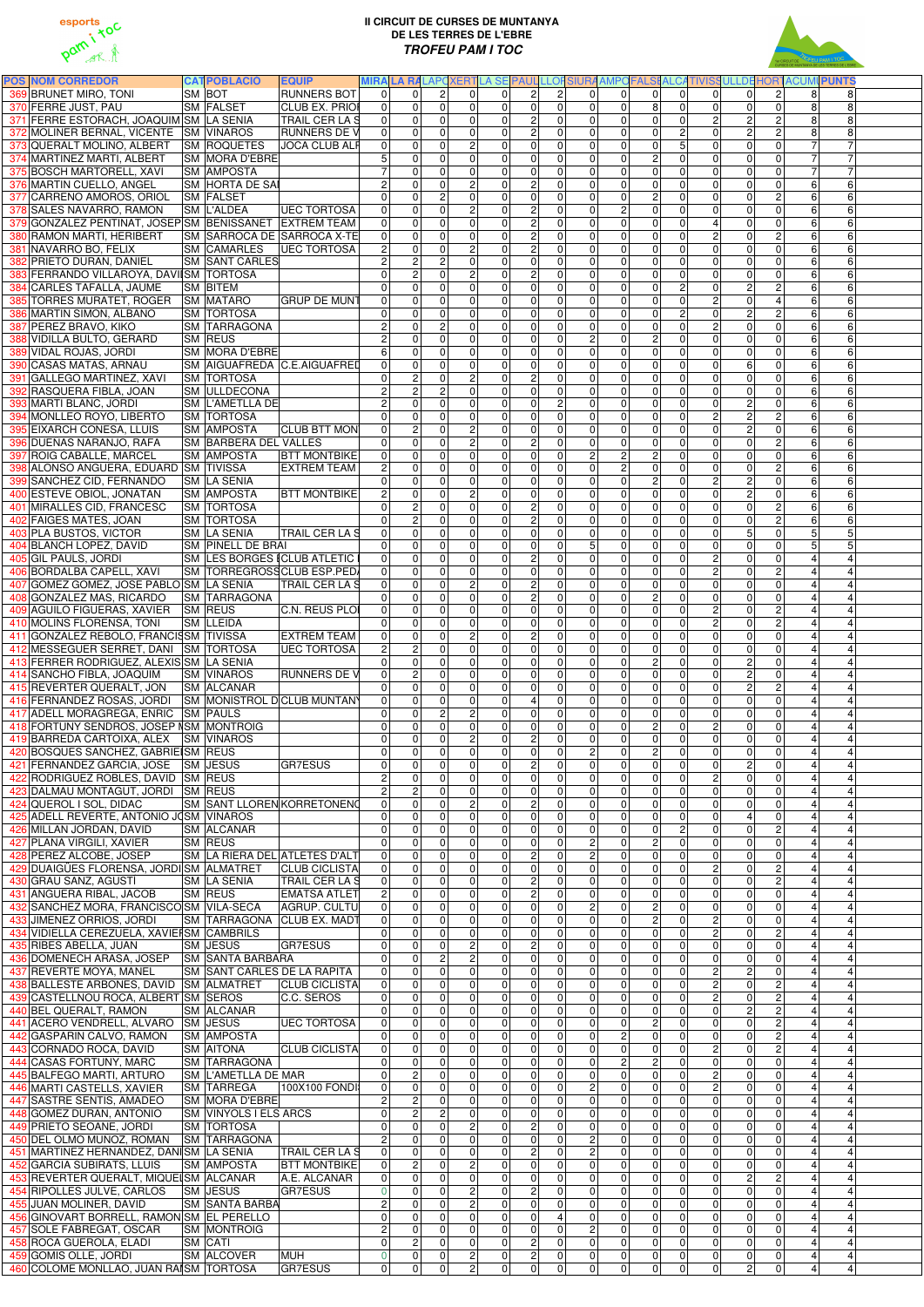



| <b>POS NOM CORREDOR</b>                                                 | <b>CATPOBLACIÓ</b>                       | <b>EQUIP</b>                         |                                |                     |                              |                            |                                                                |                      |                                  |                            |                                  |                               |                                  |                                  |                                  | MIRA LA RALAPOXERTLA SE PAUL LLOFSIURA AMPOFALSI ALCATIVISSULLDE HORTACUMI PUNTS |              |
|-------------------------------------------------------------------------|------------------------------------------|--------------------------------------|--------------------------------|---------------------|------------------------------|----------------------------|----------------------------------------------------------------|----------------------|----------------------------------|----------------------------|----------------------------------|-------------------------------|----------------------------------|----------------------------------|----------------------------------|----------------------------------------------------------------------------------|--------------|
| 369 BRUNET MIRO, TONI                                                   | <b>SM BOT</b>                            | <b>RUNNERS BOT</b>                   | $\Omega$                       | $\overline{0}$      | $\overline{2}$               | $\Omega$                   | 2 <sup>1</sup><br>$\Omega$                                     | $\vert$ 2            | $\Omega$                         | $\Omega$                   | $\Omega$                         | $\Omega$                      | $\Omega$                         | $\Omega$                         | $\overline{c}$                   | 8                                                                                | 8            |
| 370 FERRE JUST, PAU                                                     | SM FALSET                                | <b>CLUB EX. PRIOR</b>                | 0                              | $\mathbf 0$         | $\Omega$                     | $\mathbf 0$                | $\mathbf 0$<br>$\Omega$                                        | $\mathbf{0}$         | $\Omega$                         | 0                          | 8 <sup>1</sup>                   | $\overline{0}$                | $\overline{0}$                   | $\overline{0}$                   | $\overline{0}$                   | 8                                                                                |              |
| 371 FERRE ESTORACH, JOAQUIM SM LA SENIA                                 |                                          | <b>TRAIL CER LA S</b>                | 0                              | $\overline{0}$      | $\overline{0}$               | $\overline{0}$             | <sub>2</sub><br>$\overline{0}$                                 | $\mathbf{0}$         | $\overline{0}$                   | 0                          | $\overline{0}$                   | $\mathbf 0$                   | $\overline{2}$                   | $\overline{2}$                   | ΣJ                               | 8                                                                                |              |
| 372 MOLINER BERNAL, VICENTE SM VINAROS                                  |                                          | <b>RUNNERS DE V</b>                  | 0                              | 0                   | $\Omega$                     | $\mathbf 0$                | <sub>N</sub><br>$\Omega$                                       | $\Omega$             | $\Omega$                         | $\mathbf 0$                | $\overline{0}$                   | $\mathbf{2}$                  | 0                                | $\overline{2}$                   | ΣJ                               |                                                                                  |              |
| 373 QUERALT MOLINO, ALBERT                                              | <b>SM ROQUETES</b>                       | <b>JOCA CLUB ALF</b>                 | 0                              | $\pmb{0}$           | $\Omega$                     | $\mathbf 2$                | $\pmb{0}$<br>$\overline{0}$                                    | 0                    | $\Omega$                         | $\mathbf 0$                | $\overline{0}$                   | 5                             | $\overline{0}$                   | $\mathbf 0$                      | $\mathbf 0$                      |                                                                                  |              |
| 374 MARTINEZ MARTI, ALBERT                                              | <b>SM MORA D'EBRE</b>                    |                                      |                                | 0                   | $\Omega$                     | $\mathbf 0$                | $\pmb{0}$<br>$\overline{0}$                                    | 0                    | $\overline{0}$                   | $\pmb{0}$                  | $\overline{2}$                   | 0                             | $\overline{0}$                   | $\mathbf 0$                      | $\mathbf 0$                      | $\overline{7}$                                                                   |              |
| 375 BOSCH MARTORELL, XAVI                                               | <b>SM AMPOSTA</b>                        |                                      | $\overline{7}$                 | 0                   | $\Omega$                     | $\mathbf 0$                | $\pmb{0}$<br>$\overline{0}$                                    | $\Omega$             | $\Omega$                         | 0                          | $\overline{0}$                   | $\overline{0}$                | $\overline{0}$                   | $\overline{0}$                   | $\overline{0}$                   | $\overline{7}$                                                                   |              |
| 376 MARTIN CUELLO, ANGEL                                                | <b>SM HORTA DE SAI</b>                   |                                      | $\overline{2}$                 | 0                   | $\Omega$                     | ΣJ                         | <sub>N</sub><br>$\Omega$                                       | $\Omega$             | $\Omega$                         | $\mathbf 0$                | $\overline{0}$                   | $\overline{0}$                | $\overline{0}$                   | $\mathbf 0$                      | $\overline{0}$                   | $6 \overline{6}$                                                                 | 6            |
| 377 CARREÑO AMOROS, ORIOL SM FALSET                                     |                                          |                                      | $\overline{0}$                 | $\mathbf 0$         | $\overline{2}$               | $\mathbf 0$                | $\mathbf 0$<br>$\Omega$                                        | $\Omega$             | $\Omega$                         | 0                          | $\overline{2}$                   | $\Omega$                      | $\overline{0}$                   | $\overline{0}$                   | $\overline{c}$                   | $6\phantom{a}$                                                                   | 6            |
| 378 SALES NAVARRO, RAMON                                                | <b>SM L'ALDEA</b>                        | <b>UEC TORTOSA</b>                   | 0                              | 0                   | $\Omega$                     | $\overline{c}$             | $\overline{c}$<br>$\Omega$                                     | $\Omega$             | $\Omega$                         | $\overline{c}$             | $\overline{0}$                   | $\Omega$                      | $\overline{0}$                   | $\mathbf{0}$                     | $\Omega$                         | 6                                                                                |              |
| 379 GONZALEZ PENTINAT, JOSEP SM BENISSANET EXTREM TEAM                  |                                          |                                      | 0                              | 0                   | $\Omega$                     | $\mathbf 0$                | <sub>N</sub><br>$\overline{0}$                                 | 0                    | $\Omega$                         | 0                          | $\overline{0}$                   | $\overline{0}$                | 4                                | $\mathbf 0$                      | $\Omega$                         | $6\phantom{.}$                                                                   |              |
| 380 RAMON MARTI, HERIBERT                                               |                                          | SM SARROCA DE SARROCA X-TE           | 0                              | $\mathsf 0$         | $\Omega$                     | $\mathbf 0$                | <sub>N</sub><br>$\Omega$                                       | $\Omega$             | $\Omega$                         | 0                          | $\overline{0}$                   | 0                             | $\overline{2}$                   | $\mathbf 0$                      | $\overline{c}$                   | $6 \overline{6}$                                                                 | 6            |
| 381 NAVARRO BO, FELIX                                                   | <b>SM CAMARLES</b>                       | <b>UEC TORTOSA</b>                   | 2 <sup>1</sup>                 | $\mathbf 0$         | $\Omega$                     | $\overline{2}$             | $\overline{2}$<br>$\overline{0}$                               | $\Omega$             | $\overline{0}$                   | 0                          | $\overline{0}$                   | 0                             | $\overline{0}$                   | 0                                | $\overline{0}$                   | $6 \overline{6}$                                                                 | 6            |
| 382 PRIETO DURAN, DANIEL                                                | <b>SM SANT CARLES</b>                    |                                      | $\overline{2}$                 | $\overline{c}$      | $\overline{2}$               | $\mathbf 0$                | $\overline{\mathsf{o}}$<br>$\Omega$                            | $\Omega$             | $\overline{0}$                   | 0                          | $\overline{0}$                   | $\mathbf 0$                   | $\overline{0}$                   | $\mathbf 0$                      | $\Omega$                         | $6 \overline{6}$                                                                 | 6            |
| 383 FERRANDO VILLAROYA, DAVIISM TORTOSA                                 |                                          |                                      | $\overline{0}$                 | $\overline{c}$      | $\Omega$                     | $\overline{c}$             | $\overline{2}$<br>$\Omega$                                     | $\Omega$             | $\overline{0}$                   | $\overline{0}$             | $\overline{0}$                   | 0                             | $\overline{0}$                   | $\mathbf 0$                      | $\mathbf 0$                      | $6 \overline{6}$                                                                 | 6            |
| 384 CARLES TAFALLA, JAUME                                               | <b>SM BITEM</b>                          |                                      | $\Omega$                       | 0                   | $\Omega$                     | $\overline{\mathsf{o}}$    | $\overline{0}$<br>$\overline{0}$                               | 0                    | $\overline{0}$                   | $\overline{0}$             | $\overline{0}$                   | $\overline{c}$                | $\overline{0}$                   | Ŋ                                | $\overline{c}$                   | $6 \overline{}$                                                                  | 6            |
| 385 TORRES MURATET, ROGER                                               | <b>SM MATARO</b>                         | <b>GRUP DE MUNT</b>                  | 0                              | 0                   | $\Omega$<br>$\Omega$         | $\mathbf 0$<br>$\mathbf 0$ | $\pmb{0}$<br>$\overline{0}$<br>$\pmb{0}$                       | 0                    | $\overline{0}$<br>$\overline{0}$ | 0                          | $\overline{0}$<br>$\overline{0}$ | 0<br>$\overline{c}$           | $\overline{2}$<br>$\overline{0}$ | $\mathbf 0$<br>$\overline{2}$    | $\overline{\mathbf{4}}$<br>ΣJ    | $6 \overline{6}$<br>$6 \overline{6}$                                             | 6<br>$\,6\,$ |
| 386 MARTIN SIMON, ALBANO<br>387 PEREZ BRAVO, KIKO                       | <b>SM TORTOSA</b><br><b>SM TARRAGONA</b> |                                      | $\mathbf{0}$<br>$\overline{2}$ | 0<br>$\overline{0}$ | $\overline{2}$               | $\mathbf 0$                | $\overline{0}$<br>$\pmb{0}$<br>$\Omega$                        | 0<br>0               | $\overline{0}$                   | 0 <br> 0                   | 0                                | 0                             | $\overline{2}$                   | $\overline{\mathsf{o}}$          | $\mathbf 0$                      | $6\phantom{a}$                                                                   | 6            |
| 388 VIDILLA BULTO, GERARD                                               | <b>SM REUS</b>                           |                                      | $\overline{2}$                 | 0                   | $\Omega$                     | $\mathbf 0$                | $\pmb{0}$<br>$\Omega$                                          | 0                    | $\overline{2}$                   | 0                          | $\overline{2}$                   | $\overline{0}$                | $\overline{0}$                   | $\overline{0}$                   | $\mathbf 0$                      | $6 \overline{6}$                                                                 | 6            |
| 389 VIDAL ROJAS, JORDI                                                  | <b>SM MORA D'EBRE</b>                    |                                      | $6 \overline{6}$               | 0                   | $\overline{0}$               | $\mathbf 0$                | $\pmb{0}$<br>$\overline{0}$                                    | 0                    | $\overline{0}$                   | 0                          | $\overline{0}$                   | $\overline{0}$                | $\overline{0}$                   | $\mathbf 0$                      | $\mathbf 0$                      | $6 \overline{6}$                                                                 | 6            |
| 390 CASAS MATAS, ARNAU                                                  |                                          | SM AIGUAFREDA C.E.AIGUAFRED          | $\overline{0}$                 | 0                   | $\Omega$                     | $\mathbf 0$                | $\pmb{0}$<br>$\overline{0}$                                    | 0                    | $\overline{0}$                   | $\mathbf 0$                | $\overline{0}$                   | 0                             | $\overline{0}$                   | $6\phantom{1}6$                  | $\mathbf 0$                      | $6\phantom{.}$                                                                   |              |
| 391 GALLEGO MARTINEZ, XAVI                                              | <b>SM TORTOSA</b>                        |                                      | $\mathbf{0}$                   | $\overline{c}$      | $\mathbf 0$                  | $\overline{2}$             | $\overline{c}$<br>$\overline{0}$                               | 0                    | $\overline{0}$                   | $\mathbf 0$                | $\overline{0}$                   | $\pmb{0}$                     | $\overline{0}$                   | $\mathsf{O}\xspace$              | $\mathbf 0$                      | $\,6\,$                                                                          |              |
| 392 RASQUERA FIBLA, JOAN                                                | <b>SM ULLDECONA</b>                      |                                      | $\overline{2}$                 | $\overline{c}$      | $\overline{2}$               | $\mathbf 0$                | $\overline{\mathsf{o}}$<br>$\overline{0}$                      | 0                    | $\overline{0}$                   | $\mathbf 0$                | $\overline{0}$                   | $\mathbf 0$                   | $\overline{0}$                   | $\mathbf 0$                      | $\mathbf 0$                      | $6\phantom{.}$                                                                   | 6            |
| 393 MARTI BLANC, JORDI                                                  | <b>SM L'AMETLLA DE</b>                   |                                      | $\overline{2}$                 | $\mathbf 0$         | $\mathbf 0$                  | $\pmb{0}$                  | $\overline{\mathsf{o}}$<br>$\overline{0}$                      | $\overline{c}$       | $\overline{0}$                   | $\mathbf 0$                | $\overline{0}$                   | $\mathbf 0$                   | $\overline{0}$                   | $\overline{2}$                   | $\mathbf 0$                      | $6\phantom{a}$                                                                   | 6            |
| 394 MONLLEO ROYO, LIBERTO                                               | <b>SM TORTOSA</b>                        |                                      | $\overline{0}$                 | $\mathbf 0$         | $\Omega$                     | $\mathbf 0$                | $\overline{\mathsf{o}}$<br>$\overline{0}$                      | $\mathbf 0$          | $\overline{0}$                   | $\mathbf{0}$               | $\overline{0}$                   | $\mathbf 0$                   | $\overline{2}$                   | $\overline{2}$                   | ΣJ                               | $6\phantom{a}$                                                                   |              |
| 395 EIXARCH CONESA, LLUIS                                               | <b>SM AMPOSTA</b>                        | <b>CLUB BTT MON</b>                  | 0                              | $\overline{c}$      | $\mathbf{0}$                 | $\overline{c}$             | $\pmb{0}$<br>$\overline{0}$                                    | $\Omega$             | $\Omega$                         | $\mathbf 0$                | $\overline{0}$                   | 0                             | $\overline{0}$                   | <sub>2</sub>                     | $\mathbf 0$                      | $6\phantom{a}$                                                                   |              |
| 396 DUEÑAS NARANJO, RAFA                                                | <b>SM BARBERA DEL VALLES</b>             |                                      | $\mathbf{0}$                   | 0                   | $\Omega$                     | $\overline{2}$             | $\overline{c}$<br>$\overline{0}$                               | $\Omega$             | $\overline{0}$                   | $\mathbf 0$                | $\overline{0}$                   | 0                             | $\overline{0}$                   | $\mathbf{0}$                     | ΣJ                               | $6\phantom{a}$                                                                   |              |
| 397 ROIG CABALLE, MARCEL                                                | <b>SM AMPOSTA</b>                        | <b>BTT MONTBIKE</b>                  | $\overline{0}$                 | 0                   | $\Omega$                     | $\mathbf 0$                | $\mathbf 0$<br>$\overline{0}$                                  | $\Omega$             | 2 <sup>1</sup>                   | $\overline{c}$             | $\overline{2}$                   | $\Omega$                      | $\overline{0}$                   | $\mathbf{0}$                     | $\Omega$                         | $6\phantom{a}$                                                                   |              |
| 398 ALONSO ANGUERA, EDUARD SM TIVISSA                                   |                                          | <b>EXTREM TEAM</b>                   | $\overline{2}$                 | 0                   | $\mathbf{0}$                 | $\mathbf 0$                | $\pmb{0}$<br>$\overline{0}$                                    | $\Omega$             | $\overline{0}$                   | ΣJ                         | $\overline{0}$                   | 0                             | $\overline{0}$                   | $\mathbf 0$                      | $\overline{c}$                   | $\,6$                                                                            |              |
| 399 SANCHEZ CID, FERNANDO                                               | <b>SM LA SENIA</b>                       |                                      | $\Omega$                       | 0                   | $\Omega$                     | $\mathbf 0$                | $\pmb{0}$<br>$\overline{0}$                                    | $\Omega$             | $\overline{0}$                   | $\mathbf 0$                | $\overline{2}$                   | $\mathbf 0$                   | $\overline{2}$                   | $\overline{c}$                   | $\overline{0}$                   | $\,6$                                                                            |              |
| 400 ESTEVE OBIOL, JONATAN                                               | <b>SM AMPOSTA</b>                        | <b>BTT MONTBIKE</b>                  | $\overline{2}$                 | $\pmb{0}$           | $\Omega$                     | $\overline{c}$             | $\pmb{0}$<br>$\overline{0}$                                    | 0                    | $\overline{0}$                   | 0                          | $\overline{0}$                   | $\overline{0}$                | $\overline{0}$                   | Ŋ                                | $\overline{0}$                   | $6 \overline{6}$                                                                 |              |
| 401 MIRALLES CID, FRANCESC                                              | <b>SM TORTOSA</b>                        |                                      | $\Omega$                       | $\overline{c}$      | $\Omega$                     | $\mathbf 0$                | <sub>N</sub><br>$\overline{0}$                                 | $\Omega$             | $\Omega$                         | $\mathbf 0$                | $\overline{0}$                   | $\Omega$                      | $\overline{0}$                   | $\mathbf 0$                      | ΣJ                               | $6\phantom{.}$                                                                   |              |
| 402 FAIGES MATES, JOAN                                                  | <b>SM TORTOSA</b>                        |                                      | $\Omega$                       | $\overline{c}$      | $\Omega$                     | $\overline{0}$             | <sub>N</sub><br>$\Omega$                                       | $\Omega$             | $\Omega$                         | $\Omega$                   | $\overline{0}$                   | $\Omega$                      | $\overline{0}$                   | $\mathbf 0$                      | $\overline{c}$                   | $6\phantom{a}$                                                                   | 6            |
| 403 PLA BUSTOS, VICTOR                                                  | <b>SM LA SENIA</b>                       | <b>TRAIL CER LA S</b>                | $\Omega$                       | $\mathbf{0}$        | $\Omega$                     | $\overline{0}$             | $\mathbf 0$<br>$\Omega$                                        | $\Omega$             | $\Omega$                         | $\Omega$                   | $\overline{0}$                   | $\Omega$                      | $\Omega$                         | 5                                | $\Omega$                         | 5 <sup>1</sup>                                                                   | 5            |
| 404 BLANCH LOPEZ, DAVID                                                 | <b>SM PINELL DE BRAI</b>                 |                                      | $\Omega$                       | $\mathbf 0$         | $\Omega$                     | $\mathbf 0$                | $\pmb{0}$<br>$\overline{0}$                                    | 0                    | 5 <sup>1</sup>                   | $\overline{0}$             | $\overline{0}$                   | $\mathbf 0$                   | $\Omega$                         | $\mathbf 0$                      | $\mathbf 0$                      | 5 <sup>1</sup>                                                                   |              |
| 405 GIL PAULS, JORDI                                                    |                                          | <b>SM LES BORGES (CLUB ATLETIC I</b> | $\Omega$                       | $\Omega$            | $\Omega$                     | $\overline{0}$             | $\overline{2}$<br>$\overline{0}$                               | $\Omega$             | $\Omega$                         | 0                          | $\overline{0}$                   | $\Omega$                      | $\overline{2}$                   | $\mathbf 0$                      | $\mathbf 0$                      | $\overline{4}$                                                                   |              |
| 406 BORDALBA CAPELL, XAVI                                               |                                          | ISM  TORREGROSSCLUB ESP.PED/         | $\overline{0}$                 | 0                   | $\Omega$                     | 0                          | $\Omega$                                                       | 0                    |                                  | $\overline{0}$             | $\overline{0}$                   | 0                             | $\mathsf{2}$                     | .OI                              |                                  |                                                                                  |              |
| 407 GOMEZ GOMEZ, JOSE PABLO SM LA SENIA                                 |                                          | TRAIL CER LA S                       | $\Omega$                       | 0                   | $\Omega$                     | $\overline{c}$             | $\overline{2}$<br>$\Omega$                                     | $\Omega$             | $\Omega$                         | 0                          | $\overline{0}$                   | $\Omega$                      | $\overline{0}$                   | $\overline{0}$                   | $\overline{0}$                   |                                                                                  |              |
| 408 GONZALEZ MAS, RICARDO                                               | <b>SM TARRAGONA</b>                      |                                      | $\Omega$                       | 0                   | $\Omega$                     | $\mathbf 0$                | $\overline{2}$<br>$\Omega$                                     | $\Omega$             | $\Omega$                         | $\overline{0}$             | $\overline{2}$                   | $\Omega$                      | $\overline{0}$                   | $\overline{0}$                   | $\mathbf 0$                      |                                                                                  |              |
| 409 AGUILO FIGUERAS, XAVIER SM REUS                                     |                                          | C.N. REUS PLOI                       | 0                              | 0                   | $\Omega$                     | $\mathbf 0$                | $\overline{\mathsf{o}}$<br>$\overline{0}$                      | $\overline{0}$       | $\overline{0}$                   | 0                          | $\overline{0}$                   | $\overline{0}$                | $\overline{2}$                   | $\mathbf 0$                      | $\overline{c}$                   |                                                                                  |              |
| 410 MOLINS FLORENSA, TONI                                               | <b>SM LLEIDA</b>                         |                                      | $\Omega$                       | 0                   | $\Omega$                     | $\mathbf 0$                | $\pmb{0}$<br>$\Omega$                                          | $\Omega$             | $\overline{0}$                   | 0                          | $\overline{0}$                   | 0                             | $\overline{2}$                   | $\mathbf 0$                      | $\overline{c}$                   |                                                                                  |              |
| 411 GONZALEZ REBOLO, FRANCISM TIVISSA                                   |                                          | <b>EXTREM TEAM</b>                   | $\mathbf 0$                    | 0                   | $\Omega$                     | $\overline{c}$             | <sub>2</sub><br>$\overline{0}$                                 | $\Omega$             | $\overline{0}$                   | 0                          | $\overline{0}$                   | $\overline{0}$                | $\overline{0}$                   | $\mathbf 0$                      | $\mathbf 0$                      |                                                                                  |              |
| 412 MESSEGUER SERRET, DANI SM TORTOSA                                   |                                          | <b>UEC TORTOSA</b>                   | $\overline{2}$                 | $\overline{c}$      | $\Omega$                     | $\mathbf 0$                | $\overline{0}$<br>$\Omega$                                     | 0                    | $\overline{0}$                   | 0                          | 0                                | $\overline{0}$                | $\overline{0}$                   | $\mathbf 0$                      | $\mathbf 0$                      |                                                                                  |              |
| 413 FERRER RODRIGUEZ, ALEXIS SM LA SENIA                                |                                          |                                      | $\Omega$                       | 0                   | $\Omega$                     | $\mathbf 0$                | $\pmb{0}$<br>$\Omega$                                          | $\Omega$             | $\overline{0}$                   | 0                          | $\overline{2}$<br>$\overline{0}$ | $\overline{0}$                | $\overline{0}$<br>$\overline{0}$ | $\overline{c}$<br>$\overline{c}$ | $\mathbf 0$<br>$\mathbf 0$       |                                                                                  |              |
| 414 SANCHO FIBLA, JOAQUIM<br>415 REVERTER QUERALT, JON                  | <b>SM VINAROS</b><br><b>SM ALCANAR</b>   | <b>RUNNERS DE V</b>                  | 0 <br>$\Omega$                 | 2<br>0              | $\Omega$<br>$\Omega$         | 0<br>$\mathbf 0$           | $\pmb{0}$<br>$\Omega$<br>$\mathbf 0$<br>$\Omega$               | 0<br>0               | $\overline{0}$<br>$\overline{0}$ | 0 <br>$\mathbf 0$          | $\overline{0}$                   | $\overline{0}$<br>0           | $\overline{0}$                   | $\overline{c}$                   | ΣJ                               |                                                                                  |              |
| 416 FERNANDEZ ROSAS, JORDI SM MONISTROL DCLUB MUNTANY                   |                                          |                                      | $\mathbf 0$                    | 0                   | $\Omega$                     | $\pmb{0}$                  | $\overline{4}$<br>$\overline{0}$                               | 0                    | $\overline{0}$                   | $\mathbf 0$                | $\overline{0}$                   | $\overline{0}$                | $\overline{0}$                   | $\mathbf 0$                      | $\overline{\mathsf{o}}$          |                                                                                  |              |
| 417 ADELL MORAGREGA, ENRIC SM PAULS                                     |                                          |                                      | $\overline{0}$                 | 0                   | $\overline{2}$               | ΣJ                         | $\overline{\mathsf{o}}$<br>$\overline{0}$                      | 0                    | $\overline{0}$                   | $\mathbf 0$                | $\overline{0}$                   | $\overline{0}$                | $\overline{0}$                   | $\mathbf 0$                      | $\mathbf 0$                      |                                                                                  |              |
| 418 FORTUNY SENDROS, JOSEP NSM MONTROIG                                 |                                          |                                      | $\overline{0}$                 | 0                   | $\overline{0}$               | $\mathbf 0$                | $\pmb{0}$<br>$\overline{0}$                                    | 0                    | $\overline{0}$                   | 0                          | $\overline{2}$                   | 0                             | $\overline{2}$                   | $\mathbf 0$                      | $\mathbf 0$                      |                                                                                  |              |
| 419 BARREDA CARTOIXA, ALEX SM VINAROS                                   |                                          |                                      | $\overline{0}$                 | 0                   | $\Omega$                     | ΣJ                         | $\overline{2}$<br>$\Omega$                                     | $\Omega$             | $\overline{0}$                   | $\mathbf 0$                | $\overline{0}$                   | $\mathbf 0$                   | $\overline{0}$                   | $\overline{0}$                   | $\overline{0}$                   |                                                                                  |              |
| 420 BOSQUES SANCHEZ, GABRIEISM REUS                                     |                                          |                                      | $\overline{0}$                 | 0                   | $\Omega$                     | $\mathbf 0$                | $\pmb{0}$<br>$\Omega$                                          | $\Omega$             | $\overline{2}$                   | 0                          | 2                                | 0                             | $\overline{0}$                   | $\mathbf 0$                      | $\mathbf 0$                      |                                                                                  |              |
| 421 FERNANDEZ GARCIA, JOSE SM JESUS                                     |                                          | <b>GR7ESUS</b>                       | $\overline{0}$                 | 0                   | $\Omega$                     | $\mathbf 0$                | <sub>N</sub><br>$\Omega$                                       | $\Omega$             | $\overline{0}$                   | $\Omega$                   | $\overline{0}$                   | $\Omega$                      | $\overline{0}$                   | $\overline{2}$                   | $\overline{0}$                   |                                                                                  |              |
| 422 RODRIGUEZ ROBLES, DAVID SM REUS                                     |                                          |                                      | $\overline{2}$                 | $\Omega$            | $\Omega$                     | 0                          | 0<br>$\Omega$                                                  | $\Omega$             | $\overline{0}$                   | $\overline{0}$             | $\overline{0}$                   | $\Omega$                      | $\overline{2}$                   | $\mathbf 0$                      | $\Omega$                         |                                                                                  |              |
| 423 DALMAU MONTAGUT, JORDI SM REUS                                      |                                          |                                      |                                | $\overline{c}$      | $\Omega$                     | $\mathbf 0$                | $\pmb{0}$<br>$\overline{0}$                                    | $\Omega$             | $\Omega$                         | $\mathbf 0$                | $\overline{0}$                   | $\Omega$                      | $\overline{0}$                   | $\mathbf 0$                      | $\Omega$                         |                                                                                  |              |
| 424 QUEROL I SOL, DIDAC                                                 |                                          | SM SANT LLOREN KORRETONENO           | $\mathbf{0}$                   | 0                   | $\Omega$                     | $\overline{c}$             | <sub>N</sub><br>$\overline{0}$                                 | $\Omega$             | $\Omega$                         | $\mathbf 0$                | $\overline{0}$                   | $\Omega$                      | $\overline{0}$                   | $\mathbf 0$                      | $\overline{0}$                   |                                                                                  |              |
| 425 ADELL REVERTE, ANTONIO JOSM VINAROS                                 |                                          |                                      | $\Omega$                       | 0                   | $\Omega$                     | $\mathbf 0$                | $\pmb{0}$<br>$\overline{0}$                                    | $\Omega$             | $\Omega$                         | 0                          | $\overline{0}$                   | $\overline{0}$                | $\overline{0}$                   | $\overline{4}$                   | $\overline{0}$                   |                                                                                  |              |
| 426 MILLAN JORDAN, DAVID                                                | <b>SM ALCANAR</b>                        |                                      | $\Omega$                       | 0                   | $\Omega$                     | $\mathbf 0$                | $\mathbf 0$<br>$\Omega$                                        | $\Omega$             | $\Omega$                         | $\mathbf 0$                | $\overline{0}$                   | $\mathbf{2}$                  | $\overline{0}$                   | $\mathbf 0$                      | $\overline{2}$                   |                                                                                  |              |
| 427 PLANA VIRGILI, XAVIER                                               | <b>SM REUS</b>                           |                                      | $\Omega$                       | $\mathbf{0}$        | $\Omega$                     | $\overline{0}$             | $\mathbf 0$<br>$\Omega$                                        | $\Omega$             | $\overline{2}$                   | $\Omega$                   | 2                                | $\Omega$                      | $\overline{0}$                   | $\overline{0}$                   | $\Omega$                         |                                                                                  |              |
| 428 PEREZ ALCOBE, JOSEP                                                 |                                          | SM LA RIERA DEL ATLETES D'ALT        | $\Omega$                       | $\mathbf{0}$        | $\Omega$                     | $\overline{0}$             | $\overline{c}$<br>$\Omega$                                     | $\Omega$             | 2 <sup>1</sup>                   | $\Omega$                   | $\overline{0}$                   | $\Omega$                      | $\Omega$                         | $\mathbf{0}$                     | $\Omega$                         |                                                                                  |              |
| 429 DUAIGÜES FLORENSA, JORDI SM ALMATRET                                |                                          | <b>CLUB CICLISTA</b>                 | $\overline{0}$                 | $\mathbf 0$         | $\Omega$                     | $\mathbf 0$                | $\pmb{0}$<br>$\Omega$                                          | $\Omega$             | $\Omega$                         | $\Omega$                   | $\overline{0}$                   | $\Omega$                      | $\overline{2}$                   | $\mathbf 0$                      | ΣJ                               |                                                                                  |              |
| 430 GRAU SANZ, AGUSTÍ                                                   | <b>SM LA SENIA</b>                       | <b>TRAIL CER LA S</b>                | $\overline{0}$                 | 0                   | $\mathbf{0}$                 | $\mathbf 0$                | <sub>N</sub><br>$\Omega$                                       | $\Omega$             | $\Omega$                         | $\overline{0}$             | $\overline{0}$                   | 0                             | $\overline{0}$                   | $\mathbf 0$                      | ΣJ                               |                                                                                  |              |
| 431 ANGUERA RIBAL, JACOB                                                | <b>SM REUS</b>                           | <b>EMATSA ATLET</b>                  | 2 <sub>1</sub>                 | 0                   | $\mathbf{0}$                 | $\mathbf 0$                | $\overline{2}$<br>$\Omega$                                     | $\Omega$             | $\Omega$                         | 0                          | $\overline{0}$                   | $\mathbf 0$                   | $\overline{0}$                   | $\mathbf 0$                      | $\overline{0}$                   |                                                                                  |              |
| 432 SANCHEZ MORA, FRANCISCO SM VILA-SECA                                |                                          | AGRUP. CULTU                         | $\overline{0}$                 | $\mathbf 0$         | $\mathbf{0}$                 | $\mathbf 0$                | $\pmb{0}$<br>$\Omega$                                          | $\Omega$             | $\overline{2}$                   | 0                          | $\overline{2}$                   | $\Omega$                      | $\overline{0}$                   | $\mathbf 0$                      | $\overline{0}$                   |                                                                                  |              |
| 433 JIMENEZ ORRIOS, JORDI<br>434 VIDIELLA CEREZUELA, XAVIEI SM CAMBRILS |                                          | SM TARRAGONA CLUB EX. MADT           | $\Omega$<br>$\Omega$           | 0<br>0              | $\Omega$<br>$\Omega$         | $\mathbf 0$<br>0           | $\mathbf 0$<br>$\Omega$<br>$\pmb{0}$<br>$\Omega$               | $\Omega$<br>$\Omega$ | $\overline{0}$<br>$\overline{0}$ | 0 <br> 0                   | $\overline{2}$<br>$\overline{0}$ | $\Omega$<br>$\Omega$          | $\overline{2}$<br>$\overline{2}$ | $\overline{0}$<br>$\mathbf 0$    | $\mathbf 0$<br>$\overline{c}$    |                                                                                  |              |
| 435 RIBES ABELLA, JUAN                                                  | <b>SM JESUS</b>                          | <b>GR7ESUS</b>                       | $\mathbf{0}$                   | 0                   | $\Omega$                     | $\overline{c}$             | $\overline{c}$<br>$\Omega$                                     | $\Omega$             | $\overline{0}$                   | 0                          | $\overline{0}$                   | $\Omega$                      | $\overline{0}$                   | $\mathbf 0$                      | $\mathbf 0$                      |                                                                                  |              |
| 436 DOMENECH ARASA, JOSEP                                               | <b>SM SANTA BARBARA</b>                  |                                      | 0                              | $\overline{0}$      | $\overline{2}$               | $\overline{c}$             | $\pmb{0}$<br>$\overline{0}$                                    | 0                    | $\overline{0}$                   | 0                          | $\overline{0}$                   | $\mathbf 0$                   | $\overline{0}$                   | $\mathbf 0$                      | $\mathbf 0$                      |                                                                                  |              |
| 437 REVERTE MOYA, MANEL                                                 |                                          | <b>SM SANT CARLES DE LA RAPITA</b>   | 0                              | 0                   | $\Omega$                     | $\mathbf 0$                | $\overline{\mathsf{o}}$<br>$\overline{0}$                      | 0                    | $\overline{0}$                   | 0                          | $\overline{0}$                   | $\overline{0}$                | $\overline{2}$                   | $\overline{c}$                   | $\mathbf 0$                      |                                                                                  |              |
| 438 BALLESTE ARBONES, DAVID SM ALMATRET                                 |                                          | <b>CLUB CICLISTA</b>                 | 0                              | 0                   | $\Omega$                     | $\mathbf 0$                | $\pmb{0}$<br>$\overline{0}$                                    | $\Omega$             | $\overline{0}$                   | 0                          | $\overline{0}$                   | $\overline{0}$                | $\overline{2}$                   | $\mathbf 0$                      | ΣJ                               |                                                                                  |              |
| 439 CASTELLNOU ROCA, ALBERT SM SEROS                                    |                                          | C.C. SEROS                           | $\overline{0}$                 | 0                   | $\Omega$                     | $\mathbf 0$                | $\pmb{0}$<br>$\overline{0}$                                    | 0                    | $\overline{0}$                   | 0                          | $\overline{0}$                   | $\overline{0}$                | $\overline{2}$                   | $\mathbf 0$                      | $\overline{c}$                   |                                                                                  |              |
| 440 BEL QUERALT, RAMON                                                  | <b>SM ALCANAR</b>                        |                                      | $\Omega$                       | 0                   | $\Omega$                     | $\mathbf 0$                | $\mathbf 0$<br>$\Omega$                                        | 0                    | $\overline{0}$                   | 0                          | $\overline{0}$                   | $\Omega$                      | $\overline{0}$                   | $\overline{c}$                   | $\overline{c}$                   |                                                                                  |              |
| 441 ACERO VENDRELL, ALVARO SM JESUS                                     |                                          | <b>UEC TORTOSA</b>                   | $\overline{0}$                 | 0                   | $\mathbf{0}$                 | 0                          | $\pmb{0}$<br>$\overline{0}$                                    | 0                    | $\overline{0}$                   | 0                          | $\overline{2}$                   | $\overline{0}$                | $\overline{0}$                   | $\mathbf 0$                      | $\overline{c}$                   |                                                                                  |              |
| 442 GASPARIN CALVO, RAMON                                               | <b>SM AMPOSTA</b>                        |                                      | $\Omega$                       | $\Omega$            | $\Omega$                     | $\mathbf 0$                | $\pmb{0}$<br>$\Omega$                                          | 0                    | $\overline{0}$                   | 2 <sup>1</sup>             | $\overline{0}$                   | $\overline{0}$                | $\overline{0}$                   | $\overline{0}$                   | $\overline{2}$                   |                                                                                  |              |
| 443 CORNADO ROCA, DAVID                                                 | <b>SM AITONA</b>                         | <b>CLUB CICLISTA</b>                 | 0                              | $\overline{0}$      | 0                            | $\pmb{0}$                  | $\boldsymbol{0}$<br> 0                                         | $\mathbf 0$          | $\overline{0}$                   | 0                          | $\overline{0}$                   | $\overline{0}$                | $\overline{2}$                   | 0                                | $\overline{c}$                   | $\overline{4}$                                                                   |              |
| 444 CASAS FORTUNY, MARC                                                 | <b>SM TARRAGONA</b>                      |                                      | $\overline{0}$                 | $\overline{0}$      | $\overline{0}$               | $\overline{0}$             | $\overline{0}$<br>$\overline{0}$                               | $\overline{0}$       | 0                                | $\overline{2}$             | $\overline{2}$                   | 0                             | 0                                | $\overline{0}$                   | $\overline{0}$                   | $\overline{4}$                                                                   |              |
| 445 BALFEGO MARTI, ARTURO                                               | SM L'AMETLLA DE MAR                      |                                      | $\overline{0}$                 | $\sqrt{2}$          | 0                            | $\pmb{0}$                  | $\pmb{0}$<br>$\overline{0}$                                    | $\boldsymbol{0}$     | $\overline{0}$                   | $\mathbf 0$                | $\overline{0}$                   | $\overline{0}$                | $\overline{2}$                   | $\pmb{0}$                        | $\mathbf 0$                      | $\overline{4}$                                                                   |              |
| 446 MARTI CASTELLS, XAVIER                                              | <b>SM TARREGA</b>                        | 100X100 FONDI                        | 0                              | 0                   | $\mathbf 0$                  | $\mathbf 0$                | $\mathbf 0$<br>$\overline{0}$                                  | $\mathbf 0$          | $\overline{2}$                   | $\mathbf 0$                | $\overline{0}$                   | $\overline{0}$                | $\overline{2}$                   | $\mathbf 0$                      | $\Omega$                         |                                                                                  |              |
| 447 SASTRE SENTIS, AMADEO                                               | <b>SM MORA D'EBRE</b>                    |                                      | $\overline{2}$                 | 2                   | $\Omega$                     | 0                          | 0<br>0                                                         | 0                    | $\overline{0}$                   | $\mathbf 0$                | $\overline{0}$                   | $\mathbf 0$                   | 0                                | $\mathbf 0$                      | $\Omega$                         |                                                                                  |              |
| 448 GOMEZ DURAN, ANTONIO                                                | <b>SM VINYOLS I ELS ARCS</b>             |                                      | $\mathbf{0}$                   | $\overline{2}$      | $\overline{2}$               | $\pmb{0}$                  | $\pmb{0}$<br>$\overline{0}$                                    | 0                    | $\overline{0}$                   | $\mathbf 0$                | 0                                | $\overline{0}$                | $\overline{0}$                   | $\mathbf 0$                      | $\mathbf 0$                      |                                                                                  |              |
| 449 PRIETO SEOANE, JORDI                                                | <b>SM TORTOSA</b>                        |                                      | $\mathbf{0}$                   | 0                   | $\Omega$                     | $\mathbf 2$                | $\boldsymbol{2}$<br>$\overline{0}$                             | 0                    | $\overline{0}$                   | $\mathbf 0$                | $\overline{0}$                   | $\mathbf 0$                   | $\overline{0}$                   | $\mathsf{O}\xspace$              | $\mathbf 0$                      |                                                                                  |              |
| 450 DEL OLMO MUÑOZ, ROMAN                                               | <b>SM TARRAGONA</b>                      |                                      | $\overline{2}$                 | 0                   | $\Omega$                     | $\pmb{0}$                  | $\pmb{0}$<br>$\overline{0}$                                    | 0                    | $\mathbf{2}$                     | $\mathbf 0$                | $\overline{0}$                   | $\overline{0}$                | $\overline{0}$                   | $\mathbf 0$                      | $\Omega$                         |                                                                                  |              |
| 451 MARTINEZ HERNANDEZ, DANISM LA SENIA                                 |                                          | <b>TRAIL CER LA S</b>                | 0                              | $\pmb{0}$           | $\overline{0}$               | $\pmb{0}$                  | $\overline{c}$<br>$\overline{0}$                               | 0                    | $\overline{2}$                   | $\mathbf 0$                | $\overline{0}$                   | $\overline{0}$                | $\overline{0}$                   | $\mathsf{O}\xspace$              | $\overline{0}$                   |                                                                                  |              |
| 452 GARCIA SUBIRATS, LLUIS                                              | <b>SM AMPOSTA</b>                        | <b>BTT MONTBIKE</b>                  | 0                              | $\overline{c}$      | $\Omega$                     | $\mathbf 2$                | $\pmb{0}$<br>$\overline{0}$                                    | 0                    | $\Omega$                         | $\mathbf 0$                | $\overline{0}$                   | $\overline{0}$                | $\overline{0}$<br>$\Omega$       | $\mathbf 0$<br>$\overline{c}$    | $\overline{0}$<br>$\overline{2}$ |                                                                                  |              |
| 453 REVERTER QUERALT, MIQUEISM ALCANAR                                  | <b>SM JESUS</b>                          | A.E. ALCANAR<br><b>GR7ESUS</b>       | $\overline{0}$<br>$\Omega$     | $\mathbf 0$<br>0    | $\mathbf{0}$<br>$\mathbf{0}$ | $\mathbf 0$<br>$\mathbf 2$ | $\overline{0}$<br>$\overline{0}$<br>$\overline{c}$<br>$\Omega$ | 0<br>0               | $\Omega$<br>$\overline{0}$       | $\overline{0}$             | $\overline{0}$<br>$\overline{0}$ | $\overline{0}$<br>$\mathbf 0$ | 0                                | $\mathbf 0$                      | $\Omega$                         |                                                                                  |              |
| 454 RIPOLLES JULVE, CARLOS<br>455 JUAN MOLINER, DAVID                   | <b>SM SANTA BARBA</b>                    |                                      | $\mathbf{2}$                   | 0                   | 0                            | $\overline{c}$             | $\pmb{0}$<br>$\mathbf 0$                                       | 0                    | $\overline{0}$                   | $\mathbf 0$<br>$\mathbf 0$ | $\overline{0}$                   | $\mathbf 0$                   | 0                                | $\mathbf 0$                      | $\Omega$                         |                                                                                  |              |
| 456 GINOVART BORRELL, RAMON SM EL PERELLO                               |                                          |                                      | $\overline{0}$                 | 0                   | $\mathbf{0}$                 | $\mathbf 0$                | $\pmb{0}$<br>$\mathbf 0$                                       |                      | $\overline{0}$                   | $\mathbf 0$                | $\overline{0}$                   | 0                             | $\overline{0}$                   | $\mathbf 0$                      | $\Omega$                         |                                                                                  |              |
| 457 SOLE FABREGAT, OSCAR                                                | <b>SM MONTROIG</b>                       |                                      | $\overline{2}$                 | 0                   | $\mathbf{0}$                 | $\pmb{0}$                  | $\pmb{0}$<br>$\Omega$                                          | 0                    | $\overline{2}$                   | $\mathbf 0$                | $\overline{0}$                   | 0                             | $\overline{0}$                   | $\mathbf 0$                      | $\Omega$                         |                                                                                  |              |
| 458 ROCA GUEROLA, ELADI                                                 | SM CATI                                  |                                      | $\mathbf{0}$                   | $\overline{c}$      | $\mathbf{0}$                 | $\pmb{0}$                  | $\overline{c}$<br>$\overline{0}$                               | 0                    | $\overline{0}$                   | $\mathbf 0$                | 0                                | $\mathbf 0$                   | $\overline{0}$                   | $\mathbf 0$                      | $\overline{0}$                   |                                                                                  |              |
| 459 GOMIS OLLE, JORDI                                                   | <b>SM ALCOVER</b>                        | <b>MUH</b>                           | $\mathbf{0}$                   | $\mathbf 0$         | $\overline{0}$               | $\overline{c}$             | $\mathbf{2}$<br>$\overline{0}$                                 | 0                    | $\overline{0}$                   | 0                          | 0                                | $\overline{0}$                | $\overline{0}$                   | $\pmb{0}$                        | 0                                | $\overline{4}$                                                                   |              |
| 460 COLOME MONLLAO, JUAN RAISM TORTOSA                                  |                                          | <b>GR7ESUS</b>                       | $\overline{0}$                 | 0                   | $\mathbf{0}$                 | <sub>2</sub>               | $\pmb{0}$<br>$\Omega$                                          | $\Omega$             | 0                                | $\mathbf 0$                | $\overline{0}$                   | $\mathbf 0$                   | $\overline{0}$                   | $\overline{2}$                   | $\mathbf 0$                      | $\overline{4}$                                                                   |              |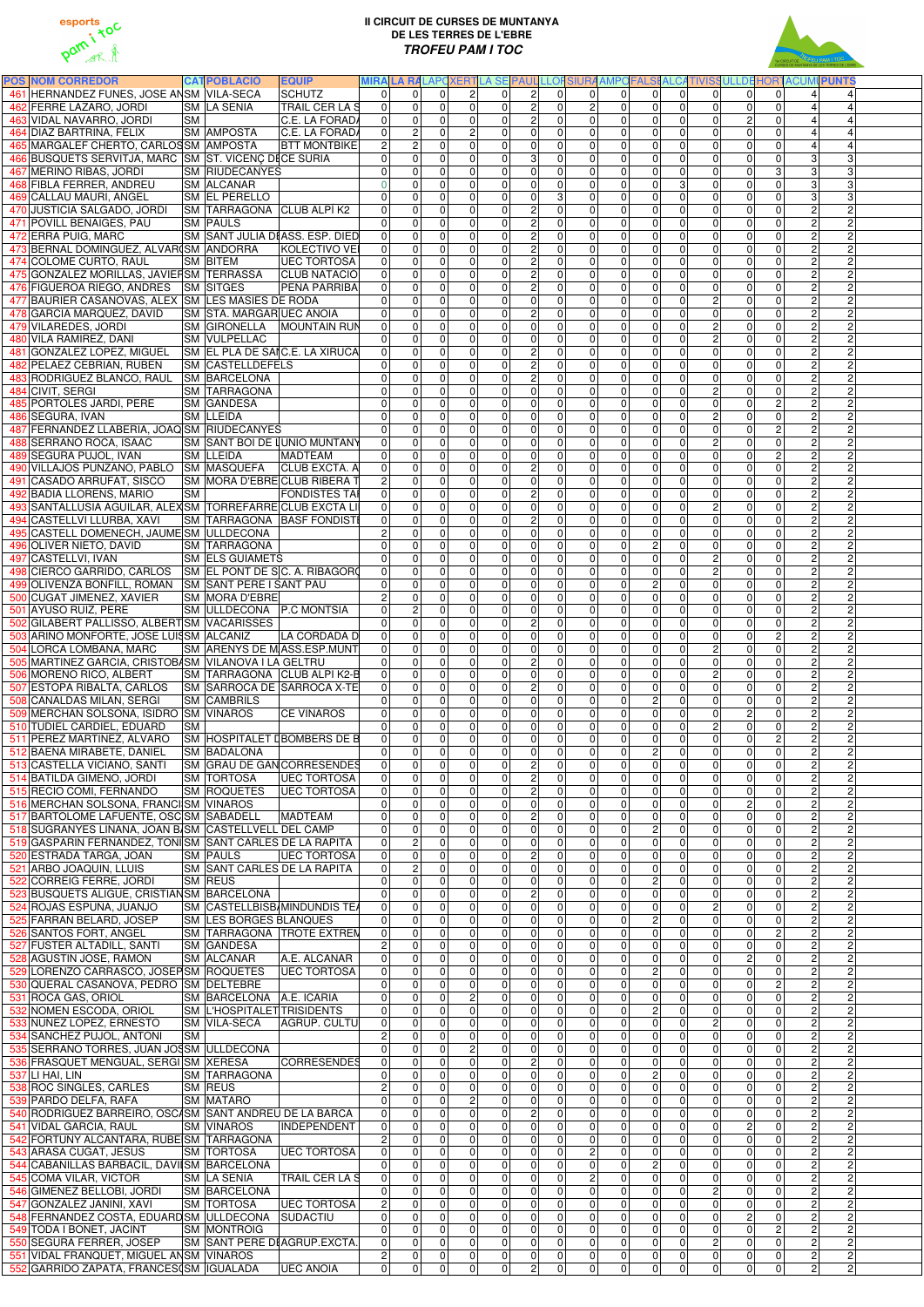



| <b>POS NOM CORREDOR</b>                                                           |           | <b>CATPOBLACIÓ</b>                                | <b>EQUIP</b>                                                  |                |                                                                            |                                                                                              |                                  |                                  |                                  |                                  |                                                                        |                                                           |                                                        | MIRA LA RALAPCXERTLA SE PAUL LLOFSIURA AMPOFALSI ALCATIVISSULLDE HORTACUMI PUNTS |  |
|-----------------------------------------------------------------------------------|-----------|---------------------------------------------------|---------------------------------------------------------------|----------------|----------------------------------------------------------------------------|----------------------------------------------------------------------------------------------|----------------------------------|----------------------------------|----------------------------------|----------------------------------|------------------------------------------------------------------------|-----------------------------------------------------------|--------------------------------------------------------|----------------------------------------------------------------------------------|--|
| 461 HERNANDEZ FUNES, JOSE ANSM VILA-SECA                                          |           |                                                   | <b>SCHUTZ</b>                                                 |                | $\overline{0}$<br>$\Omega$                                                 | $\overline{2}$<br>$\Omega$<br>$\Omega$                                                       | $\mathbf{2}$                     | $\overline{0}$                   | $\overline{0}$                   | $\overline{0}$                   | $\overline{0}$<br> 0                                                   | 0                                                         | 0 <br> 0                                               | $\overline{4}$<br>$\Delta$                                                       |  |
| 462 FERRE LAZARO, JORDI                                                           |           | <b>SM LA SENIA</b>                                | <b>TRAIL CERLAS</b>                                           |                | $\mathbf 0$<br>$\overline{0}$                                              | $\overline{0}$<br>$\overline{0}$<br>$\Omega$                                                 | $\overline{2}$                   | $\overline{0}$                   | $\overline{2}$                   | $\overline{0}$                   | $\overline{0}$<br>$\mathbf 0$                                          | $\mathbf 0$                                               | $\mathbf 0$<br>$\Omega$                                | $\vert 4 \vert$<br>4                                                             |  |
| 463 VIDAL NAVARRO, JORDI                                                          | <b>SM</b> |                                                   | C.E. LA FORADA                                                |                | $\mathsf{O}\xspace$<br>$\overline{0}$                                      | 0 <br>$\overline{0}$<br>$\overline{0}$                                                       | $\overline{2}$                   | $\overline{0}$                   | $\overline{0}$                   | $\overline{0}$                   | $\overline{0}$<br>$\mathbf 0$                                          | $\overline{c}$<br>$\mathbf 0$                             | $\pmb{0}$                                              | 4<br>4                                                                           |  |
| 464 DIAZ BARTRINA, FELIX                                                          |           | <b>SM AMPOSTA</b>                                 | C.E. LA FORADA                                                |                | <sub>N</sub><br>$\overline{0}$                                             | $\mathbf{2}$<br>$\overline{0}$<br>$\overline{0}$                                             | $\pmb{0}$                        | $\overline{0}$                   | $\overline{0}$                   | $\overline{0}$                   | $\overline{0}$<br>$\mathbf 0$                                          | $\pmb{0}$                                                 | $\pmb{0}$<br> 0                                        | $\overline{4}$<br>$\overline{4}$                                                 |  |
| 465 MARGALEF CHERTO, CARLOSSM AMPOSTA                                             |           |                                                   | <b>BTT MONTBIKE</b>                                           | $\overline{2}$ | $\overline{c}$                                                             | $\overline{0}$<br>$\overline{0}$<br>$\overline{0}$                                           | $\overline{\mathsf{o}}$          | $\overline{0}$                   | $\overline{0}$                   | $\overline{0}$                   | $\overline{0}$<br>$\mathbf 0$                                          | $\pmb{0}$<br> 0                                           | $\overline{\mathsf{o}}$                                | $\overline{4}$                                                                   |  |
| 466 BUSQUETS SERVITJA, MARC SM ST. VICENÇ DECE SURIA                              |           |                                                   |                                                               |                | $\pmb{0}$<br>$\overline{0}$                                                | $\overline{0}$<br>$\overline{0}$<br>$\overline{0}$                                           | ω                                | $\overline{0}$                   | $\overline{0}$                   | $\overline{0}$                   | $\overline{0}$<br>$\mathbf 0$                                          | $\pmb{0}$<br>$\mathbf 0$                                  | $\pmb{0}$                                              | $\overline{3}$<br>3                                                              |  |
| 467 MERINO RIBAS, JORDI                                                           |           | <b>SM RIUDECANYES</b>                             |                                                               |                | $\mathbf 0$<br>$\overline{0}$                                              | $\overline{0}$<br>$\overline{0}$<br>$\Omega$                                                 | $\overline{\mathsf{o}}$          | $\overline{0}$                   | $\overline{0}$                   | $\overline{0}$                   | $\overline{0}$<br>$\Omega$                                             | $\mathbf 0$<br>$\mathbf 0$                                | ω                                                      | $\overline{3}$<br>3                                                              |  |
| 468 FIBLA FERRER, ANDREU                                                          |           | <b>SM ALCANAR</b>                                 |                                                               |                | $\mathbf 0$<br>$\overline{0}$                                              | $\overline{0}$<br>$\overline{0}$<br>$\Omega$                                                 | $\overline{\mathsf{o}}$          | $\overline{0}$                   | $\overline{0}$                   | $\overline{0}$                   | $\overline{0}$<br>3                                                    | $\overline{0}$<br>$\mathbf 0$                             | $\overline{0}$                                         | $\overline{3}$<br>3                                                              |  |
| 469 CALLAU MAURI, ANGEL<br>470 JUSTICIA SALGADO, JORDI                            |           | <b>SM EL PERELLO</b><br>SM TARRAGONA CLUB ALPÍ K2 |                                                               |                | $\mathbf 0$<br>$\overline{0}$<br>$\overline{0}$<br>$\overline{\mathsf{o}}$ | $\overline{0}$<br>$\overline{0}$<br>$\Omega$<br>$\overline{0}$<br>$\overline{0}$<br>$\Omega$ | $\pmb{0}$<br>$\overline{2}$      | $\overline{3}$<br>$\overline{0}$ | $\overline{0}$<br> 0             | $\overline{0}$<br>$\overline{0}$ | $\overline{0}$<br>0<br>$\overline{0}$<br>$\mathbf 0$                   | 0 <br>$\mathbf 0$<br>$\overline{0}$<br>$\mathbf 0$        | $\pmb{0}$<br>$\pmb{0}$                                 | $\overline{3}$<br>3<br>$\overline{2}$<br>$\mathsf{2}$                            |  |
| 471 POVILL BENAIGES, PAU                                                          |           | <b>SM PAULS</b>                                   |                                                               |                | $\overline{\mathsf{o}}$<br>$\overline{0}$                                  | $\overline{0}$<br>$\overline{0}$<br>$\Omega$                                                 | $\overline{2}$                   | $\overline{0}$                   | 0                                | $\overline{0}$                   | $\overline{0}$<br>$\Omega$                                             | 0 <br> 0                                                  | $\pmb{0}$                                              | $\overline{2}$<br>$\overline{c}$                                                 |  |
| 472 ERRA PUIG, MARC                                                               |           |                                                   | SM SANT JULIA DIASS. ESP. DIED                                |                | $\overline{0}$<br>$\overline{\mathsf{o}}$                                  | $\overline{0}$<br>$\overline{0}$<br>$\Omega$                                                 | $\overline{c}$                   | $\overline{0}$                   | $\overline{0}$                   | $\overline{0}$                   | $\overline{0}$<br>$\mathbf 0$                                          | 0 <br> 0                                                  | $\overline{\mathsf{o}}$                                | $\overline{2}$<br>ΣJ                                                             |  |
| 473 BERNAL DOMINGUEZ, ALVAR(SM ANDORRA                                            |           |                                                   | KOLECTIVO VEI                                                 |                | $\mathbf 0$<br> 0                                                          | $\overline{0}$<br>$\overline{0}$<br>$\Omega$                                                 | $\overline{2}$                   | $\overline{0}$                   | $\overline{0}$                   | $\overline{0}$                   | $\overline{0}$<br>$\Omega$                                             | 0 <br> 0                                                  | $\mathbf 0$                                            | $\overline{2}$<br>$\overline{2}$                                                 |  |
| 474 COLOME CURTO, RAUL                                                            |           | <b>SM BITEM</b>                                   | <b>UEC TORTOSA</b>                                            |                | $\mathbf 0$<br>$\overline{0}$                                              | $\overline{0}$<br>$\overline{0}$<br>$\Omega$                                                 | $\overline{c}$                   | $\overline{0}$                   | $\overline{0}$                   | $\overline{0}$                   | $\overline{0}$<br>$\Omega$                                             | 0 <br> 0                                                  | $\mathbf 0$                                            | $\overline{2}$<br>$\overline{2}$                                                 |  |
| 475 GONZALEZ MORILLAS, JAVIERSM TERRASSA CLUB NATACIÓ                             |           |                                                   |                                                               |                | $\mathbf 0$<br>$\overline{0}$                                              | $\overline{0}$<br>$\overline{0}$<br>$\Omega$                                                 | $\overline{2}$                   | $\overline{0}$                   | $\overline{0}$                   | $\overline{0}$                   | $\overline{0}$<br>$\Omega$                                             | $\Omega$<br>$\mathbf{0}$                                  | $\mathbf 0$                                            | $\overline{2}$<br>$\overline{2}$                                                 |  |
| 476 FIGUEROA RIEGO, ANDRES SM SITGES                                              |           |                                                   | <b>PEÑA PARRIBA</b>                                           |                | $\overline{\mathsf{o}}$<br>$\Omega$                                        | $\overline{0}$<br>$\overline{0}$<br>$\Omega$                                                 | $\overline{2}$                   | $\overline{0}$                   | $\overline{0}$                   | $\overline{0}$                   | $\overline{0}$<br>$\overline{0}$                                       | $\Omega$<br>$\overline{0}$                                | $\overline{\mathsf{o}}$                                | $\overline{2}$<br>$\overline{2}$                                                 |  |
| 477 BAURIER CASANOVAS, ALEX SM LES MASIES DE RODA                                 |           |                                                   |                                                               |                | $\mathbf 0$<br>$\Omega$                                                    | $\overline{0}$<br>$\overline{0}$<br>$\Omega$                                                 | $\overline{\mathsf{o}}$          | $\overline{0}$                   | $\overline{0}$                   | $\overline{0}$                   | $\overline{0}$<br>$\mathbf 0$                                          | $\overline{c}$<br>$\mathbf 0$                             | $\overline{\mathsf{o}}$                                | $\overline{2}$<br>$\overline{2}$                                                 |  |
| 478 GARCIA MARQUEZ, DAVID                                                         |           | SM STA. MARGARUEC ANOIA                           |                                                               |                | $\mathbf 0$<br>$\overline{0}$                                              | $\overline{0}$<br>$\overline{0}$<br>$\Omega$                                                 | $\overline{2}$                   | $\overline{0}$                   | $\overline{0}$                   | $\overline{0}$                   | $\overline{0}$<br>$\mathbf 0$                                          | $\overline{0}$<br>$\mathbf 0$                             | $\mathbf 0$                                            | $\overline{2}$<br>$\overline{c}$                                                 |  |
| 479 VILAREDES, JORDI                                                              |           |                                                   | SM GIRONELLA MOUNTAIN RUN                                     |                | $\mathbf 0$<br>$\overline{0}$                                              | $\overline{0}$<br>$\overline{0}$<br>$\Omega$                                                 | $\overline{0}$                   | $\overline{0}$                   | $\overline{0}$                   | $\overline{0}$                   | $\overline{0}$<br>$\Omega$                                             | $\overline{c}$<br>$\mathbf 0$                             | $\mathbf 0$                                            | $\overline{2}$<br>$\overline{2}$                                                 |  |
| 480 VILA RAMIREZ, DANI                                                            |           | SM VULPELLAC                                      |                                                               |                | $\mathbf 0$<br>$\Omega$                                                    | $\overline{0}$<br>$\overline{0}$<br>$\Omega$                                                 | $\overline{\mathsf{o}}$          | $\overline{0}$                   | $\overline{0}$                   | $\overline{0}$                   | $\overline{0}$<br>$\Omega$                                             | ΣJ<br>$\mathbf{0}$                                        | $\mathbf 0$                                            | $\overline{2}$<br>ΣJ                                                             |  |
| 481 GONZALEZ LOPEZ, MIGUEL                                                        |           |                                                   | SM EL PLA DE SAIC.E. LA XIRUCA                                |                | $\mathbf 0$<br>$\overline{0}$                                              | $\overline{0}$<br>$\overline{0}$<br>$\Omega$                                                 | $\overline{2}$                   | $\overline{0}$                   | $\overline{0}$                   | $\overline{0}$                   | $\overline{0}$<br>$\mathbf 0$                                          | $\mathbf 0$<br>$\mathbf 0$                                | $\pmb{0}$                                              | $\overline{2}$<br><sub>N</sub>                                                   |  |
| 482 PELAEZ CEBRIAN, RUBEN                                                         |           | <b>SM CASTELLDEFELS</b>                           |                                                               |                | $\mathbf 0$<br>$\overline{0}$                                              | $\overline{0}$<br>$\overline{0}$<br>$\Omega$                                                 | $\overline{c}$                   | $\overline{0}$                   | $\overline{0}$                   | $\overline{0}$                   | $\overline{0}$<br>$\mathbf 0$                                          | 0 <br>$\mathbf 0$                                         | $\pmb{0}$                                              | $\overline{2}$<br>$\overline{2}$                                                 |  |
| 483 RODRIGUEZ BLANCO, RAUL                                                        |           | <b>SM BARCELONA</b>                               |                                                               |                | $\mathbf 0$<br>$\overline{0}$                                              | $\overline{0}$<br>$\overline{0}$<br>$\Omega$                                                 | $\overline{2}$                   | $\overline{0}$                   | $\overline{0}$                   | $\overline{0}$                   | $\overline{0}$<br>$\mathbf 0$                                          | 0 <br> 0                                                  | $\pmb{0}$                                              | $\overline{2}$<br>$\overline{2}$                                                 |  |
| 484 CIVIT, SERGI                                                                  |           | SM TARRAGONA                                      |                                                               |                | $\overline{0}$<br>$\mathbf 0$                                              | $\overline{0}$<br>$\overline{0}$<br>$\Omega$                                                 | $\overline{\mathsf{o}}$          | $\overline{0}$                   | $\overline{0}$                   | $\overline{0}$                   | $\overline{0}$<br>$\mathbf 0$                                          | ΣJ<br> 0                                                  | $\mathbf 0$                                            | $\overline{2}$<br>ΣJ                                                             |  |
| 485 PORTOLES JARDI, PERE                                                          |           | <b>SM GANDESA</b>                                 |                                                               |                | $\overline{0}$<br>$\mathsf{O}\xspace$                                      | $\overline{0}$<br>$\overline{0}$<br>$\Omega$                                                 | $\pmb{0}$                        | $\overline{0}$                   | $\overline{0}$                   | $\overline{0}$                   | $\overline{0}$<br>$\mathbf 0$                                          | $\mathbf 0$<br> 0                                         | ΣJ                                                     | $\overline{2}$<br>ΣJ                                                             |  |
| 486 SEGURA, IVAN<br>487 FERNANDEZ LLABERIA, JOAQ SM RIUDECANYES                   |           | SM LLEIDA                                         |                                                               | $\overline{0}$ | $\mathbf 0$<br>$\mathbf 0$<br>$\Omega$                                     | $\overline{0}$<br>$\overline{0}$<br>$\Omega$<br>$\overline{0}$<br>$\overline{0}$             | $\pmb{0}$<br>$\pmb{0}$           | $\overline{0}$<br>$\overline{0}$ | $\overline{0}$<br>$\overline{0}$ | $\overline{0}$                   | $\overline{0}$<br>0<br>$\overline{0}$                                  | $\overline{c}$<br> 0 <br>$\mathbf 0$                      | $\mathbf 0$<br>ΣJ                                      | $\overline{2}$<br>$\overline{c}$<br>$\overline{2}$<br>$\overline{2}$             |  |
| 488 SERRANO ROCA, ISAAC                                                           |           |                                                   | SM SANT BOI DE LUNIO MUNTANY                                  |                | $\mathsf{O}\xspace$<br>$\overline{0}$                                      | $\Omega$<br>$\overline{0}$<br> 0 <br>$\overline{0}$                                          | $\overline{\mathsf{o}}$          | $\overline{0}$                   | $\overline{0}$                   | $\overline{0}$<br>$\overline{0}$ | $\mathbf 0$<br>$\overline{0}$<br>$\mathbf 0$                           | $\mathbf 0$<br>$\overline{c}$<br>$\mathbf 0$              | $\overline{\mathsf{o}}$                                | $\overline{2}$<br>$\overline{2}$                                                 |  |
| 489 SEGURA PUJOL, IVAN                                                            |           | <b>SM LLEIDA</b>                                  | <b>MADTEAM</b>                                                |                | $\mathbf 0$<br>$\overline{0}$                                              | $\overline{0}$<br>$\overline{0}$<br>$\overline{0}$                                           | $\overline{\mathsf{o}}$          | $\overline{0}$                   | 0                                | $\overline{0}$                   | $\overline{0}$<br>$\mathbf 0$                                          | $\mathbf 0$<br>$\mathbf 0$                                | $\overline{c}$                                         | $\overline{2}$<br>$\overline{2}$                                                 |  |
| 490 VILLAJOS PUNZANO, PABLO SM MASQUEFA                                           |           |                                                   | <b>CLUB EXCTA. A</b>                                          |                | $\overline{\mathsf{o}}$<br>$\overline{0}$                                  | $\overline{0}$<br>$\overline{0}$<br>$\overline{0}$                                           | $\overline{2}$                   | $\overline{0}$                   | $\overline{0}$                   | $\overline{0}$                   | $\overline{0}$<br>$\mathbf 0$                                          | $\pmb{0}$<br> 0                                           | $\overline{\mathsf{o}}$                                | $\overline{2}$<br>$\overline{2}$                                                 |  |
| 491 CASADO ARRUFAT, SISCO                                                         |           |                                                   | SM MORA D'EBRECLUB RIBERA T                                   |                | $2 \vert$<br>$\mathbf 0$                                                   | $\overline{0}$<br>$\overline{0}$<br>$\Omega$                                                 | $\overline{0}$                   | $\overline{0}$                   | 0                                | $\overline{0}$                   | $\overline{0}$<br>$\mathbf 0$                                          | $\mathbf 0$<br>$\mathbf 0$                                | $\overline{\mathsf{o}}$                                | $\overline{2}$<br>$\overline{c}$                                                 |  |
| 492 BADIA LLORENS, MARIO                                                          | <b>SM</b> |                                                   | <b>FONDISTES TAI</b>                                          |                | $\mathbf 0$<br>$\overline{0}$                                              | $\overline{0}$<br>$\overline{0}$<br>$\Omega$                                                 | <sub>N</sub>                     | $\overline{0}$                   | $\overline{0}$                   | $\overline{0}$                   | $\overline{0}$<br>$\Omega$                                             | $\mathbf 0$<br>$\mathbf 0$                                | $\mathbf 0$                                            | $\overline{2}$<br>$\overline{c}$                                                 |  |
| 493 SANTALLUSIA AGUILAR, ALEX SM TORREFARRE CLUB EXCTA LI                         |           |                                                   |                                                               |                | $\mathbf 0$<br>$\overline{0}$                                              | $\overline{0}$<br>$\overline{0}$<br>$\Omega$                                                 | $\overline{0}$                   | $\overline{0}$                   | $\overline{0}$                   | $\overline{0}$                   | $\overline{0}$<br>$\mathbf{0}$                                         | $\overline{c}$<br>$\mathbf 0$                             | $\mathbf 0$                                            | $\overline{2}$<br>Ŋ.                                                             |  |
| 494 CASTELLVI LLURBA, XAVI                                                        |           |                                                   | SM TARRAGONA BASF FONDISTI                                    |                | $\mathbf 0$<br>$\overline{0}$                                              | $\overline{0}$<br>$\overline{0}$<br>$\Omega$                                                 | <sub>2</sub>                     | $\overline{0}$                   | $\overline{0}$                   | $\overline{0}$                   | $\overline{0}$<br>$\Omega$                                             | $\mathbf 0$<br>$\mathbf{0}$                               | $\mathbf 0$                                            | $\overline{2}$<br>$\overline{c}$                                                 |  |
| 495 CASTELL DOMENECH, JAUME SM ULLDECONA                                          |           |                                                   |                                                               |                | $\overline{2}$<br>$\mathbf 0$                                              | $\overline{0}$<br>$\overline{0}$<br>$\Omega$                                                 | $\mathbf 0$                      | $\overline{0}$                   | $\overline{0}$                   | $\overline{0}$                   | $\overline{0}$<br>$\Omega$                                             | $\mathbf 0$<br>$\Omega$                                   | $\pmb{0}$                                              | $\overline{2}$<br>$\overline{c}$                                                 |  |
| 496 OLIVER NIETO, DAVID                                                           |           | <b>SM TARRAGONA</b>                               |                                                               |                | $\mathsf{O}\xspace$<br>$\overline{0}$                                      | $\overline{0}$<br>$\overline{0}$<br>$\Omega$                                                 | $\pmb{0}$                        | $\overline{0}$                   | 0                                | $\overline{0}$                   | $\overline{c}$<br>0                                                    | 0 <br> 0                                                  | $\pmb{0}$                                              | $\overline{2}$<br>$\overline{2}$                                                 |  |
| 497 CASTELLVI, IVAN                                                               |           | <b>SM ELS GUIAMETS</b>                            |                                                               |                | 0 <br>$\overline{0}$                                                       | 0 <br>$\overline{0}$<br>$\Omega$                                                             | $\overline{0}$                   | $\Omega$                         | $\overline{0}$                   | $\overline{0}$                   | 0 <br>$\Omega$                                                         | 2 <sup>1</sup>                                            | $\overline{0}$<br> 0                                   | $\overline{2}$<br>$\overline{2}$                                                 |  |
| CIERCO GARRIDO, CARLOS                                                            |           |                                                   | $\vert$ SM $\vert$ EL PONT DE S $\vert$ C. A. RIBAGOR $\vert$ |                | $\overline{0}$<br>0                                                        | 0 <br>$\overline{0}$<br>0                                                                    | 0                                | $\overline{0}$                   | $\overline{0}$                   | $\overline{0}$                   | $\overline{0}$<br>$\overline{0}$                                       | $\overline{c}$                                            | 0 <br>01                                               | $\overline{c}$<br>$\mathsf{2}$                                                   |  |
| 499 OLIVENZA BONFILL, ROMAN SM SANT PERE I SANT PAU                               |           |                                                   |                                                               |                | $\overline{0}$<br>$\overline{0}$                                           | $\overline{0}$<br>$\overline{0}$<br>$\Omega$                                                 | $\overline{0}$                   | $\overline{0}$                   | $\overline{0}$                   | $\overline{0}$                   | $\overline{2}$<br>$\overline{0}$                                       | $\overline{0}$                                            | $\overline{\mathsf{o}}$<br>$\Omega$                    | $\overline{2}$<br>$\overline{2}$                                                 |  |
| 500 CUGAT JIMENEZ, XAVIER                                                         |           | <b>SM MORA D'EBRE</b>                             |                                                               |                | $\overline{2}$<br>$\mathbf 0$                                              | $\overline{0}$<br>$\overline{0}$<br>$\Omega$                                                 | 0                                | $\overline{0}$                   | $\overline{0}$                   | $\overline{0}$                   | $\overline{0}$<br>$\overline{0}$                                       | 0                                                         | $\mathbf 0$<br>$\Omega$                                | $\overline{c}$<br>2                                                              |  |
| 501 AYUSO RUIZ, PERE                                                              |           | SM ULLDECONA P.C MONTSIA                          |                                                               |                | $\overline{2}$<br>$\overline{0}$                                           | $\overline{0}$<br>$\overline{0}$<br>$\Omega$                                                 | 0                                | $\overline{0}$                   | $\overline{0}$                   | $\overline{0}$                   | $\overline{0}$<br>$\mathbf 0$                                          | $\mathbf 0$<br>$\overline{0}$                             | $\mathbf 0$                                            | $\overline{2}$<br>$\overline{c}$                                                 |  |
| 502 GILABERT PALLISSO, ALBERT SM VACARISSES                                       |           |                                                   |                                                               |                | $\mathbf 0$<br>$\overline{0}$                                              | $\overline{0}$<br>$\overline{0}$<br>$\Omega$                                                 | $\overline{2}$                   | $\overline{0}$                   | $\overline{0}$                   | $\overline{0}$                   | $\overline{0}$<br>$\Omega$                                             | $\mathbf 0$<br>$\overline{0}$                             | $\mathbf 0$                                            | $\overline{2}$<br>$\overline{c}$                                                 |  |
| 503 ARIÑO MONFORTE, JOSE LUISSM ALCAÑIZ                                           |           |                                                   | LA CORDADA D                                                  |                | $\overline{0}$<br>$\mathbf 0$                                              | $\overline{0}$<br>$\overline{0}$<br>$\Omega$                                                 | $\overline{0}$                   | $\overline{0}$                   | 0                                | $\overline{0}$                   | $\overline{0}$<br>$\Omega$                                             | 0 <br>$\mathbf 0$                                         | ΣJ                                                     | $\overline{2}$<br>$\overline{c}$                                                 |  |
| 504 LORCA LOMBANA, MARC                                                           |           |                                                   | SM ARENYS DE MASS.ESP.MUNT                                    |                | $\mathbf 0$<br>$\overline{0}$                                              | $\overline{0}$<br>$\overline{0}$<br>$\Omega$                                                 | $\boldsymbol{0}$                 | $\overline{0}$                   | $\overline{0}$                   | $\overline{0}$                   | $\overline{0}$<br>$\Omega$                                             | $\overline{2}$<br>$\mathbf 0$                             | $\overline{\mathsf{o}}$                                | $\overline{2}$<br>$\overline{2}$                                                 |  |
| 505 MARTINEZ GARCIA, CRISTOBASM VILANOVA I LA GELTRU                              |           |                                                   |                                                               |                | $\mathbf 0$<br>$\overline{0}$                                              | $\overline{0}$<br> 0 <br>$\Omega$                                                            | $\overline{2}$                   | $\overline{0}$                   | $\overline{0}$                   | $\overline{0}$                   | $\overline{0}$<br>$\Omega$                                             | 0 <br>$\mathbf{0}$                                        | $\mathbf 0$                                            | $\overline{2}$<br>$\overline{2}$                                                 |  |
| 506 MORENO RICO, ALBERT<br>507 ESTOPA RIBALTA, CARLOS                             |           |                                                   | SM TARRAGONA CLUB ALPI K2-B<br>SM SARROCA DE SARROCA X-TE     |                | $\mathbf 0$<br>$\overline{0}$<br>$\pmb{0}$                                 | $\overline{0}$<br>$\overline{0}$<br>$\Omega$<br>$\overline{0}$<br>$\overline{0}$<br>$\Omega$ | $\pmb{0}$<br>$\overline{2}$      | $\overline{0}$<br>$\overline{0}$ | $\overline{0}$<br>$\overline{0}$ | $\overline{0}$<br>$\overline{0}$ | $\overline{0}$<br>$\overline{0}$<br>$\boldsymbol{0}$<br>$\overline{0}$ | $\overline{c}$<br>$\Omega$<br>$\pmb{0}$<br>$\overline{0}$ | $\mathbf 0$<br>$\pmb{0}$                               | $\overline{2}$<br>$\overline{c}$<br>$\overline{2}$<br>$\overline{c}$             |  |
| 508 CANALDAS MILAN, SERGI                                                         |           | <b>SM CAMBRILS</b>                                |                                                               |                | $\overline{0}$<br>$\mathbf 0$<br>0                                         | $\overline{0}$<br>$\overline{0}$<br>$\Omega$                                                 | $\overline{\mathsf{o}}$          | $\overline{0}$                   | 0                                | $\overline{0}$                   | $\overline{2}$<br>$\mathbf 0$                                          | $\pmb{0}$<br>$\mathbf 0$                                  | $\pmb{0}$                                              | $\overline{2}$<br>$\overline{2}$                                                 |  |
| 509 MERCHAN SOLSONA, ISIDRO SM VINAROS                                            |           |                                                   | <b>CE VINAROS</b>                                             |                | $\pmb{0}$<br>0                                                             | $\overline{0}$<br>$\overline{0}$<br>$\Omega$                                                 | $\boldsymbol{0}$                 | $\overline{0}$                   | $\overline{0}$                   | 0                                | $\overline{0}$<br>$\mathbf 0$                                          | 0                                                         | $\vert$ 2<br>$\pmb{0}$                                 | $\overline{2}$<br>$\overline{c}$                                                 |  |
| 510 TUDIEL CARDIEL, EDUARD                                                        | <b>SM</b> |                                                   |                                                               |                | $\pmb{0}$<br>$\overline{0}$                                                | $\overline{0}$<br>$\overline{0}$<br>$\Omega$                                                 | $\boldsymbol{0}$                 | $\overline{0}$                   | $\overline{0}$                   | $\overline{0}$                   | $\overline{0}$<br>$\mathbf 0$                                          | ΣJ<br> 0                                                  | $\pmb{0}$                                              | $\overline{2}$<br>Ŋ.                                                             |  |
| 511 PEREZ MARTINEZ, ALVARO                                                        |           |                                                   | SM HOSPITALET LBOMBERS DE B                                   |                | $\mathbf 0$<br>$\overline{0}$                                              | $\overline{0}$<br>$\overline{0}$<br>$\overline{0}$                                           | $\pmb{0}$                        | $\overline{0}$                   | $\overline{0}$                   | $\overline{0}$                   | $\overline{0}$<br>$\mathbf 0$                                          | 0 <br> 0                                                  | ΣJ                                                     | $\overline{2}$<br>$\overline{c}$                                                 |  |
| 512 BAENA MIRABETE, DANIEL                                                        |           | <b>SM BADALONA</b>                                |                                                               |                | $\pmb{0}$<br>0                                                             | $\overline{0}$<br>$\overline{0}$<br>$\overline{0}$                                           | $\pmb{0}$                        | $\overline{0}$                   | $\overline{0}$                   | $\overline{0}$                   | $\overline{2}$<br>$\mathbf 0$                                          | $\pmb{0}$<br>$\mathbf 0$                                  | $\pmb{0}$                                              | $\overline{2}$<br>$\overline{c}$                                                 |  |
| 513 CASTELLA VICIANO, SANTI                                                       |           |                                                   | <b>SM GRAU DE GAN CORRESENDES</b>                             |                | $\pmb{0}$<br>$\overline{0}$                                                | $\overline{0}$<br>$\overline{0}$<br>$\overline{0}$                                           | $\overline{2}$                   | $\overline{0}$                   | $\overline{0}$                   | $\overline{0}$                   | $\overline{0}$<br>$\mathbf 0$                                          | $\pmb{0}$<br>$\mathbf 0$                                  | $\pmb{0}$                                              | $\overline{2}$<br>$\overline{c}$                                                 |  |
| 514 BATILDA GIMENO, JORDI                                                         |           | <b>SM TORTOSA</b>                                 | <b>UEC TORTOSA</b>                                            |                | $\mathsf{O}\xspace$<br>$\overline{0}$                                      | $\overline{0}$<br>$\overline{0}$<br>$\overline{0}$                                           | $\overline{2}$                   | $\overline{0}$                   | $\overline{0}$                   | $\overline{0}$                   | $\overline{0}$<br>$\mathbf 0$                                          | $\pmb{0}$<br> 0                                           | $\pmb{0}$                                              | $\overline{2}$<br>$\overline{c}$                                                 |  |
| 515 RECIO COMI, FERNANDO                                                          |           |                                                   | SM ROQUETES UEC TORTOSA                                       |                | $\mathsf{O}\xspace$<br>$\overline{0}$                                      | $\overline{0}$<br>$\overline{0}$<br>$\overline{0}$                                           | $\overline{2}$                   | $\overline{0}$                   | $\overline{0}$                   | $\overline{0}$                   | $\overline{0}$<br>$\mathbf 0$                                          | $\pmb{0}$<br> 0                                           | $\pmb{0}$                                              | $\overline{2}$<br>$\overline{c}$                                                 |  |
| 516 MERCHAN SOLSONA, FRANCISM VINAROS                                             |           |                                                   |                                                               |                | $\mathsf{O}\xspace$<br>$\overline{0}$                                      | $\overline{0}$<br>$\overline{0}$<br>$\overline{0}$                                           | $\overline{\mathsf{o}}$          | $\overline{0}$                   | $\overline{0}$                   | $\overline{0}$                   | $\overline{0}$<br>$\mathbf 0$                                          | 0                                                         | $\pmb{0}$<br>$\vert$ 2                                 | $\overline{2}$<br>$\overline{c}$                                                 |  |
| 517 BARTOLOME LAFUENTE, OSC SM SABADELL                                           |           |                                                   | MADTEAM                                                       |                | $\mathbf 0$<br>$\overline{0}$                                              | $\overline{0}$<br>$\overline{0}$<br>$\overline{0}$                                           | $\overline{2}$                   | $\overline{0}$                   | 0                                | $\overline{0}$                   | $\overline{0}$<br>$\Omega$                                             | $\mathbf 0$<br>$\mathbf 0$                                | $\mathbf 0$                                            | $\overline{2}$<br>$\overline{c}$                                                 |  |
| 518 SUGRANYES LIÑANA, JOAN B SM CASTELLVELL DEL CAMP                              |           |                                                   |                                                               |                | $\overline{0}$<br>$\mathbf 0$                                              | $\overline{0}$<br>$\overline{0}$<br>$\Omega$                                                 | $\overline{0}$                   | $\overline{0}$                   | $\overline{0}$                   | $\overline{0}$                   | $\overline{2}$<br>$\mathbf{0}$                                         | $\overline{0}$<br>$\mathbf{0}$                            | $\mathbf 0$                                            | $\overline{2}$<br>$\overline{c}$                                                 |  |
| 519 GASPARIN FERNANDEZ, TONISM SANT CARLES DE LA RAPITA                           |           |                                                   |                                                               |                | <sub>N</sub><br>$\overline{0}$                                             | $\overline{0}$<br>$\overline{0}$<br>$\Omega$                                                 | $\pmb{0}$                        | $\overline{0}$                   | $\overline{0}$                   | $\overline{0}$                   | $\boldsymbol{0}$<br>$\Omega$                                           | 0 <br>$\overline{0}$                                      | $\pmb{0}$                                              | $\overline{2}$<br>$\overline{c}$                                                 |  |
| 520 ESTRADA TARGA, JOAN                                                           |           | <b>SM PAULS</b>                                   | <b>UEC TORTOSA</b>                                            |                | $\mathsf{O}\xspace$<br>$\overline{0}$                                      | $\overline{0}$<br>$\overline{0}$<br>$\Omega$                                                 | $\overline{2}$                   | $\overline{0}$                   | 0                                | $\overline{0}$                   | $\overline{0}$<br>0                                                    | 0 <br>$\mathbf{0}$                                        | $\pmb{0}$                                              | $\overline{2}$<br>$\overline{c}$                                                 |  |
| 521 ARBO JOAQUIN, LLUIS                                                           |           | <b>SM SANT CARLES DE LA RAPITA</b>                |                                                               |                | $\overline{2}$<br>$\overline{0}$                                           | $\overline{0}$<br>$\overline{0}$<br>$\Omega$                                                 | $\overline{0}$                   | $\overline{0}$                   | 0                                | $\overline{0}$                   | $\overline{0}$<br>$\Omega$                                             | 0 <br>$\mathbf 0$                                         | $\pmb{0}$                                              | $\overline{2}$<br>Ŋ.                                                             |  |
| 522 CORREIG FERRE, JORDI<br>523 BUSQUETS ALIGUE, CRISTIANSM BARCELONA             |           | <b>SM REUS</b>                                    |                                                               |                | $\mathbf 0$<br>$\overline{0}$<br>$\mathbf 0$<br>$\Omega$                   | $\overline{0}$<br>$\overline{0}$<br>$\Omega$<br>$\overline{0}$<br>$\overline{0}$<br>$\Omega$ | $\overline{0}$<br>$\overline{2}$ | $\overline{0}$<br>$\overline{0}$ | 0 <br>$\overline{0}$             | $\overline{0}$<br>$\overline{0}$ | $\overline{c}$<br>$\Omega$<br>$\overline{0}$<br>$\Omega$               | $\mathbf 0$<br> 0 <br> 0 <br>$\Omega$                     | $\mathbf 0$<br>$\mathbf 0$                             | $\overline{2}$<br>Ŋ.<br>$\overline{2}$<br>$\overline{2}$                         |  |
| 524 ROJAS ESPUÑA, JUANJO                                                          |           |                                                   | <b>SM CASTELLBISB/MINDUNDIS TEA</b>                           |                | $\mathbf 0$<br> 0                                                          | $\overline{0}$<br>$\overline{0}$<br>$\Omega$                                                 | 0                                | $\Omega$                         | $\overline{0}$                   | $\overline{0}$                   | $\overline{0}$<br>$\Omega$                                             | $\overline{c}$<br>$\Omega$                                | $\mathbf 0$                                            | $\overline{2}$<br>$\overline{2}$                                                 |  |
| 525 FARRAN BELARD, JOSEP                                                          |           | <b>SM LES BORGES BLANQUES</b>                     |                                                               |                | $\mathbf 0$<br>$\Omega$                                                    | $\overline{0}$<br>$\Omega$<br>$\Omega$                                                       | 0                                | $\Omega$                         | $\overline{0}$                   | $\Omega$                         | $\overline{2}$<br>$\Omega$                                             | $\Omega$<br>$\Omega$                                      | $\overline{0}$                                         | 2 <sup>1</sup><br>$\overline{2}$                                                 |  |
| 526 SANTOS FORT, ANGEL                                                            |           |                                                   | SM TARRAGONA TROTE EXTREN                                     |                | $\mathbf 0$<br>$\overline{0}$                                              | $\overline{0}$<br>$\overline{0}$<br>$\Omega$                                                 | 0                                | $\overline{0}$                   | $\overline{0}$                   | $\overline{0}$                   | $\overline{0}$<br>$\overline{0}$                                       | $\Omega$<br>$\overline{0}$                                | Ŋ,                                                     | $\overline{2}$<br>$\overline{2}$                                                 |  |
| 527 FUSTER ALTADILL, SANTI                                                        |           | <b>SM GANDESA</b>                                 |                                                               |                | $\mathbf 0$                                                                | $\overline{0}$<br>$\overline{0}$<br>$\Omega$                                                 | $\overline{0}$                   | $\overline{0}$                   | $\overline{0}$                   | $\overline{0}$                   | $\overline{0}$<br>$\overline{0}$                                       | $\overline{0}$<br>$\mathbf 0$                             | $\mathbf 0$                                            | $\overline{2}$<br>$\overline{2}$                                                 |  |
| 528 AGUSTIN JOSE, RAMON                                                           |           | <b>SM ALCANAR</b>                                 | A.E. ALCANAR                                                  |                | $\mathbf 0$<br>$\overline{0}$                                              | $\overline{0}$<br>$\overline{0}$<br>$\Omega$                                                 | $\overline{0}$                   | $\overline{0}$                   | $\overline{0}$                   | $\overline{0}$                   | $\overline{0}$<br>$\Omega$                                             | $\mathbf 0$                                               | $\overline{0}$<br>$\overline{2}$                       | $\overline{2}$<br>Ŋ.                                                             |  |
| 529 LORENZO CARRASCO, JOSEPSM ROQUETES                                            |           |                                                   | <b>UEC TORTOSA</b>                                            |                | $\mathbf 0$<br>$\overline{0}$                                              | $\overline{0}$<br>$\overline{0}$<br>$\Omega$                                                 | $\overline{0}$                   | $\overline{0}$                   | $\overline{0}$                   | $\overline{0}$                   | $\overline{c}$<br>$\Omega$                                             | $\mathbf 0$<br>$\mathbf 0$                                | $\mathbf 0$                                            | Ŋ.<br>$\overline{2}$                                                             |  |
| 530 QUERAL CASANOVA, PEDRO   SM   DELTEBRE                                        |           |                                                   |                                                               |                | 0<br>$\overline{0}$                                                        | $\overline{0}$<br>$\overline{0}$<br>$\Omega$                                                 | $\pmb{0}$                        | $\overline{0}$                   | $\overline{0}$                   | $\overline{0}$                   | $\overline{0}$<br>0                                                    | 0 <br>$\mathbf{0}$                                        | $\overline{2}$                                         | Ŋ.<br>$\overline{2}$                                                             |  |
| 531 ROCA GAS, ORIOL                                                               |           | SM BARCELONA A.E. ICARIA                          |                                                               |                | $\mathbf 0$<br>0                                                           | $\overline{2}$<br>$\overline{0}$<br>$\Omega$                                                 | $\pmb{0}$                        | $\overline{0}$                   | $\overline{0}$                   | $\overline{0}$                   | $\overline{0}$<br>$\overline{0}$                                       | $\mathbf 0$<br>$\overline{0}$                             | $\pmb{0}$                                              | $\overline{c}$<br>2                                                              |  |
| 532 NOMEN ESCODA, ORIOL                                                           |           | SM L'HOSPITALET TRISIDENTS                        |                                                               |                | $\mathbf 0$<br>$\overline{0}$                                              | $\overline{0}$<br>$\overline{0}$<br>$\Omega$                                                 | $\overline{0}$                   | $\overline{0}$                   | $\overline{0}$                   | $\overline{0}$                   | $\overline{2}$<br>$\mathbf 0$                                          | 0 <br>$\mathbf 0$                                         | $\pmb{0}$                                              | $\overline{2}$<br>2                                                              |  |
| 533 NUÑEZ LOPEZ, ERNESTO                                                          |           | <b>SM VILA-SECA</b>                               | AGRUP. CULTU                                                  |                | $\mathbf 0$<br>$\overline{0}$                                              | $\overline{0}$<br>$\overline{0}$<br>$\overline{0}$                                           | $\boldsymbol{0}$                 | $\overline{0}$                   | $\overline{0}$                   | 0                                | $\overline{0}$<br>$\overline{0}$                                       | $\overline{c}$<br> 0                                      | $\pmb{0}$                                              | $\overline{2}$<br>Ŋ.                                                             |  |
| 534 SANCHEZ PUJOL, ANTONI                                                         | <b>SM</b> |                                                   |                                                               |                | $\Omega$                                                                   | $\overline{0}$<br>$\overline{0}$<br>$\Omega$                                                 | $\overline{\mathsf{o}}$          | $\overline{0}$                   | $\overline{0}$                   | $\overline{0}$                   | $\overline{0}$<br>$\Omega$                                             | 0 <br> 0                                                  | $\mathbf 0$                                            | $\overline{2}$<br>Ŋ.                                                             |  |
| 535 SERRANO TORRES, JUAN JOSSM ULLDECONA<br>536 FRASQUET MENGUAL, SERGI SM XERESA |           |                                                   | CORRESENDES 0                                                 |                | $\overline{0}$<br>$\mathsf{O}\xspace$<br>$\overline{\mathbf{0}}$           | $\overline{2}$<br> 0 <br>$\overline{0}$<br>$\overline{0}$<br>$\overline{0}$<br> 0            | $\overline{0}$<br>$\overline{2}$ | 0 <br>$\overline{0}$             | $\overline{0}$<br> 0             | 0 <br>$\overline{0}$             | 0 <br>$\mathbf 0$<br>$\overline{0}$<br>$\overline{0}$                  | 0 <br>$\mathbf 0$                                         | $\overline{0}$<br> 0 <br>$\overline{0}$<br>$\mathbf 0$ | $\overline{2}$<br>$\overline{2}$                                                 |  |
| 537 LI HAI, LIN                                                                   |           | SM TARRAGONA                                      |                                                               |                | $\pmb{0}$<br>$\overline{0}$                                                | $\overline{0}$<br>$\overline{0}$<br>$\overline{0}$                                           | $\overline{0}$                   | $\overline{0}$                   | $\overline{0}$                   | $\overline{0}$                   | $\overline{2}$<br>$\mathbf 0$                                          | $\mathbf 0$<br> 0                                         | $\overline{0}$                                         | $\frac{2}{2}$<br>$\overline{2}$<br>Ŋ.                                            |  |
| 538 ROC SINGLES, CARLES                                                           |           | <b>SM REUS</b>                                    |                                                               |                | $\overline{2}$<br>$\pmb{0}$                                                | $\overline{0}$<br>$\overline{0}$<br>$\mathbf 0$                                              | $\boldsymbol{0}$                 | $\overline{0}$                   | $\overline{0}$                   | $\overline{0}$                   | $\overline{0}$<br>$\mathbf 0$                                          | $\pmb{0}$<br> 0                                           | $\boldsymbol{0}$                                       | $\overline{2}$<br>$\overline{2}$                                                 |  |
| 539 PARDO DELFA, RAFA                                                             |           | <b>SM MATARO</b>                                  |                                                               |                | $\pmb{0}$<br>$\overline{0}$                                                | $\mathbf{2}$<br>$\overline{0}$<br>$\overline{0}$                                             | $\boldsymbol{0}$                 | 0                                | $\overline{0}$                   | $\overline{0}$                   | $\boldsymbol{0}$<br>$\pmb{0}$                                          | $\pmb{0}$                                                 | $\pmb{0}$<br> 0                                        | $\mathbf{2}$<br>2                                                                |  |
| 540 RODRIGUEZ BARREIRO, OSCASM SANT ANDREU DE LA BARCA                            |           |                                                   |                                                               | $\overline{0}$ | $\mathsf{O}\xspace$                                                        | $\overline{0}$<br>$\overline{0}$<br>$\overline{0}$                                           | $\overline{2}$                   | 0                                | $\overline{0}$                   | $\overline{0}$                   | $\overline{0}$<br>$\mathbf 0$                                          | $\pmb{0}$<br>$\overline{0}$                               | $\overline{\mathsf{o}}$                                | $\overline{2}$<br>$\overline{2}$                                                 |  |
| 541 VIDAL GARCIA, RAUL                                                            |           | <b>SM VINAROS</b>                                 | INDEPENDENT                                                   |                | $\overline{0}$<br>$\pmb{0}$                                                | $\overline{0}$<br>$\overline{0}$<br>$\overline{0}$                                           | $\overline{0}$                   | $\overline{0}$                   | $\overline{0}$                   | $\overline{0}$                   | $\overline{0}$<br>$\mathbf 0$                                          | $\vert$ 2<br>$\mathbf 0$                                  | $\overline{\mathsf{o}}$                                | $\mathbf{2}$<br>$\overline{2}$                                                   |  |
| 542 FORTUNY ALCANTARA, RUBE SM TARRAGONA                                          |           |                                                   |                                                               | $\mathbf{2}$   | $\pmb{0}$                                                                  | $\overline{0}$<br>$\overline{0}$<br>0                                                        | $\pmb{0}$                        | $\overline{0}$                   | $\boldsymbol{0}$                 | $\overline{0}$                   | $\overline{0}$<br>0                                                    | $\mathbf 0$<br>$\mathbf 0$                                | $\pmb{0}$                                              | <sub>N</sub><br>$\overline{2}$                                                   |  |
| 543 ARASA CUGAT, JESUS                                                            |           | <b>SM TORTOSA</b>                                 | <b>UEC TORTOSA</b>                                            |                | $\overline{0}$<br>$\pmb{0}$                                                | $\overline{0}$<br>$\overline{0}$<br>$\overline{0}$                                           | $\pmb{0}$                        | $\overline{0}$                   | $\mathbf{2}$                     | $\overline{0}$                   | $\boldsymbol{0}$<br>$\mathbf 0$                                        | $\mathbf 0$<br>$\mathbf 0$                                | $\pmb{0}$                                              | $\overline{2}$<br>$\overline{c}$                                                 |  |
| 544 CABANILLAS BARBACIL, DAVIISM BARCELONA                                        |           |                                                   |                                                               |                | $\pmb{0}$<br>$\overline{0}$                                                | $\overline{0}$<br>$\overline{0}$<br>$\overline{0}$                                           | $\pmb{0}$                        | $\boldsymbol{0}$                 | $\boldsymbol{0}$                 | $\overline{0}$                   | <sub>2</sub><br>$\mathbf 0$                                            | 0 <br>$\mathbf 0$                                         | $\pmb{0}$                                              | $\overline{c}$<br>$\mathbf{2}$                                                   |  |
| 545 COMA VILAR, VICTOR                                                            |           | <b>SM LA SENIA</b>                                | TRAIL CER LA S                                                |                | $\pmb{0}$<br> 0                                                            | $\overline{0}$<br>$\overline{0}$<br>$\overline{0}$                                           | $\overline{0}$                   | $\overline{0}$                   | $\mathbf{2}$                     | $\overline{0}$                   | $\overline{0}$<br>$\mathbf 0$                                          | 0 <br> 0                                                  | $\pmb{0}$                                              | $\overline{2}$<br>$\overline{2}$                                                 |  |
| 546 GIMENEZ BELLOBI, JORDI                                                        |           | <b>SM BARCELONA</b>                               |                                                               |                | $\mathsf{O}\xspace$<br>$\overline{0}$                                      | $\overline{0}$<br>$\overline{0}$<br>$\overline{0}$                                           | $\boldsymbol{0}$                 | $\overline{0}$                   | 0                                | $\overline{0}$                   | $\overline{0}$<br>$\mathbf 0$                                          | $\overline{2}$<br> 0                                      | $\pmb{0}$                                              | $\overline{2}$<br>$\overline{2}$                                                 |  |
| 547 GONZALEZ JANINI, XAVI                                                         |           | <b>SM TORTOSA</b>                                 | <b>UEC TORTOSA</b>                                            |                | $\overline{2}$<br>$\pmb{0}$                                                | $\overline{0}$<br>$\overline{0}$<br>$\overline{0}$                                           | $\boldsymbol{0}$                 | $\overline{0}$                   | $\overline{0}$                   | $\overline{0}$                   | 0 <br>$\mathbf 0$                                                      | 0 <br> 0                                                  | 0                                                      | $\overline{2}$<br>$\overline{2}$                                                 |  |
| 548 FERNANDEZ COSTA, EDUARDSM ULLDECONA                                           |           |                                                   | SUDACTIU                                                      |                | $\pmb{0}$<br>$\overline{0}$                                                | $\overline{0}$<br>$\overline{0}$<br>$\overline{0}$                                           | 0                                | $\overline{0}$                   | $\overline{0}$                   | $\overline{0}$                   | $\boldsymbol{0}$<br>$\mathbf 0$                                        | 0 <br>$\overline{c}$                                      | $\pmb{0}$                                              | $\overline{2}$<br>$\overline{2}$                                                 |  |
| 549 TODA I BONET, JACINT                                                          |           | <b>SM MONTROIG</b>                                |                                                               | $\overline{0}$ | $\pmb{0}$                                                                  | $\overline{0}$<br>$\overline{0}$<br>$\overline{0}$                                           | 0                                | $\overline{0}$                   | $\overline{0}$                   | $\overline{0}$                   | $\boldsymbol{0}$<br>$\mathbf 0$                                        | 0 <br> 0                                                  | ΣJ                                                     | $\overline{2}$<br>$\overline{c}$                                                 |  |
| 550 SEGURA FERRER, JOSEP                                                          |           |                                                   | <b>SM SANT PERE DIAGRUP.EXCTA.</b>                            |                | $\mathbf 0$<br>$\overline{0}$                                              | $\overline{0}$<br>$\overline{0}$<br>$\overline{0}$                                           | 0                                | $\overline{0}$                   | $\overline{0}$                   | $\overline{0}$                   | $\overline{0}$<br>$\overline{0}$                                       | $\overline{c}$<br> 0                                      | $\overline{0}$                                         | $\overline{2}$<br>$\mathbf{2}$                                                   |  |
| 551 VIDAL FRANQUET, MIGUEL ANSM VINAROS                                           |           |                                                   |                                                               |                | $\mathbf{2}$<br>$\pmb{0}$                                                  | $\overline{0}$<br>$\overline{0}$<br>$\overline{0}$                                           | $\overline{0}$                   | $\overline{0}$                   | $\overline{0}$                   | $\overline{0}$                   | $\boldsymbol{0}$<br>$\mathbf 0$<br>$\overline{0}$                      | 0                                                         | $\boldsymbol{0}$<br>$\overline{0}$                     | $\frac{2}{2}$<br>$\frac{2}{2}$                                                   |  |
| 552 GARRIDO ZAPATA, FRANCES (SM   IGUALADA                                        |           |                                                   | <b>UEC ANOIA</b>                                              |                | 0 <br>$\mathsf{O}\xspace$                                                  | 0 <br>$\overline{0}$<br>$\overline{0}$                                                       | $\overline{2}$                   | $\overline{0}$                   | $\overline{0}$                   | $\overline{0}$                   | $\mathbf 0$                                                            | $\overline{0}$                                            | $\overline{0}$<br>$\overline{0}$                       |                                                                                  |  |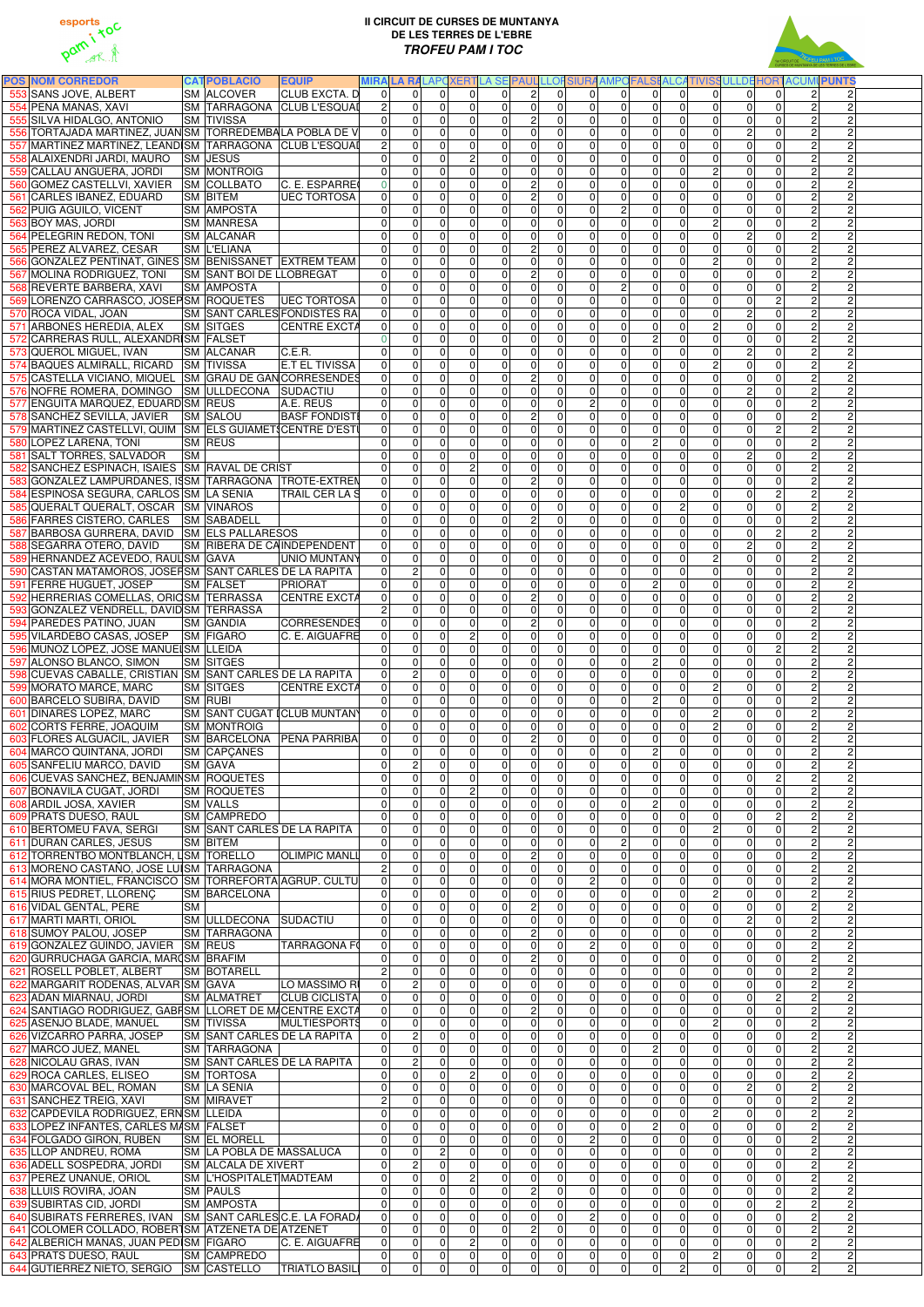



| <b>POS NOM CORREDOR</b>                                                                |           | <b>CATPOBLACIÓ</b><br><b>EQUIP</b>                                             |                                  |                                                                |                               |                              |                                    |                               |                                  |                                  |                                  |                                  |                                  |                                  |                                  | MIRALA RALAPCXERTLA SE PAUL LLOFSIURA AMPOFALSI ALCATIVISSULLDE HORTACUMI PUNTS |  |
|----------------------------------------------------------------------------------------|-----------|--------------------------------------------------------------------------------|----------------------------------|----------------------------------------------------------------|-------------------------------|------------------------------|------------------------------------|-------------------------------|----------------------------------|----------------------------------|----------------------------------|----------------------------------|----------------------------------|----------------------------------|----------------------------------|---------------------------------------------------------------------------------|--|
| 553 SANS JOVE, ALBERT<br>554 PEÑA MAÑAS, XAVI                                          |           | <b>SM ALCOVER</b><br>CLUB EXCTA. D<br>SM TARRAGONA CLUB L'ESQUAI               | $\Omega$<br>2 <sup>1</sup>       | $\Omega$<br>$\Omega$<br>$\overline{0}$<br>$\Omega$             | $\Omega$<br>$\mathbf 0$       | $\Omega$<br>$\Omega$         | $\overline{2}$<br>$\overline{0}$   | $\Omega$<br>$\Omega$          | $\Omega$<br>$\Omega$             | $\Omega$<br> 0                   | $\Omega$<br> 0                   | $\Omega$<br>$\overline{0}$       | $\overline{0}$<br>$\overline{0}$ | $\Omega$<br>$\overline{0}$       | $\Omega$<br>$\overline{0}$       | $\vert$ 2<br>$\mathbf{2}$<br>$\overline{2}$                                     |  |
| 555 SILVA HIDALGO, ANTONIO                                                             |           | <b>SM TIVISSA</b>                                                              | $\Omega$                         | $\overline{0}$<br>$\Omega$                                     | $\mathbf 0$                   | $\Omega$                     | $\overline{2}$                     | $\Omega$                      | $\overline{0}$                   | 0                                | $\overline{0}$                   | $\overline{0}$                   | $\overline{0}$                   | $\mathbf 0$                      | $\overline{0}$                   | $\overline{2}$                                                                  |  |
|                                                                                        |           | 556 TORTAJADA MARTINEZ, JUAN SM TORREDEMBALA POBLA DE V                        | $\Omega$                         | 0<br>$\Omega$                                                  | $\mathbf 0$                   | $\Omega$                     | $\pmb{0}$                          | $\Omega$                      | $\Omega$                         | $\mathbf 0$                      | $\overline{0}$                   | $\Omega$                         | $\overline{0}$                   | $\overline{2}$                   | 0                                | $\overline{2}$                                                                  |  |
|                                                                                        |           | 557 MARTINEZ MARTINEZ, LEANDISM TARRAGONA CLUB L'ESQUAI                        | $\overline{2}$                   | 0<br>$\Omega$                                                  | $\mathbf 0$                   | 0                            | $\pmb{0}$                          | $\Omega$                      | $\Omega$                         | 0                                | $\overline{0}$                   | 0                                | $\overline{0}$                   | $\mathbf 0$                      | 0                                | $\overline{2}$                                                                  |  |
| 558 ALAIXENDRI JARDI, MAURO SM JESUS                                                   |           |                                                                                | $\Omega$                         | 0<br>$\Omega$                                                  | $\overline{c}$                | $\Omega$                     | $\boldsymbol{0}$                   | $\Omega$                      | $\overline{0}$                   | 0                                | $\overline{0}$                   | $\overline{0}$                   | 0                                | $\mathbf 0$                      | 0                                | $\overline{2}$                                                                  |  |
| 559 CALLAU ANGUERA, JORDI                                                              |           | <b>SM MONTROIG</b>                                                             | $\Omega$                         | $\mathbf 0$<br>$\Omega$                                        | $\mathbf 0$                   | $\Omega$                     | $\pmb{0}$                          | $\Omega$                      | $\overline{0}$                   | 0                                | $\overline{0}$                   | $\overline{0}$                   | $\overline{2}$                   | $\mathbf 0$                      | $\overline{0}$                   | $\overline{2}$<br>$\overline{2}$                                                |  |
| 560 GOMEZ CASTELLVI, XAVIER SM COLLBATO                                                |           | C. E. ESPARRE                                                                  | $\overline{0}$                   | $\mathbf 0$<br>$\Omega$                                        | $\mathbf 0$                   | $\Omega$                     | $\overline{2}$                     | $\Omega$                      | $\overline{0}$                   | 0                                | $\overline{0}$                   | $\overline{0}$                   | $\overline{0}$                   | $\mathbf 0$                      | $\overline{0}$                   | $\overline{2}$                                                                  |  |
| 561 CARLES IBAÑEZ, EDUARD<br>562 PUIG AGUILO, VICENT                                   |           | <b>SM BITEM</b><br><b>UEC TORTOSA</b><br><b>SM AMPOSTA</b>                     | $\Omega$<br>$\Omega$             | $\mathbf 0$<br>$\Omega$<br>$\Omega$<br>$\Omega$                | $\overline{0}$<br>$\mathbf 0$ | $\Omega$<br>$\Omega$         | $\overline{2}$<br>$\mathbf 0$      | $\Omega$<br>$\Omega$          | $\Omega$<br>$\overline{0}$       | $\overline{0}$<br>2 <sup>1</sup> | $\overline{0}$<br>$\overline{0}$ | $\Omega$<br>$\Omega$             | $\overline{0}$<br>$\overline{0}$ | $\overline{0}$<br>$\Omega$       | $\overline{0}$<br>0              | $\overline{2}$<br>$\overline{2}$<br>$\overline{2}$                              |  |
| 563 BOY MAS, JORDI                                                                     |           | <b>SM MANRESA</b>                                                              | $\Omega$                         | 0<br>$\Omega$                                                  | $\mathbf 0$                   | 0                            | $\pmb{0}$                          | $\Omega$                      | $\overline{0}$                   | 0                                | $\overline{0}$                   | $\overline{0}$                   | $\overline{2}$                   | $\mathbf 0$                      | 0                                | $\overline{2}$                                                                  |  |
| 564 PELEGRIN REDON, TONI                                                               |           | <b>SM ALCANAR</b>                                                              | $\overline{0}$                   | $\Omega$<br>$\Omega$                                           | $\mathbf 0$                   | $\mathbf{0}$                 | $\pmb{0}$                          | $\Omega$                      | $\overline{0}$                   | 0                                | $\overline{0}$                   | $\Omega$                         | $\overline{0}$                   | $\overline{2}$                   | $\overline{0}$                   | $\overline{2}$<br>$\overline{2}$                                                |  |
| 565 PEREZ ALVAREZ, CESAR                                                               |           | <b>SM L'ELIANA</b>                                                             | $\Omega$                         | $\mathbf 0$<br>$\mathbf{0}$                                    | $\overline{0}$                | $\mathbf{0}$                 | $\overline{2}$                     | $\Omega$                      | $\overline{0}$                   | $\overline{0}$                   | $\overline{0}$                   | 0                                | $\overline{0}$                   | $\overline{0}$                   | $\overline{0}$                   | $\overline{2}$<br>$\overline{2}$                                                |  |
|                                                                                        |           | 566 GONZALEZ PENTINAT, GINES SM BENISSANET EXTREM TEAM                         | $\overline{0}$                   | $\mathbf 0$<br>$\Omega$                                        | $\overline{0}$                | $\mathbf 0$                  | $\overline{0}$                     | $\Omega$                      | $\overline{0}$                   | 0                                | 0                                | 0                                | $\overline{2}$                   | $\overline{0}$                   | $\overline{0}$                   | $\overline{2}$<br>$\overline{2}$                                                |  |
| 567 MOLINA RODRIGUEZ, TONI                                                             |           | SM SANT BOI DE LLOBREGAT                                                       | $\Omega$                         | $\mathbf 0$<br>$\Omega$                                        | $\mathbf 0$                   | $\Omega$                     | $\overline{2}$                     | $\Omega$                      | $\overline{0}$                   | $\overline{0}$                   | $\overline{0}$                   | 0                                | $\overline{0}$                   | $\mathbf 0$                      | 0                                | $\overline{2}$<br>$\overline{2}$                                                |  |
| 568 REVERTE BARBERA, XAVI                                                              |           | <b>SM AMPOSTA</b>                                                              | $\Omega$                         | $\mathbf 0$<br>$\Omega$                                        | $\overline{\mathsf{o}}$       | $\Omega$                     | $\overline{0}$                     | $\Omega$                      | $\overline{0}$                   | $\overline{2}$                   | $\overline{0}$                   | $\mathbf 0$                      | $\overline{0}$<br>$\overline{0}$ | $\overline{0}$                   | $\overline{0}$                   | $\overline{2}$<br>$\overline{2}$                                                |  |
| 569 LORENZO CARRASCO, JOSEPSM ROQUETES<br>570 ROCA VIDAL, JOAN                         |           | <b>UEC TORTOSA</b><br><b>SM SANT CARLES FONDISTES RAI</b>                      | $\overline{0}$<br>$\overline{0}$ | 0<br>$\mathbf{0}$<br>$\pmb{0}$<br>$\Omega$                     | $\mathbf 0$<br>$\mathbf 0$    | $\Omega$<br>$\mathbf{0}$     | 0<br>$\mathsf 0$                   | $\Omega$<br>$\mathbf 0$       | 0 <br> 0                         | 0 <br> 0                         | $\overline{0}$<br>$\overline{0}$ | $\mathbf 0$<br>$\overline{0}$    | 0                                | $\overline{0}$<br>$\overline{2}$ | $\overline{c}$<br>$\overline{0}$ | $\overline{2}$                                                                  |  |
| 571 ARBONES HEREDIA, ALEX                                                              |           | <b>SM SITGES</b><br><b>CENTRE EXCTA</b>                                        | 0                                | $\pmb{0}$<br>$\Omega$                                          | $\mathbf 0$                   | $\mathbf{0}$                 | $\mathsf 0$                        | $\mathbf 0$                   | 0                                | $\overline{0}$                   | $\overline{0}$                   | $\overline{0}$                   | $\overline{2}$                   | $\overline{0}$                   | 0                                | $\overline{2}$                                                                  |  |
| 572 CARRERAS RULL, ALEXANDRISM FALSET                                                  |           |                                                                                | $\Omega$                         | 0<br>$\Omega$                                                  | $\mathbf 0$                   | $\Omega$                     | $\mathsf 0$                        | $\mathbf 0$                   | 0                                | 0                                | $\overline{2}$                   | $\overline{0}$                   | $\overline{0}$                   | $\mathbf 0$                      | 0                                | $\overline{2}$                                                                  |  |
| 573 QUEROL MIGUEL, IVAN                                                                |           | C.E.R.<br><b>SM ALCANAR</b>                                                    | $\Omega$                         | $\mathbf 0$<br>$\Omega$                                        | $\mathbf 0$                   | $\Omega$                     | $\pmb{0}$                          | $\mathbf 0$                   | 0                                | $\overline{0}$                   | $\overline{0}$                   | $\overline{0}$                   | $\overline{0}$                   | $\overline{2}$                   | $\overline{0}$                   | $\overline{2}$                                                                  |  |
| 574 BAQUES ALMIRALL, RICARD SM TIVISSA                                                 |           | <b>E.T EL TIVISSA</b>                                                          | 0                                | $\mathbf 0$<br>$\Omega$                                        | $\mathbf 0$                   | $\Omega$                     | $\pmb{0}$                          | $\mathbf 0$                   | 0                                | $\overline{0}$                   | $\overline{0}$                   | $\overline{0}$                   | $\overline{2}$                   | $\overline{0}$                   | 0                                | $\overline{2}$                                                                  |  |
|                                                                                        |           | 575 CASTELLA VICIANO, MIQUEL SM GRAU DE GAN CORRESENDES                        | $\mathbf 0$                      | $\mathbf 0$<br>$\Omega$                                        | $\mathbf 0$                   | $\mathbf 0$                  | $\overline{2}$                     | $\mathbf 0$                   | 0                                | $\mathbf 0$                      | $\overline{0}$                   | $\overline{0}$                   | $\overline{0}$                   | $\mathbf 0$                      | 0                                | $\overline{2}$                                                                  |  |
| 576 NOFRE ROMERA, DOMINGO SM ULLDECONA SUDACTIU<br>577 ENGUITA MARQUEZ, EDUARD SM REUS |           | A.E. REUS                                                                      | $\Omega$<br>$\mathbf 0$          | $\mathbf 0$<br>$\overline{0}$<br>$\mathbf 0$<br>$\overline{0}$ | $\mathbf 0$<br>$\mathbf 0$    | 0 <br>$\mathbf 0$            | $\overline{0}$<br>$\mathsf 0$      | $\mathbf 0$<br>$\mathbf 0$    | 0 <br>$\overline{2}$             | 0 <br> 0                         | $\overline{0}$<br>$\overline{0}$ | $\overline{0}$<br>$\overline{0}$ | $\overline{0}$<br>$\overline{0}$ | $\overline{2}$<br>$\mathbf 0$    | $\overline{0}$<br>0              | $\overline{2}$<br>$\overline{c}$<br>$\overline{2}$<br>$\overline{c}$            |  |
| 578 SANCHEZ SEVILLA, JAVIER SM SALOU                                                   |           | <b>BASF FONDISTE</b>                                                           | 0                                | $\mathbf 0$<br>$\mathbf 0$                                     | $\mathbf 0$                   | $\mathbf{0}$                 | $\overline{2}$                     | $\mathbf 0$                   | $\overline{0}$                   | 0                                | $\overline{0}$                   | 0                                | $\overline{0}$                   | $\mathbf 0$                      | 0                                | $\overline{2}$                                                                  |  |
|                                                                                        |           | 579 MARTINEZ CASTELLVI, QUIM SM ELS GUIAMET CENTRE D'ESTI                      | $\Omega$                         | 0<br>$\Omega$                                                  | $\mathbf 0$                   | $\Omega$                     | $\overline{0}$                     | $\Omega$                      | $\overline{0}$                   | $\mathbf 0$                      | $\overline{0}$                   | 0                                | $\overline{0}$                   | $\overline{0}$                   | $\overline{2}$                   | $\overline{2}$                                                                  |  |
| 580 LOPEZ LARENA, TONI                                                                 |           | <b>SM REUS</b>                                                                 | $\Omega$                         | $\mathbf 0$<br>$\Omega$                                        | $\overline{0}$                | $\mathbf{0}$                 | $\overline{0}$                     | $\Omega$                      | $\overline{0}$                   | $\overline{0}$                   | $\overline{2}$                   | $\mathbf 0$                      | $\overline{0}$                   | $\overline{0}$                   | $\overline{0}$                   | $\overline{2}$                                                                  |  |
| 581 SALT TORRES, SALVADOR                                                              | <b>SM</b> |                                                                                | $\Omega$                         | 0<br>$\Omega$                                                  | $\overline{0}$                | $\Omega$                     | $\pmb{0}$                          | $\Omega$                      | $\Omega$                         | $\mathbf 0$                      | $\overline{0}$                   | $\overline{0}$                   | $\overline{0}$                   | $\overline{2}$                   | 0                                | $\overline{2}$                                                                  |  |
| 582 SANCHEZ ESPINACH, ISAIES SM RAVAL DE CRIST                                         |           |                                                                                | $\mathbf 0$                      | 0<br>$\Omega$                                                  | $\overline{c}$                | $\mathbf{0}$                 | $\pmb{0}$                          | $\Omega$                      | 0                                | 0                                | $\overline{0}$                   | $\overline{0}$                   | $\overline{0}$                   | $\overline{0}$                   | $\overline{0}$                   | $\overline{2}$                                                                  |  |
| 584 ESPINOSA SEGURA, CARLOS SM LA SENIA                                                |           | 583 GONZALEZ LAMPURDANES, ISSM TARRAGONA TROTE-EXTREN<br><b>TRAIL CER LA S</b> | 0 <br> 0                         | 0<br>$\Omega$<br>$\mathbf 0$<br>$\Omega$                       | $\mathbf 0$<br>$\overline{0}$ | $\mathbf 0$<br>$\Omega$      | $\overline{c}$<br>$\pmb{0}$        | $\Omega$<br>$\Omega$          | 0 <br> 0                         | 0 <br>$\Omega$                   | $\overline{0}$<br>$\overline{0}$ | 0<br>$\overline{0}$              | $\overline{0}$<br>$\overline{0}$ | $\mathbf 0$<br>$\mathbf 0$       | $\overline{0}$<br>$\overline{2}$ | $\overline{2}$<br>$\overline{2}$<br>Ŋ,                                          |  |
| 585 QUERALT QUERALT, OSCAR SM VINAROS                                                  |           |                                                                                | $\Omega$                         | $\mathbf 0$<br>$\Omega$                                        | $\overline{0}$                | $\Omega$                     | $\pmb{0}$                          | $\Omega$                      | $\overline{0}$                   | $\Omega$                         | $\overline{0}$                   | $\mathbf{2}$                     | $\overline{0}$                   | $\mathbf 0$                      | $\overline{0}$                   | $\overline{2}$                                                                  |  |
| 586 FARRES CISTERO, CARLES SM SABADELL                                                 |           |                                                                                | $\Omega$                         | $\Omega$<br>$\Omega$                                           | $\overline{0}$                | $\Omega$                     | $\overline{2}$                     | $\Omega$                      | $\overline{0}$                   | $\Omega$                         | $\overline{0}$                   | $\Omega$                         | $\overline{0}$                   | $\Omega$                         | 0                                | $\overline{2}$<br>$\overline{2}$                                                |  |
| 587 BARBOSA GURRERA, DAVID SM ELS PALLARESOS                                           |           |                                                                                | $\Omega$                         | $\Omega$<br>$\Omega$                                           | $\Omega$                      | $\Omega$                     | $\mathbf 0$                        | $\Omega$                      | $\Omega$                         | $\Omega$                         | $\Omega$                         | $\Omega$                         | $\Omega$                         | $\Omega$                         | $\overline{c}$                   | $2 \overline{)}$<br>$\overline{2}$                                              |  |
| 588 SEGARRA OTERO, DAVID                                                               |           | SM RIBERA DE CAINDEPENDENT                                                     | $\Omega$                         | $\overline{0}$<br>$\Omega$                                     | $\mathbf 0$                   | 0                            | 0                                  | $\overline{0}$                | $\Omega$                         | $\overline{0}$                   | $\overline{0}$                   | $\overline{0}$                   | $\overline{0}$                   | $\overline{2}$                   | 0                                | $\overline{2}$<br>$\overline{2}$                                                |  |
| 589 HERNANDEZ ACEVEDO, RAUL SM GAVA                                                    |           | UNIO MUNTANY                                                                   | $\Omega$                         | $\overline{0}$<br>$\Omega$                                     | $\overline{0}$                | $\overline{0}$               | $\overline{0}$                     | $\Omega$                      | $\overline{0}$                   | 0                                | $\overline{0}$                   | $\Omega$                         | $\overline{2}$                   | $\overline{0}$                   | $\overline{0}$                   | $\overline{2}$<br>$\overline{2}$                                                |  |
| 590 CASTAN MATAMOROS, JOSEFSM SANT CARLES DE LA RAPITA<br>591 FERRE HUGUET, JOSEP      |           | <b>SM FALSET</b><br><b>IPRIORAT</b>                                            | 0<br>$\Omega$                    | 2<br>$\mathbf 0$<br>$\Omega$                                   | 0<br>$\overline{0}$           | $\Omega$                     | $\pmb{0}$                          | 0<br>$\Omega$                 | $\Omega$                         | $\overline{0}$<br> 0             | $\overline{0}$<br>$\overline{2}$ | 0<br>$\overline{0}$              | 0<br>$\overline{0}$              | 0<br>$\overline{0}$              | 0<br>$\overline{0}$              | $\mathbf{2}$<br>2<br>$\overline{2}$<br>$\overline{2}$                           |  |
| 592 HERRERIAS COMELLAS, ORIOSM TERRASSA                                                |           | <b>CENTRE EXCTA</b>                                                            | 0                                | 0<br>$\Omega$                                                  | $\overline{0}$                | $\Omega$                     | $\overline{2}$                     | $\Omega$                      | $\overline{0}$                   | $\overline{0}$                   | $\overline{0}$                   | $\overline{0}$                   | $\overline{0}$                   | $\overline{0}$                   | 0                                | $\overline{2}$                                                                  |  |
| 593 GONZALEZ VENDRELL, DAVID SM TERRASSA                                               |           |                                                                                |                                  | $\mathbf 0$<br>$\mathbf{0}$                                    | $\mathbf 0$                   | $\Omega$                     | $\overline{0}$                     | $\mathbf 0$                   | 0                                | $\overline{0}$                   | $\overline{0}$                   | $\overline{0}$                   | $\overline{0}$                   | $\mathbf 0$                      | 0                                | $\overline{2}$                                                                  |  |
| 594 PAREDES PATIÑO, JUAN                                                               |           | <b>CORRESENDES</b><br><b>SM GANDIA</b>                                         | 0                                | $\pmb{0}$<br>$\Omega$                                          | $\mathbf 0$                   | 0                            | $\overline{2}$                     | $\mathbf 0$                   | 0                                | $\overline{0}$                   | $\overline{0}$                   | $\overline{0}$                   | $\overline{0}$                   | $\mathbf 0$                      | 0                                | $\overline{2}$                                                                  |  |
| 595 VILARDEBO CASAS, JOSEP SM FIGARO                                                   |           | C. E. AIGUAFRE                                                                 | $\overline{0}$                   | 0<br>$\Omega$                                                  | $\overline{c}$                | $\Omega$                     | $\overline{0}$                     | $\Omega$                      | 0                                | $\overline{0}$                   | $\overline{0}$                   | $\overline{0}$                   | $\overline{0}$                   | $\mathbf 0$                      | 0                                | $\overline{2}$                                                                  |  |
| 596 MUÑOZ LÓPEZ, JOSE MANUE SM LLEIDA<br>597 ALONSO BLANCO, SIMON                      |           | <b>SM SITGES</b>                                                               | $\overline{0}$<br>$\Omega$       | $\pmb{0}$<br>$\Omega$<br>$\mathbf 0$<br>$\Omega$               | $\mathbf 0$<br>$\mathbf 0$    | $\Omega$<br>$\Omega$         | $\overline{0}$<br>$\pmb{0}$        | $\Omega$<br>$\Omega$          | 0 <br> 0                         | 0 <br> 0                         | $\overline{0}$<br>$\overline{2}$ | $\overline{0}$<br>$\overline{0}$ | $\overline{0}$<br>$\overline{0}$ | $\mathbf 0$<br>$\overline{0}$    | $\overline{2}$<br>$\overline{0}$ | $\overline{2}$<br>$\overline{2}$                                                |  |
| 598 CUEVAS CABALLE, CRISTIAN SM SANT CARLES DE LA RAPITA                               |           |                                                                                | 0                                | $\boldsymbol{2}$<br>$\Omega$                                   | $\mathbf 0$                   | $\Omega$                     | $\pmb{0}$                          | $\overline{0}$                | 0                                | 0                                | $\overline{0}$                   | $\overline{0}$                   | $\overline{0}$                   | $\mathbf 0$                      | 0                                | $\overline{2}$                                                                  |  |
| 599 MORATO MARCE, MARC                                                                 |           | <b>SM SITGES</b><br><b>CENTRE EXCTA</b>                                        | 0                                | $\pmb{0}$<br>$\Omega$                                          | $\mathbf 0$                   | $\Omega$                     | $\pmb{0}$                          | $\overline{0}$                | 0                                | 0                                | $\overline{0}$                   | $\overline{0}$                   | $\overline{2}$                   | $\mathbf 0$                      | 0                                | $\overline{2}$                                                                  |  |
| 600 BARCELO SUBIRA, DAVID                                                              |           | <b>SM RUBI</b>                                                                 | $\Omega$                         | 0<br>$\Omega$                                                  | $\pmb{0}$                     | $\mathbf 0$                  | $\pmb{0}$                          | $\mathbf 0$                   | 0                                | 0                                | $\overline{2}$                   | $\overline{0}$                   | $\overline{0}$                   | $\mathbf 0$                      | 0                                | $\overline{2}$<br>$\overline{c}$                                                |  |
| 601 DINARES LOPEZ, MARC                                                                |           | SM SANT CUGAT ICLUB MUNTANY                                                    | $\Omega$                         | 0<br>$\Omega$                                                  | $\pmb{0}$                     | $\mathbf 0$                  | $\mathsf 0$<br>$\overline{0}$      | $\mathbf 0$                   | 0 <br> 0                         | 0                                | $\overline{0}$                   | $\overline{0}$                   | $\overline{2}$<br>$\overline{2}$ | $\mathbf 0$                      | 0<br>$\overline{0}$              | $\overline{2}$<br>$\overline{c}$                                                |  |
| 602 CORTS FERRE, JOAQUIM<br>603 FLORES ALGUACIL, JAVIER                                |           | <b>SM MONTROIG</b><br>SM BARCELONA PEÑA PARRIBA                                | $\Omega$<br> 0                   | $\mathbf 0$<br>$\Omega$<br>$\mathbf 0$<br>$\Omega$             | $\pmb{0}$<br>$\mathbf 0$      | $\mathbf 0$<br>$\Omega$      | $\overline{2}$                     | $\mathbf 0$<br>$\Omega$       | 0                                | 0 <br> 0                         | $\overline{0}$<br>$\overline{0}$ | $\overline{0}$<br>$\overline{0}$ | $\overline{0}$                   | $\mathbf 0$<br>$\mathbf 0$       | 0                                | $\overline{2}$<br>$\overline{c}$<br>$\overline{2}$<br>$\overline{2}$            |  |
| 604 MARCO QUINTANA, JORDI                                                              |           | <b>SM CAPCANES</b>                                                             | $\Omega$                         | 0<br>$\mathbf{0}$                                              | $\overline{0}$                | $\mathbf{0}$                 | $\pmb{0}$                          | $\Omega$                      | $\overline{0}$                   | $\Omega$                         | $\overline{2}$                   | $\mathbf 0$                      | $\overline{0}$                   | $\overline{0}$                   | 0                                | $\overline{c}$                                                                  |  |
| 605 SANFELIU MARCO, DAVID                                                              |           | <b>SM GAVA</b>                                                                 | $\Omega$                         | $\boldsymbol{2}$<br>$\Omega$                                   | $\overline{0}$                | $\mathbf{0}$                 | $\pmb{0}$                          | $\Omega$                      | $\overline{0}$                   | 0                                | $\overline{0}$                   | $\mathbf 0$                      | $\overline{0}$                   | $\overline{0}$                   | $\overline{0}$                   | $\overline{2}$                                                                  |  |
| 606 CUEVAS SANCHEZ, BENJAMINSM ROQUETES                                                |           |                                                                                | $\mathbf 0$                      | 0<br>$\Omega$                                                  | $\overline{0}$                | $\Omega$                     | $\pmb{0}$                          | $\Omega$                      | $\overline{0}$                   | $\mathbf 0$                      | $\overline{0}$                   | $\Omega$                         | $\overline{0}$                   | $\overline{0}$                   | $\overline{2}$                   | $\overline{2}$                                                                  |  |
| 607 BONAVILA CUGAT, JORDI                                                              |           | <b>SM ROQUETES</b>                                                             | $\mathbf 0$                      | 0<br>$\Omega$                                                  | $\overline{c}$                | $\mathbf{0}$                 | $\pmb{0}$                          | $\Omega$                      | $\overline{0}$                   | 0                                | $\overline{0}$                   | $\Omega$                         | $\overline{0}$                   | $\mathbf 0$                      | $\overline{0}$                   | $\overline{2}$                                                                  |  |
| 608 ARDIL JOSA, XAVIER<br>609 PRATS DUESO, RAÜL                                        |           | <b>SM VALLS</b><br><b>SM CAMPREDO</b>                                          | $\mathbf 0$<br>$\Omega$          | 0<br>$\Omega$<br>$\mathbf 0$<br>$\Omega$                       | $\mathbf 0$<br>$\mathbf 0$    | $\Omega$<br>$\Omega$         | $\overline{0}$<br>$\pmb{0}$        | $\Omega$<br>$\Omega$          | $\overline{0}$<br>$\overline{0}$ | 0 <br> 0                         | $\overline{2}$<br>$\overline{0}$ | $\overline{0}$<br>$\Omega$       | $\overline{0}$<br>$\overline{0}$ | $\mathbf 0$<br>$\mathbf 0$       | $\overline{0}$<br>$\overline{2}$ | $\overline{2}$<br>$\overline{2}$                                                |  |
| 610 BERTOMEU FAVA, SERGI                                                               |           | <b>SM SANT CARLES DE LA RAPITA</b>                                             | $\overline{0}$                   | $\overline{0}$<br>$\Omega$                                     | $\mathbf 0$                   | $\Omega$                     | $\overline{0}$                     | $\Omega$                      | $\overline{0}$                   | 0                                | $\overline{0}$                   | $\Omega$                         | $\overline{2}$                   | $\mathbf 0$                      | 0                                | $\overline{2}$<br>$\overline{2}$                                                |  |
| 611 DURAN CARLES, JESUS                                                                |           | <b>SM BITEM</b>                                                                | $\Omega$                         | $\Omega$<br>$\Omega$                                           | $\overline{0}$                | $\mathbf{0}$                 | $\mathbf 0$                        | $\Omega$                      | $\Omega$                         | $\overline{2}$                   | $\overline{0}$                   | $\Omega$                         | $\overline{0}$                   | $\overline{0}$                   | 0                                | $\overline{2}$                                                                  |  |
| 612 TORRENTBO MONTBLANCH, USM TORELLO                                                  |           | <b>OLIMPIC MANLL</b>                                                           | $\Omega$                         | $\Omega$<br>$\Omega$                                           | $\mathbf 0$                   | $\Omega$                     | $\overline{2}$                     | $\Omega$                      | $\Omega$                         | $\Omega$                         | $\overline{0}$                   | $\Omega$                         | $\overline{0}$                   | $\overline{0}$                   | 0                                | $\overline{2}$<br>$\overline{2}$                                                |  |
| 613 MORENO CASTAÑO, JOSE LUISM TARRAGONA                                               |           |                                                                                |                                  | 0<br>$\Omega$                                                  | $\mathbf 0$                   | $\mathbf 0$                  | $\pmb{0}$                          | $\Omega$                      | 0                                | 0                                | $\overline{0}$                   | $\overline{0}$                   | $\overline{0}$                   | $\mathbf 0$                      | 0                                | $\overline{2}$                                                                  |  |
|                                                                                        |           | 614 MORA MONTIEL, FRANCISCO SM TORREFORTA AGRUP. CULTU<br><b>SM BARCELONA</b>  | $\Omega$<br>$\Omega$             | $\Omega$<br>$\Omega$<br>$\Omega$<br>$\mathbf{0}$               | $\mathbf 0$<br>$\overline{0}$ | $\mathbf{0}$<br>$\mathbf{0}$ | $\pmb{0}$<br>$\pmb{0}$             | $\Omega$<br>$\Omega$          | $\overline{2}$<br>$\overline{0}$ | $\overline{0}$<br> 0             | $\overline{0}$<br>$\overline{0}$ | $\Omega$<br>0                    | $\overline{0}$<br>$\overline{2}$ | $\mathbf 0$<br>$\mathbf 0$       | 0<br>0                           | $\overline{2}$<br>$\overline{2}$<br>$\overline{2}$<br>$\overline{c}$            |  |
| 615 RIUS PEDRET, LLORENÇ<br>616 VIDAL GENTAL, PERE                                     | <b>SM</b> |                                                                                | $\Omega$                         | $\Omega$<br>$\mathbf{0}$                                       | $\overline{0}$                | $\mathbf 0$                  | $\overline{2}$                     | $\Omega$                      | $\overline{0}$                   | 0                                | $\overline{0}$                   | $\overline{0}$                   | $\overline{0}$                   | $\mathbf 0$                      | $\overline{0}$                   | $\overline{2}$<br>$\overline{c}$                                                |  |
| 617 MARTI MARTI, ORIOL                                                                 |           | <b>SM ULLDECONA SUDACTIU</b>                                                   | $\Omega$                         | 0<br>$\mathbf{0}$                                              | $\overline{0}$                | $\mathbf{0}$                 | $\pmb{0}$                          | $\Omega$                      | $\overline{0}$                   | 0                                | $\overline{0}$                   | 0                                | $\overline{0}$                   | $\overline{2}$                   | 0                                | $\overline{2}$<br>$\overline{2}$                                                |  |
| 618 SUMOY PALOU, JOSEP                                                                 |           | <b>SM TARRAGONA</b>                                                            | $\Omega$                         | 0<br>$\Omega$                                                  | $\overline{\mathsf{o}}$       | $\mathbf{0}$                 | $\overline{2}$                     | $\Omega$                      | 0                                | 0                                | $\overline{0}$                   | $\Omega$                         | $\overline{0}$                   | $\overline{0}$                   | $\overline{0}$                   | $\overline{2}$                                                                  |  |
| 619 GONZALEZ GUINDO, JAVIER SM REUS                                                    |           | <b>TARRAGONA FO</b>                                                            | $\Omega$                         | $\mathbf 0$<br>$\mathbf{0}$                                    | $\mathbf 0$                   | $\Omega$                     | $\pmb{0}$                          | $\Omega$                      | $\overline{c}$                   | 0                                | $\overline{0}$                   | $\mathbf 0$                      | $\overline{0}$                   | $\mathbf 0$                      | $\Omega$                         | $\overline{2}$                                                                  |  |
| 620 GURRUCHAGA GARCIA, MAROSM BRAFIM                                                   |           |                                                                                | $\Omega$                         | $\mathbf 0$<br>$\mathbf{0}$                                    | $\mathbf 0$                   | $\mathbf{0}$                 | $\boldsymbol{2}$                   | $\Omega$                      | $\mathbf 0$                      | 0                                | $\overline{0}$                   | $\overline{0}$                   | $\overline{0}$                   | $\mathbf 0$                      | 0                                | $\overline{2}$                                                                  |  |
| 621 ROSELL POBLET, ALBERT<br>622 MARGARIT RODENAS, ALVAR SM GAVA                       |           | <b>SM BOTARELL</b><br>LO MASSIMO RI                                            | 0                                | 0<br>$\mathbf{0}$<br>$\boldsymbol{2}$<br>$\Omega$              | $\mathbf 0$<br>$\mathbf 0$    | $\mathbf{0}$<br>$\Omega$     | $\overline{0}$<br>$\boldsymbol{0}$ | $\mathbf 0$<br>$\Omega$       | 0 <br> 0                         | 0 <br> 0                         | $\overline{0}$<br>$\overline{0}$ | $\overline{0}$<br>$\overline{0}$ | $\overline{0}$<br>$\overline{0}$ | $\mathbf 0$<br>$\mathbf 0$       | 0<br>0                           | $\overline{2}$<br>$\overline{2}$                                                |  |
| 623 ADAN MIARNAU, JORDI                                                                |           | <b>SM ALMATRET</b><br><b>CLUB CICLISTA</b>                                     | 0                                | $\mathbf 0$<br>$\Omega$                                        | $\mathbf 0$                   | 0                            | $\pmb{0}$                          | $\mathbf 0$                   | 0                                | $\overline{0}$                   | $\overline{0}$                   | $\overline{0}$                   | $\overline{0}$                   | $\mathbf 0$                      | $\overline{2}$                   | $\overline{2}$                                                                  |  |
|                                                                                        |           | 624 SANTIAGO RODRIGUEZ, GABI SM LLORET DE MACENTRE EXCTA                       | 0                                | 0<br>$\Omega$                                                  | $\mathbf 0$                   | $\Omega$                     | $\overline{2}$                     | $\mathbf 0$                   | 0                                | 0                                | $\overline{0}$                   | $\overline{0}$                   | $\overline{0}$                   | $\mathbf 0$                      | $\overline{0}$                   | $\overline{2}$                                                                  |  |
| 625 ASENJO BLADE, MANUEL                                                               |           | <b>SM TIVISSA</b><br>MULTIESPORTS                                              | 0                                | $\pmb{0}$<br>$\Omega$                                          | $\mathbf 0$                   | 0                            | $\pmb{0}$                          | $\mathbf 0$                   | 0                                | 0                                | $\overline{0}$                   | $\overline{0}$                   | $\overline{2}$                   | $\mathbf 0$                      | 0                                | $\overline{2}$                                                                  |  |
| 626 VIZCARRO PARRA, JOSEP                                                              |           | <b>SM SANT CARLES DE LA RAPITA</b>                                             | $\Omega$                         | $\overline{2}$<br>$\Omega$                                     | $\mathbf 0$                   | 0                            | $\overline{0}$                     | $\mathbf 0$                   | 0                                | 0                                | 0                                | $\overline{0}$                   | $\overline{0}$                   | $\overline{0}$                   | $\overline{0}$                   | $\overline{2}$<br>$\overline{2}$                                                |  |
| 627 MARCO JUEZ, MANEL<br>628 NICOLAU GRAS, IVAN                                        |           | <b>SM TARRAGONA</b>                                                            | 0 <br> 0                         | $\overline{0}$<br> 0 <br>$\overline{2}$                        | $\mathbf 0$<br>$\overline{0}$ | $\overline{0}$<br> 0         | 0 <br>$\overline{0}$               | $\mathbf 0$<br>$\overline{0}$ | 0 <br>$\overline{0}$             | 0 <br>$\overline{0}$             | $\overline{2}$<br>$\overline{0}$ | 0 <br> 0                         | $\overline{0}$<br> 0             | $\mathbf 0$<br> 0                | $\pmb{0}$<br>$\overline{0}$      | $\overline{2}$<br>$\overline{2}$                                                |  |
| 629 ROCA CARLES, ELISEO                                                                |           | SM SANT CARLES DE LA RAPITA<br><b>SM TORTOSA</b>                               | $\mathbf 0$                      | $\overline{0}$<br>$\pmb{0}$<br>$\mathbf 0$                     | $\overline{c}$                | $\mathbf 0$                  | $\overline{0}$                     | $\mathbf 0$                   | 0                                | $\mathbf 0$                      | $\overline{0}$                   | $\overline{0}$                   | $\overline{0}$                   | $\mathbf 0$                      | $\pmb{0}$                        | $\overline{2}$<br>$\overline{2}$<br>Ŋ,<br>$\overline{2}$                        |  |
| 630 MARCOVAL BEL, ROMAN                                                                |           | <b>SM LA SENIA</b>                                                             | $\mathbf 0$                      | 0<br>$\mathbf 0$                                               | $\mathbf 0$                   | $\Omega$                     | $\pmb{0}$                          | $\mathbf 0$                   | 0                                | $\mathbf 0$                      | $\overline{0}$                   | $\mathbf 0$                      | $\overline{0}$                   | $\overline{2}$                   | 0                                | $\overline{2}$                                                                  |  |
| 631 SANCHEZ TREIG, XAVI                                                                |           | <b>SM MIRAVET</b>                                                              | $\overline{c}$                   | 0<br>0                                                         | $\mathbf 0$                   | $\Omega$                     | 0                                  | 0                             | $\overline{0}$                   | $\mathbf 0$                      | $\overline{0}$                   | $\overline{0}$                   | $\overline{0}$                   | $\mathbf 0$                      | 0                                | $\overline{2}$                                                                  |  |
| 632 CAPDEVILA RODRIGUEZ, ERNSM LLEIDA                                                  |           |                                                                                | $\mathbf 0$                      | 0<br>$\mathbf 0$                                               | $\pmb{0}$                     | $\Omega$                     | 0                                  | $\mathbf 0$                   | 0                                | $\mathbf 0$                      | $\overline{0}$                   | $\mathbf 0$                      | $\mathbf{2}$                     | $\overline{0}$                   | 0                                | $\overline{2}$                                                                  |  |
| 633 LOPEZ INFANTES, CARLES MASM FALSET                                                 |           |                                                                                | $\mathbf 0$                      | 0<br>$\Omega$                                                  | $\pmb{0}$                     | $\overline{0}$               | $\pmb{0}$                          | 0                             | $\mathbf 0$                      | $\mathbf 0$                      | $\overline{2}$<br>$\overline{0}$ | $\overline{0}$                   | $\overline{0}$                   | $\mathbf 0$                      | 0<br>0                           | $\overline{2}$<br>$\overline{2}$                                                |  |
| 634 FOLGADO GIRON, RUBEN<br>635 LLOP ANDREU, ROMA                                      |           | <b>SM EL MORELL</b><br>SM LA POBLA DE MASSALUCA                                | $\overline{0}$<br>$\mathbf 0$    | 0<br>$\overline{0}$<br>$\pmb{0}$<br>$\overline{c}$             | $\pmb{0}$<br>$\mathbf 0$      | $\Omega$<br>$\overline{0}$   | $\boldsymbol{0}$<br>$\pmb{0}$      | $\mathbf 0$<br>$\mathbf 0$    | $\overline{2}$<br> 0             | $\mathbf 0$<br>$\mathbf 0$       | $\overline{0}$                   | $\overline{0}$<br>$\overline{0}$ | $\overline{0}$<br>$\overline{0}$ | $\overline{0}$<br>$\overline{0}$ | 0                                | $\overline{2}$                                                                  |  |
| 636 ADELL SOSPEDRA, JORDI                                                              |           | <b>SM ALCALA DE XIVERT</b>                                                     | $\mathbf 0$                      | $\overline{c}$<br>$\Omega$                                     | $\mathbf 0$                   | $\overline{0}$               | 0                                  | $\overline{0}$                | $\Omega$                         | $\mathbf 0$                      | $\overline{0}$                   | $\overline{0}$                   | $\overline{0}$                   | $\overline{0}$                   | 0                                | $\overline{2}$                                                                  |  |
| 637 PEREZ UNANUE, ORIOL                                                                |           | SM L'HOSPITALET MADTEAM                                                        | $\Omega$                         | 0<br>$\Omega$                                                  | $\overline{c}$                | $\Omega$                     | 0                                  | $\overline{0}$                | $\Omega$                         | $\overline{0}$                   | $\overline{0}$                   | $\overline{0}$                   | $\overline{0}$                   | $\overline{0}$                   | $\Omega$                         | $\overline{2}$                                                                  |  |
| 638 LLUIS ROVIRA, JOAN                                                                 |           | <b>SM PAULS</b>                                                                | $\overline{0}$                   | 0<br>$\Omega$                                                  | $\mathbf 0$                   | $\overline{0}$               | $\boldsymbol{2}$                   | $\overline{0}$                | $\overline{0}$                   | $\overline{0}$                   | $\overline{0}$                   | $\overline{0}$                   | $\overline{0}$                   | $\overline{0}$                   | $\Omega$                         | $\overline{2}$                                                                  |  |
| 639 SUBIRTAS CID, JORDI                                                                |           | <b>SM AMPOSTA</b>                                                              | $\Omega$                         | $\mathbf 0$<br>$\Omega$                                        | $\mathbf 0$                   | $\overline{0}$               | 0                                  | $\overline{0}$                | $\overline{0}$                   | $\mathbf 0$                      | $\overline{0}$                   | $\overline{0}$                   | $\overline{0}$                   | $\overline{0}$                   | $\overline{c}$                   | $\overline{2}$<br>$\overline{2}$                                                |  |
| 641 COLOMER COLLADO, ROBERISM ATZENETA DE ATZENET                                      |           | 640 SUBIRATS FERRERES, IVAN SM SANT CARLES C.E. LA FORADA                      | $\Omega$<br>$\overline{0}$       | $\mathbf 0$<br>0<br>$\mathbf 0$<br>0                           | $\mathbf 0$<br>$\pmb{0}$      | $\Omega$<br>$\Omega$         | 0<br>$\overline{c}$                | $\overline{0}$<br>0           | $\overline{2}$<br> 0             | $\mathbf 0$<br>$\mathbf 0$       | $\overline{0}$<br>$\overline{0}$ | $\mathbf 0$<br>$\mathbf 0$       | $\overline{0}$<br>$\overline{0}$ | $\overline{0}$<br>$\mathbf 0$    | 0<br>0                           | $\overline{2}$<br>$\overline{2}$<br>$\overline{2}$<br>$\overline{2}$            |  |
| 642 ALBERICH MAÑAS, JUAN PEDISM FIGARO                                                 |           | C. E. AIGUAFRE                                                                 | $\overline{0}$                   | $\mathbf 0$<br>$\mathbf{0}$                                    | $\overline{c}$                | $\Omega$                     | $\mathsf 0$                        | $\overline{0}$                | 0                                | $\mathbf 0$                      | $\overline{0}$                   | 0                                | $\overline{0}$                   | $\mathbf 0$                      | 0                                | $\overline{2}$                                                                  |  |
| 643 PRATS DUESO, RAUL                                                                  |           | <b>SM CAMPREDO</b>                                                             | $\overline{0}$                   | 0<br>0                                                         | $\overline{0}$                | 0                            | $\boldsymbol{0}$                   | $\overline{0}$                | 0                                | 0                                | $\boldsymbol{0}$                 | $\overline{0}$                   | $\overline{2}$                   | $\mathbf 0$                      | $\overline{0}$                   | $\overline{c}$                                                                  |  |
| 644 GUTIERREZ NIETO, SERGIO                                                            |           | <b>SM CASTELLO</b><br><b>TRIATLO BASILI</b>                                    | $\Omega$                         | 0<br>$\overline{0}$                                            | 0                             | $\Omega$                     | $\overline{0}$                     | $\Omega$                      | 0                                | 0                                | $\overline{0}$                   | $\overline{2}$                   | $\overline{0}$                   | $\overline{0}$                   | $\overline{0}$                   | $\frac{2}{2}$<br>$\overline{2}$                                                 |  |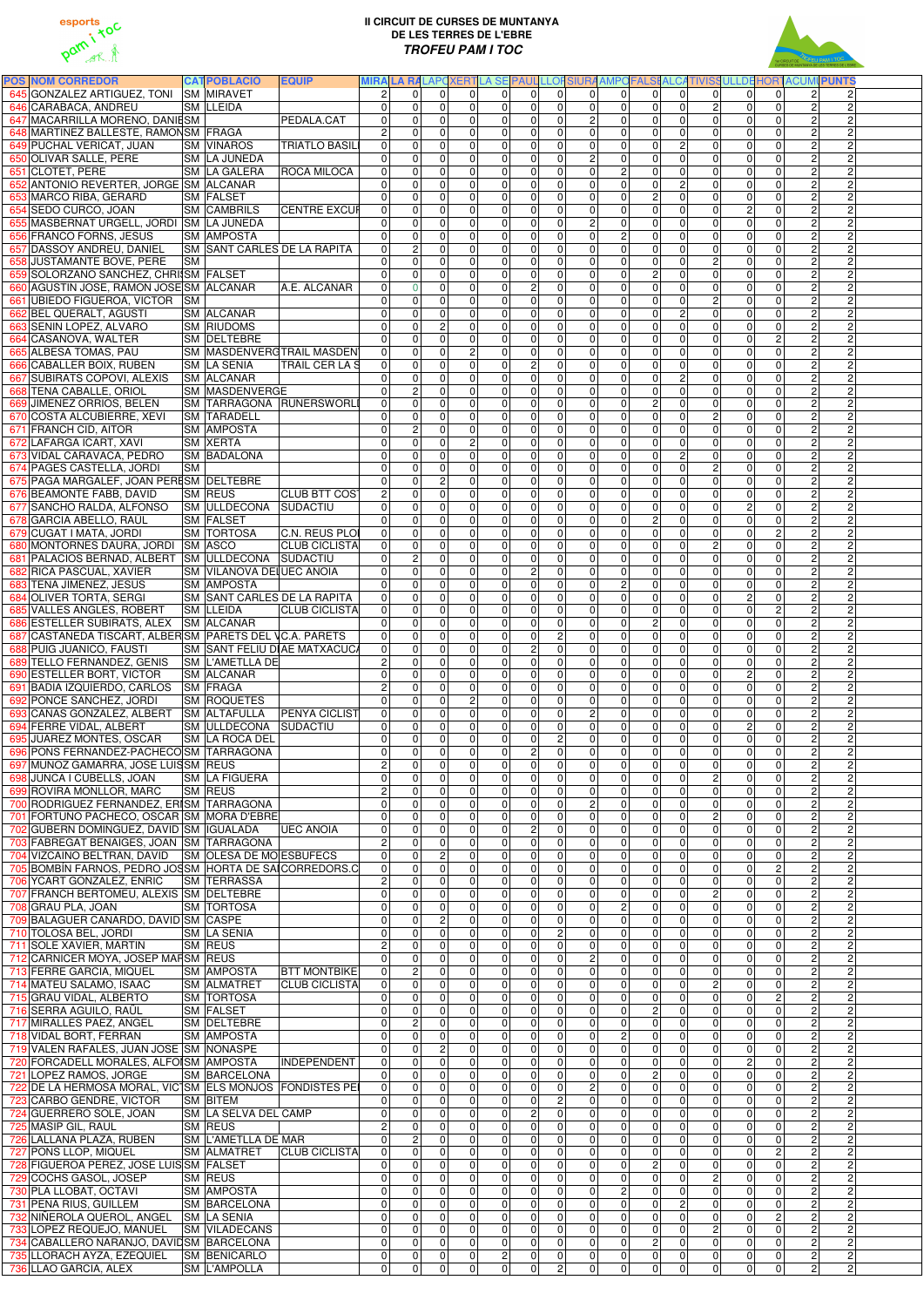



| <b>POS NOM CORREDOR</b>                                                                |                  | <b>CATPOBLACIÓ</b>                      | <b>EQUIP</b>                       |                                  |                            |                                  |                               |                              |                             |                                  |                                  |                               |                                  |                                  |                                  |                                  |                                  | MIRA LA RALAPCXERTLA SE PAUL LLOFSIURA AMPOFALSI ALCATIVISSULLDE HORTACUMI PUNTS |  |
|----------------------------------------------------------------------------------------|------------------|-----------------------------------------|------------------------------------|----------------------------------|----------------------------|----------------------------------|-------------------------------|------------------------------|-----------------------------|----------------------------------|----------------------------------|-------------------------------|----------------------------------|----------------------------------|----------------------------------|----------------------------------|----------------------------------|----------------------------------------------------------------------------------|--|
| 645 GONZALEZ ARTIGUEZ, TONI SM MIRAVET                                                 | <b>SM LLEIDA</b> |                                         |                                    | $\overline{2}$<br>$\overline{0}$ | $\Omega$<br>$\mathbf 0$    | $\Omega$<br>$\Omega$             | 0 <br>$\mathbf 0$             | $\Omega$<br>$\mathbf{0}$     | $\Omega$<br>$\overline{0}$  | $\Omega$<br>$\mathbf 0$          | $\Omega$<br>$\overline{0}$       | $\Omega$<br> 0                | $\Omega$<br>$\overline{0}$       | $\overline{0}$<br>$\overline{0}$ | $\overline{0}$                   | $\Omega$<br>$\mathbf 0$          | $\Omega$<br>0                    | 2 <sup>1</sup><br>$\overline{2}$<br>$\overline{2}$                               |  |
| 646 CARABACA, ANDREU<br>647 MACARRILLA MORENO, DANIESM                                 |                  |                                         | PEDALA.CAT                         | $\mathbf 0$                      | $\mathbf 0$                | $\mathbf 0$                      | $\mathbf 0$                   | $\mathbf 0$                  | $\overline{0}$              | $\mathbf 0$                      | $2 \vert$                        | 0                             | $\overline{0}$                   | $\overline{0}$                   | 2 <br>$\overline{0}$             | $\overline{0}$                   | 0                                | $\overline{c}$<br>$\overline{2}$<br>$\overline{2}$                               |  |
| 648 MARTINEZ BALLESTE, RAMONSM FRAGA                                                   |                  |                                         |                                    | $\overline{2}$                   | 0                          | $\mathbf{0}$                     | $\mathbf 0$                   | $\mathbf{0}$                 | $\mathsf 0$                 | 0                                | $\overline{0}$                   | 0                             | $\overline{0}$                   | $\pmb{0}$                        | $\overline{0}$                   | $\mathbf 0$                      | 0                                | $\overline{2}$                                                                   |  |
| 649 PUCHAL VERICAT, JUAN                                                               |                  | <b>SM VINAROS</b>                       | <b>TRIATLO BASIL</b>               | $\Omega$                         | 0                          | $\Omega$                         | $\overline{0}$                | $\mathbf{0}$                 | $\overline{0}$              | $\Omega$                         | $\Omega$                         | $\mathbf 0$                   | $\overline{0}$                   | $\overline{c}$                   | $\overline{0}$                   | $\overline{0}$                   | $\overline{0}$                   | $\overline{2}$                                                                   |  |
| 650 OLIVAR SALLE, PERE                                                                 |                  | SM LA JUNEDA                            |                                    | $\Omega$                         | 0                          | $\Omega$                         | $\mathbf 0$                   | $\Omega$                     | $\pmb{0}$                   | $\Omega$                         | $\overline{2}$                   | $\mathbf 0$                   | $\overline{0}$                   | 0                                | $\overline{0}$                   | $\mathbf 0$                      | 0                                | $\overline{2}$                                                                   |  |
| 651 CLOTET, PERE                                                                       |                  | <b>SM LA GALERA</b>                     | <b>ROCA MILOCA</b>                 | $\overline{0}$                   | 0                          | $\Omega$                         | $\mathbf 0$                   | $\mathbf{0}$                 | $\mathsf 0$                 | $\Omega$                         | $\mathbf 0$                      | $\overline{c}$                | $\overline{0}$                   | $\mathbf 0$                      | $\overline{0}$                   | $\overline{0}$                   | 0                                | $\overline{2}$                                                                   |  |
| 652 ANTONIO REVERTER, JORGE SM ALCANAR                                                 |                  |                                         |                                    | $\overline{0}$                   | 0                          | $\Omega$                         | $\mathbf 0$                   | $\mathbf{0}$                 | $\mathsf 0$                 | $\mathbf 0$                      | $\mathbf 0$                      | $\pmb{0}$                     | $\overline{0}$                   | $\overline{c}$                   | $\overline{0}$                   | $\overline{0}$                   | $\overline{0}$                   | $\overline{2}$                                                                   |  |
| 653 MARCO RIBA, GERARD                                                                 | <b>SM FALSET</b> |                                         |                                    | $\Omega$                         | 0                          | $\Omega$                         | $\mathbf 0$                   | $\mathbf{0}$                 | $\pmb{0}$                   | $\Omega$                         | $\overline{0}$<br>$\Omega$       | 0                             | $\overline{2}$                   | $\overline{0}$                   | $\overline{0}$                   | $\mathbf 0$                      | $\overline{0}$<br>$\overline{0}$ | $\overline{2}$<br>$\overline{2}$<br>$\overline{2}$                               |  |
| 654 SEDO CURCO, JOAN<br>655 MASBERNAT URGELL, JORDI SM LA JUNEDA                       |                  | <b>SM CAMBRILS</b>                      | <b>CENTRE EXCUP</b>                | $\Omega$<br>$\Omega$             | 0<br>$\mathbf 0$           | $\Omega$<br>$\Omega$             | $\mathbf 0$<br>$\mathbf 0$    | $\mathbf{0}$<br>$\Omega$     | $\pmb{0}$<br>$\pmb{0}$      | $\Omega$<br>$\Omega$             | $\overline{2}$                   | 0 <br> 0                      | $\overline{0}$<br>$\overline{0}$ | $\overline{0}$<br>$\Omega$       | $\overline{0}$<br>$\overline{0}$ | $\overline{2}$<br>$\overline{0}$ | $\overline{0}$                   | $\overline{2}$<br>$\overline{2}$<br>$\overline{2}$                               |  |
| 656 FRANCO FORNS, JESUS                                                                |                  | <b>SM AMPOSTA</b>                       |                                    | $\Omega$                         | $\mathbf 0$                | $\Omega$                         | $\mathbf 0$                   | $\mathbf 0$                  | $\pmb{0}$                   | $\Omega$                         | $\overline{0}$                   | $\overline{c}$                | $\overline{0}$                   | $\overline{0}$                   | $\overline{0}$                   | $\mathbf 0$                      | 0                                | $\overline{2}$<br>$\overline{c}$                                                 |  |
| 657 DASSOY ANDREU, DANIEL                                                              |                  |                                         | <b>SM SANT CARLES DE LA RAPITA</b> | $\Omega$                         | $\overline{c}$             | $\Omega$                         | $\mathbf 0$                   | $\mathbf{0}$                 | $\pmb{0}$                   | $\Omega$                         | $\overline{0}$                   | 0                             | $\overline{0}$                   | $\overline{0}$                   | $\overline{0}$                   | $\mathbf 0$                      | $\overline{0}$                   | $\overline{2}$<br>$\overline{2}$                                                 |  |
| 658 JUSTAMANTE BOVE, PERE                                                              | <b>SM</b>        |                                         |                                    | $\Omega$                         | $\mathbf 0$                | $\Omega$                         | $\mathbf 0$                   | $\mathbf{0}$                 | $\pmb{0}$                   | $\Omega$                         | 0                                | 0                             | $\overline{0}$                   | 0                                | $\overline{2}$                   | $\mathbf 0$                      | 0                                | $\overline{2}$<br>$\overline{2}$                                                 |  |
| 659 SOLORZANO SANCHEZ, CHRISM FALSET                                                   |                  |                                         |                                    | $\Omega$                         | $\Omega$                   | $\Omega$                         | $\overline{0}$                | $\mathbf{0}$                 | $\pmb{0}$                   | $\Omega$                         | $\overline{0}$                   | 0                             | $\overline{2}$                   | $\Omega$                         | $\overline{0}$                   | $\overline{0}$                   | 0                                | $\overline{2}$<br>$\overline{2}$                                                 |  |
| 660 AGUSTIN JOSE, RAMON JOSE SM ALCANAR                                                |                  |                                         | A.E. ALCANAR                       | $\mathbf 0$                      | $\Omega$                   | $\mathbf{0}$                     | $\mathbf 0$                   | $\mathbf{0}$                 | $\overline{c}$              | $\Omega$                         | 0                                | $\overline{0}$                | $\overline{0}$                   | 0                                | $\overline{0}$                   | $\mathbf 0$                      | 0                                | $\overline{2}$<br>$\overline{2}$                                                 |  |
| 661 UBIEDO FIGUEROA, VICTOR SM                                                         |                  |                                         |                                    | $\Omega$                         | 0                          | $\Omega$                         | $\mathbf 0$                   | $\mathbf{0}$                 | $\overline{0}$              | $\Omega$                         | $\overline{0}$                   | $\overline{0}$                | $\overline{0}$                   | $\mathbf 0$                      | $\overline{2}$                   | $\overline{0}$                   | $\overline{0}$                   | $\overline{2}$<br>$\overline{2}$                                                 |  |
| 662 BEL QUERALT, AGUSTI<br>663 SENIN LOPEZ, ALVARO                                     |                  | <b>SM ALCANAR</b><br><b>SM RIUDOMS</b>  |                                    | $\Omega$<br>$\Omega$             | $\mathbf 0$<br>$\mathbf 0$ | $\mathbf{0}$<br>$\overline{2}$   | $\mathbf 0$<br>$\mathbf 0$    | $\Omega$<br>$\mathbf{0}$     | $\pmb{0}$<br>$\pmb{0}$      | $\Omega$<br>$\overline{0}$       | 0 <br> 0                         | 0 <br> 0                      | $\overline{0}$<br>$\overline{0}$ | $\mathbf{2}$<br>$\overline{0}$   | $\overline{0}$<br>$\overline{0}$ | $\overline{0}$<br>$\mathbf 0$    | 0<br>0                           | $\overline{2}$<br>$\overline{c}$<br>$\overline{2}$                               |  |
| 664 CASANOVA, WALTER                                                                   |                  | SM DELTEBRE                             |                                    | $\Omega$                         | $\mathbf 0$                | $\Omega$                         | $\mathbf 0$                   | $\mathbf{0}$                 | $\mathsf 0$                 | $\mathbf 0$                      | $\overline{0}$                   | 0                             | $\overline{0}$                   | $\overline{0}$                   | $\overline{0}$                   | $\overline{0}$                   | $\overline{2}$                   | $\overline{2}$<br>Ŋ.                                                             |  |
| 665 ALBESA TOMAS, PAU                                                                  |                  |                                         | SM MASDENVERGTRAIL MASDEN          | 0                                | $\mathbf 0$                | $\overline{0}$                   | $\overline{c}$                | $\mathbf{0}$                 | $\mathsf 0$                 | $\mathbf 0$                      | 0                                | 0                             | $\overline{0}$                   | $\overline{0}$                   | $\overline{0}$                   | $\mathbf 0$                      | 0                                | $\overline{2}$                                                                   |  |
| 666 CABALLER BOIX, RUBEN                                                               |                  | <b>SM LA SENIA</b>                      | <b>TRAIL CER LA S</b>              | $\overline{0}$                   | $\pmb{0}$                  | $\Omega$                         | $\mathbf 0$                   | $\mathbf{0}$                 | $\overline{2}$              | $\mathbf 0$                      | $\overline{0}$                   | 0                             | $\overline{0}$                   | $\overline{0}$                   | $\overline{0}$                   | $\overline{0}$                   | 0                                | $\overline{2}$                                                                   |  |
| 667 SUBIRATS COPOVI, ALEXIS                                                            |                  | <b>SM ALCANAR</b>                       |                                    | $\Omega$                         | $\mathbf 0$                | $\Omega$                         | $\mathbf 0$                   | $\mathbf{0}$                 | $\pmb{0}$                   | $\mathbf 0$                      | $\overline{0}$                   | $\mathbf 0$                   | $\overline{0}$                   | $\overline{2}$                   | $\overline{0}$                   | $\mathbf 0$                      | 0                                | $\overline{2}$<br>Ŋ.                                                             |  |
| 668 TENA CABALLE, ORIOL                                                                |                  | <b>SM MASDENVERGE</b>                   |                                    | $\Omega$                         | $\overline{c}$             | $\Omega$                         | $\mathbf 0$                   | $\mathbf{0}$                 | $\mathbf 0$                 | $\mathbf 0$                      | 0                                | $\mathbf 0$                   | $\overline{0}$                   | $\overline{0}$                   | $\overline{0}$                   | $\mathbf 0$                      | 0                                | $\overline{2}$<br>$\overline{c}$                                                 |  |
| 669 JIMENEZ ORRIOS, BELEN                                                              |                  |                                         | SM TARRAGONA RUNERSWORL            | $\mathbf 0$                      | $\mathbf 0$                | $\Omega$                         | $\pmb{0}$                     | $\overline{0}$               | $\pmb{0}$                   | $\mathbf 0$                      | 0                                | $\mathbf 0$                   | $\overline{2}$                   | $\overline{0}$                   | $\overline{0}$                   | $\mathbf 0$                      | 0                                | $\overline{2}$<br>$\overline{c}$                                                 |  |
| 670 COSTA ALCUBIERRE, XEVI<br>671 FRANCH CID, AITOR                                    |                  | <b>SM TARADELL</b><br><b>SM AMPOSTA</b> |                                    | $\mathbf 0$<br>$\Omega$          | 0<br>$\overline{c}$        | $\Omega$<br>$\Omega$             | $\mathbf 0$<br>$\mathbf 0$    | $\mathbf{0}$<br>$\mathbf{0}$ | $\mathsf 0$<br>$\pmb{0}$    | 0<br>$\Omega$                    | $\mathbf 0$<br>$\overline{0}$    | $\mathbf 0$<br>$\mathbf 0$    | $\overline{0}$<br>$\overline{0}$ | $\overline{0}$<br>0              | 2 <br>$\overline{0}$             | $\mathbf 0$<br>$\mathbf 0$       | 0<br>$\overline{0}$              | $\overline{2}$<br>$\overline{c}$<br>$\overline{2}$<br>Ŋ.                         |  |
| 672 LAFARGA ICART, XAVI                                                                | <b>SM XERTA</b>  |                                         |                                    | $\mathbf 0$                      | 0                          | $\mathbf 0$                      | ΣJ                            | $\mathbf{0}$                 | $\mathsf 0$                 | 0                                | 0                                | $\pmb{0}$                     | $\overline{0}$                   | $\mathbf 0$                      | $\overline{0}$                   | $\mathbf 0$                      | 0                                | $\overline{2}$<br>$\overline{2}$                                                 |  |
| 673 VIDAL CARAVACA, PEDRO                                                              |                  | <b>SM BADALONA</b>                      |                                    | $\overline{0}$                   | 0                          | $\Omega$                         | $\mathbf 0$                   | $\Omega$                     | $\overline{0}$              | $\Omega$                         | $\mathbf 0$                      | $\mathbf 0$                   | $\overline{0}$                   | $\overline{c}$                   | $\overline{0}$                   | $\mathbf 0$                      | $\overline{0}$                   | $\overline{2}$                                                                   |  |
| 674 PAGES CASTELLA, JORDI                                                              | <b>SM</b>        |                                         |                                    | $\overline{0}$                   | 0                          | $\Omega$                         | $\mathbf 0$                   | $\mathbf{0}$                 | $\overline{0}$              | $\Omega$                         | $\overline{0}$                   | $\mathbf 0$                   | $\overline{0}$                   | $\mathbf 0$                      | $\overline{2}$                   | $\mathbf 0$                      | $\overline{0}$                   | $\overline{2}$                                                                   |  |
| 675 PAGA MARGALEF, JOAN PERESM DELTEBRE                                                |                  |                                         |                                    | $\Omega$                         | 0                          | $\overline{2}$                   | $\mathbf 0$                   | $\mathbf{0}$                 | $\pmb{0}$                   | $\Omega$                         | 0                                | $\mathbf 0$                   | $\overline{0}$                   | $\mathbf 0$                      | $\overline{0}$                   | $\mathbf 0$                      | 0                                | $\overline{2}$                                                                   |  |
| 676 BEAMONTE FABB, DAVID                                                               | <b>SM REUS</b>   |                                         | <b>CLUB BTT COST</b>               | $\overline{2}$                   | 0                          | $\Omega$                         | $\mathbf 0$                   | $\mathbf{0}$                 | $\pmb{0}$                   | $\Omega$                         | 0                                | 0                             | $\overline{0}$                   | $\overline{0}$                   | 0                                | $\mathbf 0$                      | 0                                | $\overline{2}$<br>Ŋ,                                                             |  |
| 677 SANCHO RALDA, ALFONSO                                                              |                  | <b>SM ULLDECONA</b>                     | SUDACTIU                           | $\mathbf 0$                      | $\mathbf 0$                | $\Omega$                         | $\mathbf 0$                   | $\mathbf 0$                  | $\boldsymbol{0}$            | $\Omega$                         | 0                                | $\mathbf 0$                   | $\overline{0}$                   | $\overline{0}$                   | $\overline{0}$                   | $\overline{2}$                   | $\overline{0}$                   | $\overline{2}$<br>$\overline{2}$                                                 |  |
| 678 GARCIA ABELLO, RAÜL<br>679 CUGAT I MATA, JORDI                                     | <b>SM FALSET</b> | <b>SM TORTOSA</b>                       | C.N. REUS PLOI                     | $\Omega$<br> 0                   | 0<br>0                     | $\Omega$<br>$\Omega$             | $\overline{0}$<br>$\mathbf 0$ | $\mathbf{0}$<br>$\Omega$     | $\pmb{0}$<br>$\overline{0}$ | $\Omega$<br>$\Omega$             | $\overline{0}$<br>$\Omega$       | $\mathbf 0$<br>$\mathbf 0$    | $\overline{2}$<br>$\overline{0}$ | 0<br>$\overline{0}$              | $\overline{0}$<br>$\overline{0}$ | $\mathbf 0$<br>$\mathbf 0$       | $\overline{0}$<br>$\overline{2}$ | $\overline{2}$<br>Ŋ,<br>$\overline{2}$<br>$\overline{2}$                         |  |
| 680 MONTORNES DAURA, JORDI SM ASCO                                                     |                  |                                         | <b>CLUB CICLISTA</b>               | $\Omega$                         | 0                          | $\Omega$                         | $\mathbf 0$                   | $\overline{0}$               | $\mathbf 0$                 | $\Omega$                         | $\Omega$                         | $\overline{0}$                | $\overline{0}$                   | $\overline{0}$                   | 2                                | $\overline{0}$                   | 0                                | $\overline{2}$<br>$\overline{2}$                                                 |  |
| 681 PALACIOS BERNAD, ALBERT SM ULLDECONA SUDACTIU                                      |                  |                                         |                                    | $\Omega$                         | $\overline{c}$             | $\Omega$                         | $\overline{0}$                | 0                            | $\overline{0}$              | $\Omega$                         | $\Omega$                         | $\Omega$                      | 0                                | $\Omega$                         | $\overline{0}$                   | $\mathbf 0$                      | $\overline{0}$                   | $\overline{2}$<br>$\overline{2}$                                                 |  |
| 682 RICA PASCUAL, XAVIER                                                               |                  |                                         | SM  VILANOVA DEI UEC ANOIA         | 0                                | 0                          | $\Omega$                         | 0                             |                              |                             | $\overline{0}$                   |                                  | 0                             | 0                                | 0                                | 0                                | 0                                | 0                                | $\mathbf{2}$<br>21                                                               |  |
| 683 TENA JIMENEZ, JESUS                                                                |                  | <b>SM AMPOSTA</b>                       |                                    | $\Omega$                         | $\overline{0}$             | $\Omega$                         | $\mathbf 0$                   | $\Omega$                     | $\overline{0}$              | $\overline{0}$                   | $\mathbf 0$                      | $\overline{2}$                | $\overline{0}$                   | $\overline{0}$                   | $\overline{0}$                   | $\mathbf 0$                      | $\overline{0}$                   | $\overline{2}$<br>$\overline{2}$                                                 |  |
| 684 OLIVER TORTA, SERGI                                                                |                  |                                         | SM SANT CARLES DE LA RAPITA        | $\overline{0}$                   | $\overline{0}$             | $\Omega$                         | $\mathbf 0$                   | $\Omega$                     | $\mathsf 0$                 | $\mathbf 0$                      | $\overline{0}$                   | $\overline{0}$                | $\overline{0}$                   | $\overline{0}$                   | $\overline{0}$                   | $\overline{2}$                   | 0                                | $\overline{2}$<br>$\overline{2}$                                                 |  |
| 685 VALLES ANGLES, ROBERT                                                              | <b>SM LLEIDA</b> | <b>SM ALCANAR</b>                       | <b>CLUB CICLISTA</b>               | $\overline{0}$<br>$\Omega$       | $\mathbf 0$                | $\Omega$                         | $\overline{0}$                | $\mathbf{0}$                 | $\overline{0}$              | $\Omega$                         | $\overline{0}$<br>$\overline{0}$ | $\overline{0}$<br>$\Omega$    | $\overline{0}$<br>$\overline{2}$ | $\Omega$                         | $\overline{0}$<br>$\overline{0}$ | $\overline{0}$<br>$\overline{0}$ | $\overline{2}$<br>0              | $\overline{2}$<br>$\overline{2}$<br>$\overline{2}$<br>$\overline{2}$             |  |
| 686 ESTELLER SUBIRATS, ALEX<br>687 CASTAÑEDA TISCART, ALBER SM PARETS DEL VC.A. PARETS |                  |                                         |                                    | $\overline{0}$                   | 0<br>0                     | $\mathbf{0}$<br>$\Omega$         | $\mathbf 0$<br>$\mathbf 0$    | $\Omega$<br>$\Omega$         | $\pmb{0}$<br>$\pmb{0}$      | $\Omega$<br>$\overline{c}$       | 0                                | 0                             | $\overline{0}$                   | 0<br>0                           | $\overline{0}$                   | $\overline{0}$                   | 0                                | $\overline{2}$                                                                   |  |
| 688 PUIG JUANICO, FAUSTI                                                               |                  |                                         | SM SANT FELIU DIAE MATXACUCA       | 0                                | 0                          | $\Omega$                         | $\mathbf 0$                   | $\Omega$                     | $\overline{c}$              | $\Omega$                         | 0                                | 0                             | $\overline{0}$                   | $\overline{0}$                   | $\overline{0}$                   | $\mathbf 0$                      | 0                                | $\overline{2}$                                                                   |  |
| 689 TELLO FERNANDEZ, GENIS                                                             |                  | <b>SM L'AMETLLA DE</b>                  |                                    | $\overline{c}$                   | 0                          | $\Omega$                         | $\mathbf 0$                   | $\Omega$                     | $\boldsymbol{0}$            | $\Omega$                         | 0                                | 0                             | $\overline{0}$                   | $\overline{0}$                   | $\overline{0}$                   | $\mathbf 0$                      | 0                                | $\overline{2}$                                                                   |  |
| 690 ESTELLER BORT, VICTOR                                                              |                  | <b>SM ALCANAR</b>                       |                                    | $\mathbf 0$                      | 0                          | $\Omega$                         | $\mathbf 0$                   | $\Omega$                     | $\pmb{0}$                   | $\Omega$                         | 0                                | 0                             | $\overline{0}$                   | $\overline{0}$                   | $\overline{0}$                   | $\overline{2}$                   | 0                                | $\overline{2}$                                                                   |  |
| 691 BADIA IZQUIERDO, CARLOS SM FRAGA                                                   |                  |                                         |                                    | $\overline{2}$                   | 0                          | $\overline{0}$                   | $\mathbf 0$                   | $\Omega$                     | $\pmb{0}$                   | $\Omega$                         | 0                                | 0                             | $\overline{0}$                   | $\overline{0}$                   | $\overline{0}$                   | $\mathbf 0$                      | 0                                | $\overline{2}$                                                                   |  |
| 692 PONCE SANCHEZ, JORDI                                                               |                  | <b>SM ROQUETES</b>                      |                                    | $\overline{0}$                   | 0                          | $\Omega$                         | $\overline{c}$                | $\Omega$                     | $\pmb{0}$                   | $\overline{0}$                   | 0                                | $\mathbf 0$                   | $\overline{0}$                   | $\overline{0}$                   | $\overline{0}$                   | $\overline{0}$                   | 0                                | $\overline{2}$                                                                   |  |
| 693 CAÑAS GONZALEZ, ALBERT SM ALTAFULLA<br>694 FERRE VIDAL, ALBERT                     |                  | SM ULLDECONA SUDACTIU                   | <b>PENYA CICLIST</b>               | $\mathbf 0$<br>$\mathbf 0$       | 0<br>0                     | $\Omega$<br>$\overline{0}$       | $\mathbf 0$<br>$\pmb{0}$      | $\mathbf{0}$<br>$\mathbf 0$  | $\mathbf 0$<br>$\pmb{0}$    | $\overline{0}$<br>$\mathbf 0$    | $\overline{2}$<br> 0             | $\mathbf 0$<br>$\mathbf 0$    | $\overline{0}$<br>$\overline{0}$ | $\overline{0}$<br>$\overline{0}$ | $\overline{0}$<br>$\overline{0}$ | $\mathbf 0$<br>$\overline{2}$    | 0<br>0                           | $\overline{2}$<br>$\overline{c}$<br>$\overline{2}$<br>$\overline{c}$             |  |
| 695 JUAREZ MONTES, OSCAR                                                               |                  | <b>SM LA ROCA DEL</b>                   |                                    | $\mathbf 0$                      | 0                          | $\Omega$                         | $\mathbf 0$                   | $\mathbf{0}$                 | $\pmb{0}$                   | $\overline{c}$                   | 0                                | $\mathbf 0$                   | $\overline{0}$                   | $\overline{0}$                   | $\overline{0}$                   | $\mathbf 0$                      | $\overline{0}$                   | $\overline{2}$<br>$\overline{c}$                                                 |  |
| 696 PONS FERNANDEZ-PACHECOSM TARRAGONA                                                 |                  |                                         |                                    | $\mathbf 0$                      | 0                          | $\mathbf{0}$                     | $\mathbf 0$                   | $\mathbf{0}$                 | $\overline{2}$              | $\Omega$                         | 0                                | $\mathbf 0$                   | $\overline{0}$                   | $\overline{0}$                   | $\overline{0}$                   | $\mathbf 0$                      | 0                                | $\overline{2}$<br>$\overline{c}$                                                 |  |
| 697 MUÑOZ GAMARRA, JOSE LUISSM REUS                                                    |                  |                                         |                                    | $\overline{2}$                   | 0                          | $\Omega$                         | $\overline{0}$                | $\mathbf{0}$                 | $\overline{0}$              | $\overline{0}$                   | $\overline{0}$                   | $\mathbf 0$                   | $\overline{0}$                   | $\overline{0}$                   | $\overline{0}$                   | $\overline{0}$                   | $\overline{0}$                   | $\overline{2}$<br>$\overline{c}$                                                 |  |
| 698 JUNCA I CUBELLS, JOAN                                                              |                  | <b>SM LA FIGUERA</b>                    |                                    | $\mathbf 0$                      | 0                          | $\mathbf{0}$                     | $\mathbf 0$                   | $\Omega$                     | $\pmb{0}$                   | $\Omega$                         | $\overline{0}$                   | $\mathbf 0$                   | $\overline{0}$                   | 0                                | $\overline{2}$                   | $\overline{0}$                   | 0                                | $\overline{2}$                                                                   |  |
| 699 ROVIRA MONLLOR, MARC                                                               | <b>SM REUS</b>   |                                         |                                    | $\overline{c}$                   | 0                          | $\Omega$                         | $\overline{0}$                | $\Omega$                     | $\pmb{0}$                   | $\Omega$                         | $\overline{0}$                   | $\mathbf 0$                   | $\overline{0}$                   | $\mathbf 0$                      | $\overline{0}$                   | $\overline{0}$                   | $\overline{0}$                   | $\overline{2}$                                                                   |  |
| 700 RODRIGUEZ FERNANDEZ, ERISM TARRAGONA<br>701 FORTUÑO PACHECO, OSCAR SM MORA D'EBRE  |                  |                                         |                                    | $\mathbf 0$<br>$\Omega$          | $\Omega$<br>0              | $\Omega$<br>$\Omega$             | $\mathbf 0$<br>$\mathbf 0$    | $\Omega$<br>$\mathbf{0}$     | $\pmb{0}$<br>$\pmb{0}$      | $\Omega$<br>$\Omega$             | $\overline{c}$<br>$\mathbf 0$    | $\mathbf 0$<br> 0             | $\overline{0}$<br>$\overline{0}$ | $\Omega$<br>0                    | $\overline{0}$<br>2              | $\mathbf 0$<br>$\overline{0}$    | 0<br>$\overline{0}$              | $\overline{2}$<br>$\overline{2}$                                                 |  |
| 702 GUBERN DOMINGUEZ, DAVID SM IGUALADA                                                |                  |                                         | <b>UEC ANOIA</b>                   | $\pmb{0}$                        | 0                          | $\Omega$                         | $\mathbf 0$                   | $\mathbf{0}$                 | $\overline{c}$              | $\Omega$                         | $\mathbf 0$                      | $\mathbf 0$                   | $\overline{0}$                   | 0                                | $\overline{0}$                   | $\mathbf 0$                      | 0                                | $\overline{2}$                                                                   |  |
| 703 FABREGAT BENAIGES, JOAN SM TARRAGONA                                               |                  |                                         |                                    | $\overline{2}$                   | $\Omega$                   | $\Omega$                         | $\mathbf 0$                   | $\Omega$                     | $\pmb{0}$                   | $\Omega$                         | $\overline{0}$                   | 0                             | $\overline{0}$                   | $\Omega$                         | $\overline{0}$                   | $\overline{0}$                   | 0                                | $\overline{2}$<br>Ŋ,                                                             |  |
| 704 VIZCAINO BELTRAN, DAVID SM OLESA DE MO ESBUFECS                                    |                  |                                         |                                    | $\mathbf 0$                      | 0                          | $\overline{2}$                   | $\mathbf 0$                   | $\Omega$                     | $\pmb{0}$                   | $\Omega$                         | $\overline{0}$                   | $\Omega$                      | $\overline{0}$                   | $\Omega$                         | $\overline{0}$                   | $\mathbf 0$                      | 0                                | $\overline{2}$                                                                   |  |
| 705 BOMBÍN FARNOS, PEDRO JOSSM HORTA DE SAICORREDORS.C                                 |                  |                                         |                                    | $\Omega$                         | $\Omega$                   | $\Omega$                         | $\overline{0}$                | $\Omega$                     | $\mathbf 0$                 | $\Omega$                         | $\overline{0}$                   | $\Omega$                      | $\overline{0}$                   | $\Omega$                         | $\overline{0}$                   | $\overline{0}$                   | $\overline{2}$                   | $\overline{2}$<br>$\overline{2}$                                                 |  |
| 706 YCART GONZALEZ, ENRIC                                                              |                  | <b>SM TERRASSA</b>                      |                                    | $\overline{c}$                   | $\Omega$                   | $\Omega$                         | $\mathbf 0$                   | $\Omega$                     | $\pmb{0}$                   | $\Omega$                         | $\Omega$                         | $\Omega$                      | $\overline{0}$                   | $\Omega$                         | $\overline{0}$                   | $\mathbf 0$                      | 0                                | $\overline{2}$<br>$\overline{c}$                                                 |  |
| 707 FRANCH BERTOMEU, ALEXIS SM DELTEBRE                                                |                  |                                         |                                    | $\Omega$                         | $\Omega$                   | $\Omega$                         | $\mathbf 0$<br>$\mathbf 0$    | $\mathbf{0}$<br>$\mathbf{0}$ | $\mathbf 0$                 | $\Omega$                         | $\overline{0}$<br> 0             | 0 <br>2 <sup>1</sup>          | $\overline{0}$                   | $\Omega$                         | $\overline{2}$<br>$\overline{0}$ | $\mathbf 0$<br>$\mathbf 0$       | 0<br>0                           | $\overline{2}$<br>$\overline{2}$<br>$\overline{2}$<br>$\overline{2}$             |  |
| 708 GRAU PLA, JOAN<br>709 BALAGUER CAÑARDO, DAVID SM CASPE                             |                  | <b>SM TORTOSA</b>                       |                                    | $\Omega$<br>$\Omega$             | 0<br>0                     | $\Omega$<br>$\overline{2}$       | $\overline{0}$                | $\mathbf{0}$                 | $\pmb{0}$<br>$\mathbf 0$    | $\Omega$<br>$\Omega$             | $\overline{0}$                   | 0                             | $\overline{0}$<br>$\overline{0}$ | $\Omega$<br>$\Omega$             | $\overline{0}$                   | $\overline{0}$                   | 0                                | $\overline{2}$<br>$\overline{2}$                                                 |  |
| 710 TOLOSA BEL, JORDI                                                                  |                  | <b>SM LA SENIA</b>                      |                                    | $\mathbf 0$                      | 0                          | $\mathbf{0}$                     | $\mathbf 0$                   | $\Omega$                     | $\pmb{0}$                   | $\overline{c}$                   | $\Omega$                         | 0                             | $\overline{0}$                   | $\mathbf 0$                      | $\overline{0}$                   | $\mathbf 0$                      | 0                                | $\overline{2}$<br>$\overline{2}$                                                 |  |
| 711 SOLE XAVIER, MARTIN                                                                | <b>SM REUS</b>   |                                         |                                    | $\overline{2}$                   | 0                          | $\mathbf{0}$                     | $\overline{0}$                | $\Omega$                     | $\pmb{0}$                   | $\Omega$                         | $\overline{0}$                   | $\Omega$                      | $\overline{0}$                   | 0                                | $\overline{0}$                   | $\overline{0}$                   | 0                                | $\overline{2}$<br>$\overline{2}$                                                 |  |
| 712 CARNICER MOYA, JOSEP MAFISM REUS                                                   |                  |                                         |                                    | $\Omega$                         | 0                          | $\mathbf{0}$                     | $\overline{0}$                | $\Omega$                     | 0                           | $\Omega$                         | $\overline{c}$                   | 0                             | $\overline{0}$                   | $\mathbf 0$                      | $\overline{0}$                   | $\overline{0}$                   | $\Omega$                         | $\overline{2}$                                                                   |  |
| 713 FERRE GARCIA, MIQUEL                                                               |                  | <b>SM AMPOSTA</b>                       | <b>BTT MONTBIKE</b>                | $\mathbf 0$                      | 2                          | $\Omega$                         | $\mathbf 0$                   | $\Omega$                     | 0                           | $\Omega$                         | $\mathbf 0$                      | 0                             | $\overline{0}$                   | $\mathbf 0$                      | $\overline{0}$                   | $\mathbf 0$                      | 0                                | $\overline{2}$                                                                   |  |
| 714 MATEU SALAMO, ISAAC<br>715 GRAU VIDAL, ALBERTO                                     |                  | <b>SM ALMATRET</b>                      | <b>CLUB CICLISTA</b>               | $\overline{0}$<br>$\Omega$       | 0<br>0                     | $\mathbf{0}$<br>$\Omega$         | $\mathbf 0$<br>$\mathbf 0$    | $\mathbf{0}$<br>$\mathbf{0}$ | $\mathsf 0$<br>$\pmb{0}$    | $\overline{0}$<br>$\Omega$       | 0 <br> 0                         | 0 <br> 0                      | $\overline{0}$<br>$\overline{0}$ | $\overline{0}$<br>$\overline{0}$ | $\overline{2}$<br>$\overline{0}$ | $\mathbf 0$<br>$\mathbf 0$       | 0<br>$\overline{2}$              | $\overline{2}$<br>$\overline{2}$                                                 |  |
| 716 SERRA AGUILO, RAÜL                                                                 | <b>SM FALSET</b> | <b>SM TORTOSA</b>                       |                                    | $\mathbf 0$                      | 0                          | $\Omega$                         | $\mathbf 0$                   | $\Omega$                     | $\pmb{0}$                   | $\Omega$                         | 0                                | 0                             | $\overline{2}$                   | $\overline{0}$                   | $\overline{0}$                   | $\mathbf 0$                      | $\overline{0}$                   | $\overline{2}$                                                                   |  |
| 717 MIRALLES PAEZ, ANGEL                                                               |                  | <b>SM DELTEBRE</b>                      |                                    | $\Omega$                         | $\overline{c}$             | $\Omega$                         | $\mathbf 0$                   | $\Omega$                     | $\pmb{0}$                   | $\overline{0}$                   | 0                                | 0                             | $\overline{0}$                   | $\overline{0}$                   | $\overline{0}$                   | $\mathbf 0$                      | $\overline{0}$                   | $\overline{2}$                                                                   |  |
| 718 VIDAL BORT, FERRAN                                                                 |                  | <b>SM AMPOSTA</b>                       |                                    | $\Omega$                         | $\Omega$                   | $\Omega$                         | $\mathbf 0$                   | $\Omega$                     | $\mathbf 0$                 | $\Omega$                         | $\overline{0}$                   | $\overline{c}$                | $\overline{0}$                   | $\overline{0}$                   | $\overline{0}$                   | $\overline{0}$                   | 0                                | $\overline{2}$<br>$\overline{c}$                                                 |  |
| 719 VALEN RAFALES, JUAN JOSE SM NONASPE                                                |                  |                                         |                                    | 0                                | $\overline{0}$             | $\mathbf{2}$                     | $\mathbf 0$                   | 0                            | $\overline{0}$              | $\mathbf 0$                      | 0                                | 0                             | 0                                | 0                                | $\overline{0}$                   | $\overline{0}$                   | $\overline{0}$                   | $\overline{2}$<br>$\mathbf{2}$                                                   |  |
| 720 FORCADELL MORALES, ALFOISM AMPOSTA                                                 |                  |                                         | INDEPENDENT                        | $\overline{0}$                   | $\overline{0}$             | $\overline{0}$                   | $\overline{0}$                | 0                            | $\overline{0}$              | $\overline{0}$                   | $\overline{0}$                   | 0                             | $\overline{0}$                   | $\overline{\mathbf{e}}$          | $\overline{0}$                   | $\overline{2}$                   | 0                                | $\overline{2}$<br>$\frac{2}{2}$                                                  |  |
| 721 LOPEZ RAMOS, JORGE<br>722 DE LA HERMOSA MORAL, VIC SM ELS MONJOS FONDISTES PE      |                  | <b>SM BARCELONA</b>                     |                                    | $\mathbf 0$<br>$\mathbf 0$       | $\pmb{0}$<br>0             | $\mathbf 0$<br>$\mathbf 0$       | $\pmb{0}$<br>$\pmb{0}$        | $\mathbf 0$<br>$\mathbf 0$   | $\pmb{0}$<br>$\mathsf 0$    | $\mathbf 0$<br>$\mathbf 0$       | 0 <br>$\overline{2}$             | $\mathbf 0$<br>$\pmb{0}$      | $\overline{2}$<br>$\overline{0}$ | $\mathbf{0}$<br>$\overline{0}$   | $\overline{0}$<br>$\overline{0}$ | $\mathbf 0$<br>$\mathbf 0$       | 0<br>0                           | $\overline{2}$<br>$\overline{2}$<br>$\overline{2}$                               |  |
| 723 CARBO GENDRE, VICTOR                                                               | <b>SM BITEM</b>  |                                         |                                    | $\Omega$                         | 0                          | $\mathbf 0$                      | $\pmb{0}$                     | $\Omega$                     | $\pmb{0}$                   | $\overline{c}$                   | 0                                | $\mathbf 0$                   | $\overline{0}$                   | $\pmb{0}$                        | $\overline{0}$                   | $\mathbf 0$                      | 0                                | $\overline{2}$                                                                   |  |
| 724 GUERRERO SOLE, JOAN                                                                |                  | SM LA SELVA DEL CAMP                    |                                    | $\Omega$                         | 0                          | $\mathbf 0$                      | $\pmb{0}$                     | $\Omega$                     | $\overline{2}$              | $\mathbf 0$                      | 0                                | $\mathbf 0$                   | $\overline{0}$                   | $\pmb{0}$                        | 0                                | $\mathbf 0$                      | 0                                | $\overline{2}$                                                                   |  |
| 725 MASIP GIL, RAUL                                                                    | <b>SM REUS</b>   |                                         |                                    | $\overline{2}$                   | 0                          | $\Omega$                         | $\mathbf 0$                   | $\Omega$                     | $\pmb{0}$                   | 0                                | 0                                | $\mathbf 0$                   | 0                                | $\overline{0}$                   | $\boldsymbol{0}$                 | $\boldsymbol{0}$                 | 0                                | $\overline{2}$                                                                   |  |
| 726 LALLANA PLAZA, RUBEN                                                               |                  | <b>SM L'AMETLLA DE MAR</b>              |                                    | $\Omega$                         | $\overline{2}$             | $\Omega$                         | $\mathbf 0$                   | $\Omega$                     | $\boldsymbol{0}$            | 0                                | 0                                | $\mathbf 0$                   | $\overline{0}$                   | $\overline{0}$                   | $\overline{0}$                   | $\mathbf 0$                      | 0                                | $\overline{2}$                                                                   |  |
| 727 PONS LLOP, MIQUEL                                                                  |                  | <b>SM ALMATRET</b>                      | <b>CLUB CICLISTA</b>               | $\overline{0}$                   | 0                          | $\overline{0}$                   | $\pmb{0}$                     | $\overline{0}$               | $\boldsymbol{0}$            | 0                                | 0                                | $\mathbf 0$                   | $\overline{0}$                   | $\overline{0}$                   | $\overline{0}$                   | $\mathbf 0$                      | $\overline{c}$                   | $\overline{2}$                                                                   |  |
| 728 FIGUEROA PEREZ, JOSE LUIS SM FALSET                                                |                  |                                         |                                    | $\Omega$                         | 0                          | $\overline{0}$                   | $\mathbf 0$                   | $\Omega$                     | $\pmb{0}$                   | $\mathbf 0$                      | $\mathbf 0$                      | $\mathbf 0$                   | $\overline{2}$                   | $\overline{0}$                   | $\overline{0}$                   | $\overline{0}$                   | 0                                | $\overline{2}$                                                                   |  |
| 729 COCHS GASOL, JOSEP<br>730 PLA LLOBAT, OCTAVI                                       | <b>SM REUS</b>   | <b>SM AMPOSTA</b>                       |                                    | $\overline{0}$<br>$\overline{0}$ | 0<br>0                     | $\overline{0}$<br>$\overline{0}$ | $\mathbf 0$<br>$\mathbf 0$    | $\Omega$<br>$\Omega$         | $\overline{0}$<br>0         | $\overline{0}$<br>$\overline{0}$ | $\Omega$<br>$\overline{0}$       | $\mathbf 0$<br>$\overline{c}$ | $\overline{0}$<br>$\overline{0}$ | $\overline{0}$<br>$\overline{0}$ | 2 <br>$\overline{0}$             | $\overline{0}$<br>$\overline{0}$ | $\overline{0}$<br>0              | $\overline{2}$<br>$\overline{2}$<br>$\overline{2}$                               |  |
| 731 PENA RIUS, GUILLEM                                                                 |                  | <b>SM BARCELONA</b>                     |                                    | $\overline{0}$                   | $\mathbf 0$                | $\Omega$                         | $\mathbf 0$                   | $\overline{0}$               | 0                           | $\overline{0}$                   | $\overline{0}$                   | $\overline{0}$                | $\overline{0}$                   | $\overline{c}$                   | $\mathbf{0}$                     | $\overline{0}$                   | 0                                | $\overline{2}$                                                                   |  |
| 732 NIÑEROLA QUEROL, ANGEL                                                             |                  | <b>SM LA SENIA</b>                      |                                    | $\overline{0}$                   | $\mathbf 0$                | $\Omega$                         | $\mathbf 0$                   | $\Omega$                     | 0                           | $\overline{0}$                   | $\overline{0}$                   | $\overline{0}$                | $\overline{0}$                   | $\overline{0}$                   | $\overline{0}$                   | $\overline{0}$                   | $\overline{c}$                   | $\overline{2}$<br>$\overline{2}$                                                 |  |
| 733 LOPEZ REQUEJO, MANUEL                                                              |                  | <b>SM VILADECANS</b>                    |                                    | $\mathbf 0$                      | $\mathbf 0$                | $\Omega$                         | $\pmb{0}$                     | $\overline{0}$               | $\pmb{0}$                   | $\overline{0}$                   | $\overline{0}$                   | $\mathbf 0$                   | 0                                | $\overline{0}$                   | $\overline{2}$                   | $\overline{0}$                   | 0                                | $\overline{2}$<br>$\overline{c}$                                                 |  |
| 734 CABALLERO NARANJO, DAVIDSM BARCELONA                                               |                  |                                         |                                    | $\overline{0}$                   | $\mathbf 0$                | 0                                | $\mathbf 0$                   | $\overline{0}$               | 0                           | $\overline{0}$                   | 0                                | $\mathbf 0$                   | $\overline{2}$                   | $\overline{0}$                   | $\overline{0}$                   | $\overline{0}$                   | 0                                | $\overline{2}$<br>$\overline{2}$                                                 |  |
| 735 LLORACH AYZA, EZEQUIEL                                                             |                  | <b>SM BENICARLO</b>                     |                                    | $\mathbf 0$                      | 0                          | $\mathbf 0$                      | $\mathbf 0$                   | $\overline{c}$               | 0                           | 0                                | 0                                | 0                             | $\boldsymbol{0}$                 | $\mathbf 0$                      | $\overline{0}$                   | $\overline{0}$                   | $\overline{0}$                   | $\frac{2}{2}$<br>$\overline{c}$                                                  |  |
| 736 LLAO GARCIA, ALEX                                                                  |                  | SM L'AMPOLLA                            |                                    | $\overline{0}$                   | 0                          | $\overline{0}$                   | 0                             | 0                            | $\overline{0}$              | $\overline{c}$                   | 0                                | $\mathbf 0$                   | 0                                | $\overline{0}$                   | $\overline{0}$                   | $\overline{0}$                   | $\overline{0}$                   | $\overline{2}$                                                                   |  |